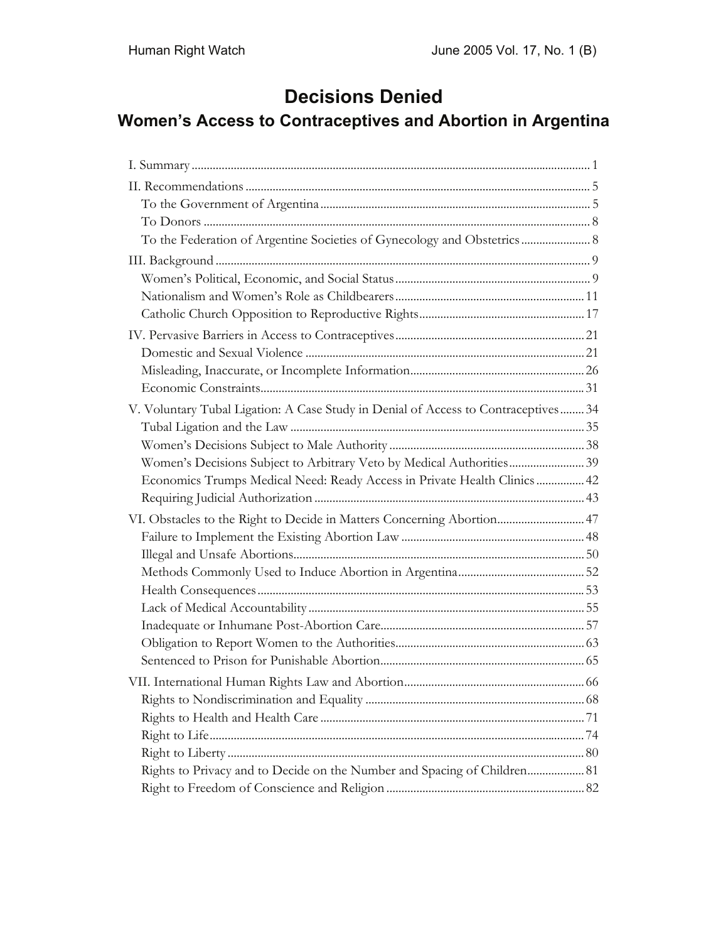# **Decisions Denied**

## **Women's Access to Contraceptives and Abortion in Argentina**

| V. Voluntary Tubal Ligation: A Case Study in Denial of Access to Contraceptives 34 |  |
|------------------------------------------------------------------------------------|--|
|                                                                                    |  |
|                                                                                    |  |
| Women's Decisions Subject to Arbitrary Veto by Medical Authorities 39              |  |
| Economics Trumps Medical Need: Ready Access in Private Health Clinics  42          |  |
|                                                                                    |  |
| VI. Obstacles to the Right to Decide in Matters Concerning Abortion47              |  |
|                                                                                    |  |
|                                                                                    |  |
|                                                                                    |  |
|                                                                                    |  |
|                                                                                    |  |
|                                                                                    |  |
|                                                                                    |  |
|                                                                                    |  |
|                                                                                    |  |
|                                                                                    |  |
|                                                                                    |  |
|                                                                                    |  |
|                                                                                    |  |
| Rights to Privacy and to Decide on the Number and Spacing of Children 81           |  |
|                                                                                    |  |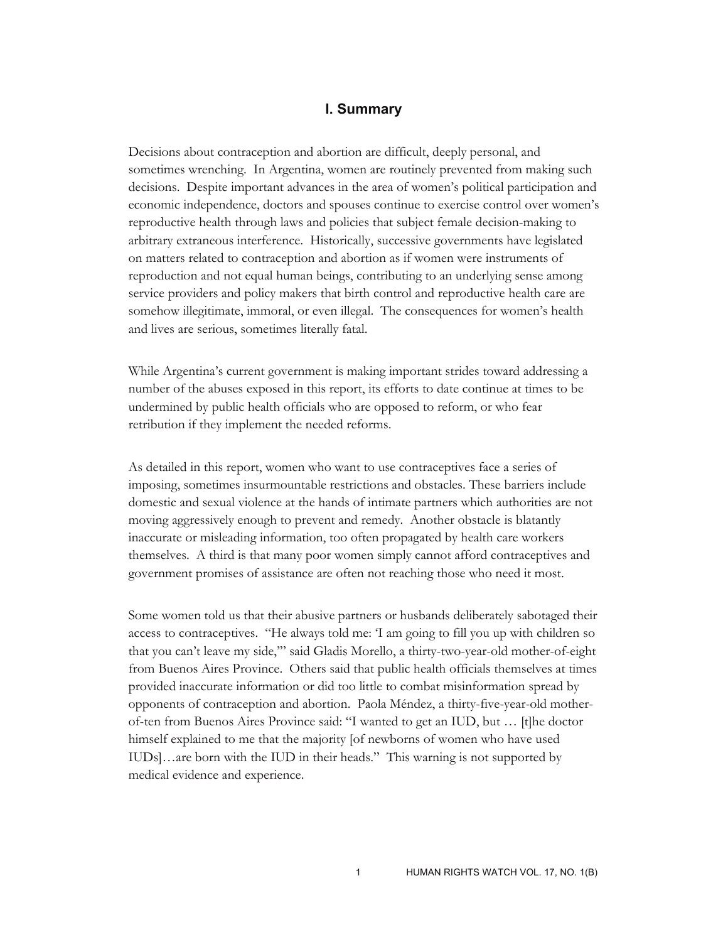#### **I. Summary**

Decisions about contraception and abortion are difficult, deeply personal, and sometimes wrenching. In Argentina, women are routinely prevented from making such decisions. Despite important advances in the area of women's political participation and economic independence, doctors and spouses continue to exercise control over women's reproductive health through laws and policies that subject female decision-making to arbitrary extraneous interference. Historically, successive governments have legislated on matters related to contraception and abortion as if women were instruments of reproduction and not equal human beings, contributing to an underlying sense among service providers and policy makers that birth control and reproductive health care are somehow illegitimate, immoral, or even illegal. The consequences for women's health and lives are serious, sometimes literally fatal.

While Argentina's current government is making important strides toward addressing a number of the abuses exposed in this report, its efforts to date continue at times to be undermined by public health officials who are opposed to reform, or who fear retribution if they implement the needed reforms.

As detailed in this report, women who want to use contraceptives face a series of imposing, sometimes insurmountable restrictions and obstacles. These barriers include domestic and sexual violence at the hands of intimate partners which authorities are not moving aggressively enough to prevent and remedy. Another obstacle is blatantly inaccurate or misleading information, too often propagated by health care workers themselves. A third is that many poor women simply cannot afford contraceptives and government promises of assistance are often not reaching those who need it most.

Some women told us that their abusive partners or husbands deliberately sabotaged their access to contraceptives. "He always told me: 'I am going to fill you up with children so that you can't leave my side,'" said Gladis Morello, a thirty-two-year-old mother-of-eight from Buenos Aires Province. Others said that public health officials themselves at times provided inaccurate information or did too little to combat misinformation spread by opponents of contraception and abortion. Paola Méndez, a thirty-five-year-old motherof-ten from Buenos Aires Province said: "I wanted to get an IUD, but … [t]he doctor himself explained to me that the majority [of newborns of women who have used IUDs]…are born with the IUD in their heads." This warning is not supported by medical evidence and experience.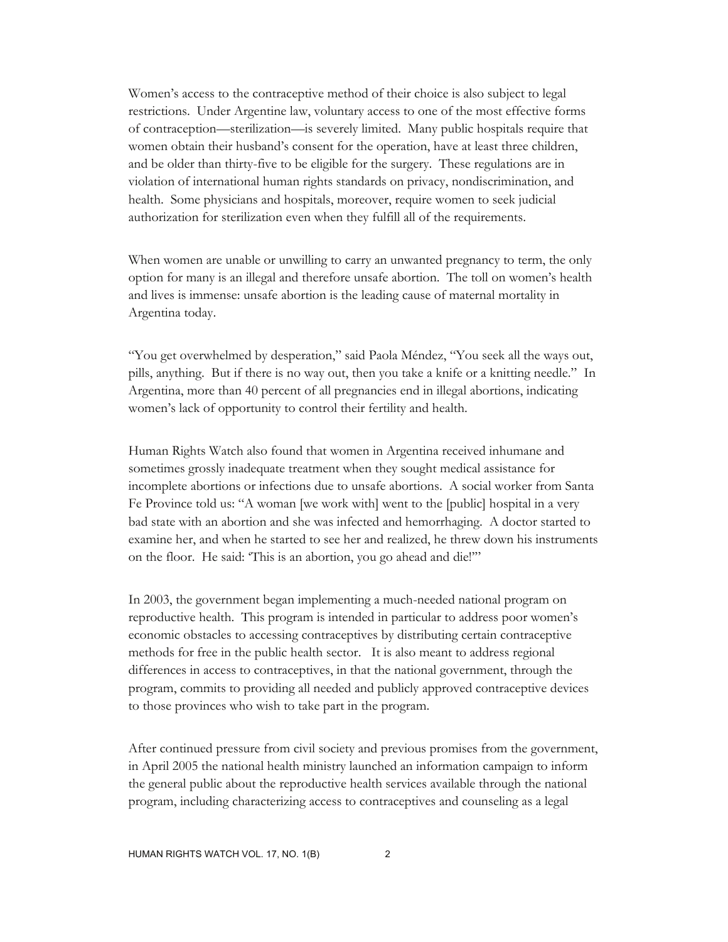Women's access to the contraceptive method of their choice is also subject to legal restrictions. Under Argentine law, voluntary access to one of the most effective forms of contraception—sterilization—is severely limited. Many public hospitals require that women obtain their husband's consent for the operation, have at least three children, and be older than thirty-five to be eligible for the surgery. These regulations are in violation of international human rights standards on privacy, nondiscrimination, and health. Some physicians and hospitals, moreover, require women to seek judicial authorization for sterilization even when they fulfill all of the requirements.

When women are unable or unwilling to carry an unwanted pregnancy to term, the only option for many is an illegal and therefore unsafe abortion. The toll on women's health and lives is immense: unsafe abortion is the leading cause of maternal mortality in Argentina today.

"You get overwhelmed by desperation," said Paola Méndez, "You seek all the ways out, pills, anything. But if there is no way out, then you take a knife or a knitting needle." In Argentina, more than 40 percent of all pregnancies end in illegal abortions, indicating women's lack of opportunity to control their fertility and health.

Human Rights Watch also found that women in Argentina received inhumane and sometimes grossly inadequate treatment when they sought medical assistance for incomplete abortions or infections due to unsafe abortions. A social worker from Santa Fe Province told us: "A woman [we work with] went to the [public] hospital in a very bad state with an abortion and she was infected and hemorrhaging. A doctor started to examine her, and when he started to see her and realized, he threw down his instruments on the floor. He said: 'This is an abortion, you go ahead and die!'"

In 2003, the government began implementing a much-needed national program on reproductive health. This program is intended in particular to address poor women's economic obstacles to accessing contraceptives by distributing certain contraceptive methods for free in the public health sector. It is also meant to address regional differences in access to contraceptives, in that the national government, through the program, commits to providing all needed and publicly approved contraceptive devices to those provinces who wish to take part in the program.

After continued pressure from civil society and previous promises from the government, in April 2005 the national health ministry launched an information campaign to inform the general public about the reproductive health services available through the national program, including characterizing access to contraceptives and counseling as a legal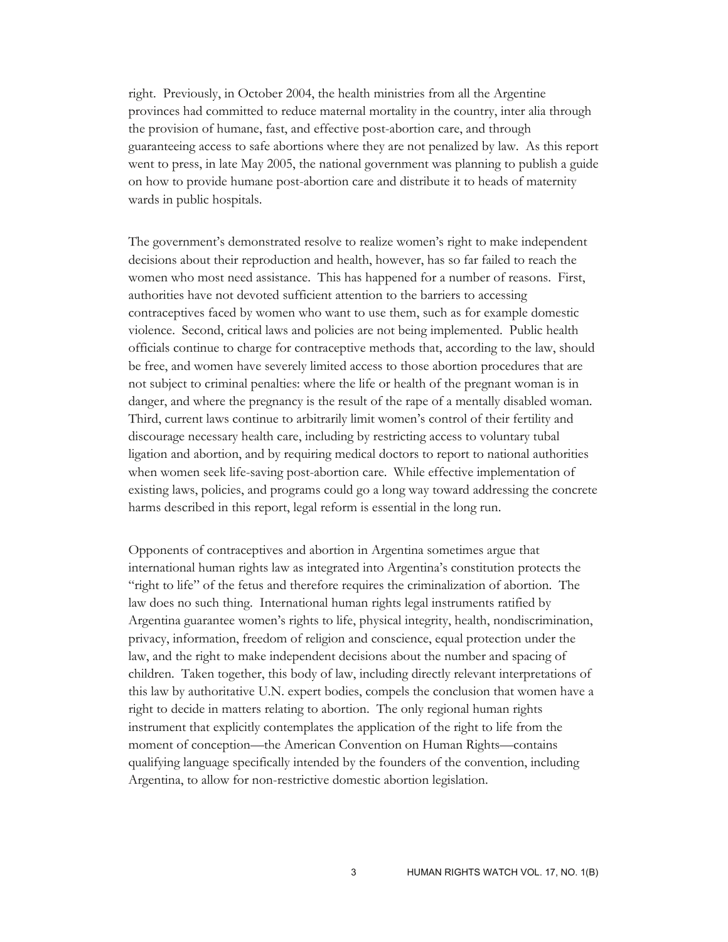right. Previously, in October 2004, the health ministries from all the Argentine provinces had committed to reduce maternal mortality in the country, inter alia through the provision of humane, fast, and effective post-abortion care, and through guaranteeing access to safe abortions where they are not penalized by law. As this report went to press, in late May 2005, the national government was planning to publish a guide on how to provide humane post-abortion care and distribute it to heads of maternity wards in public hospitals.

The government's demonstrated resolve to realize women's right to make independent decisions about their reproduction and health, however, has so far failed to reach the women who most need assistance. This has happened for a number of reasons. First, authorities have not devoted sufficient attention to the barriers to accessing contraceptives faced by women who want to use them, such as for example domestic violence. Second, critical laws and policies are not being implemented. Public health officials continue to charge for contraceptive methods that, according to the law, should be free, and women have severely limited access to those abortion procedures that are not subject to criminal penalties: where the life or health of the pregnant woman is in danger, and where the pregnancy is the result of the rape of a mentally disabled woman. Third, current laws continue to arbitrarily limit women's control of their fertility and discourage necessary health care, including by restricting access to voluntary tubal ligation and abortion, and by requiring medical doctors to report to national authorities when women seek life-saving post-abortion care. While effective implementation of existing laws, policies, and programs could go a long way toward addressing the concrete harms described in this report, legal reform is essential in the long run.

Opponents of contraceptives and abortion in Argentina sometimes argue that international human rights law as integrated into Argentina's constitution protects the "right to life" of the fetus and therefore requires the criminalization of abortion. The law does no such thing. International human rights legal instruments ratified by Argentina guarantee women's rights to life, physical integrity, health, nondiscrimination, privacy, information, freedom of religion and conscience, equal protection under the law, and the right to make independent decisions about the number and spacing of children. Taken together, this body of law, including directly relevant interpretations of this law by authoritative U.N. expert bodies, compels the conclusion that women have a right to decide in matters relating to abortion. The only regional human rights instrument that explicitly contemplates the application of the right to life from the moment of conception—the American Convention on Human Rights—contains qualifying language specifically intended by the founders of the convention, including Argentina, to allow for non-restrictive domestic abortion legislation.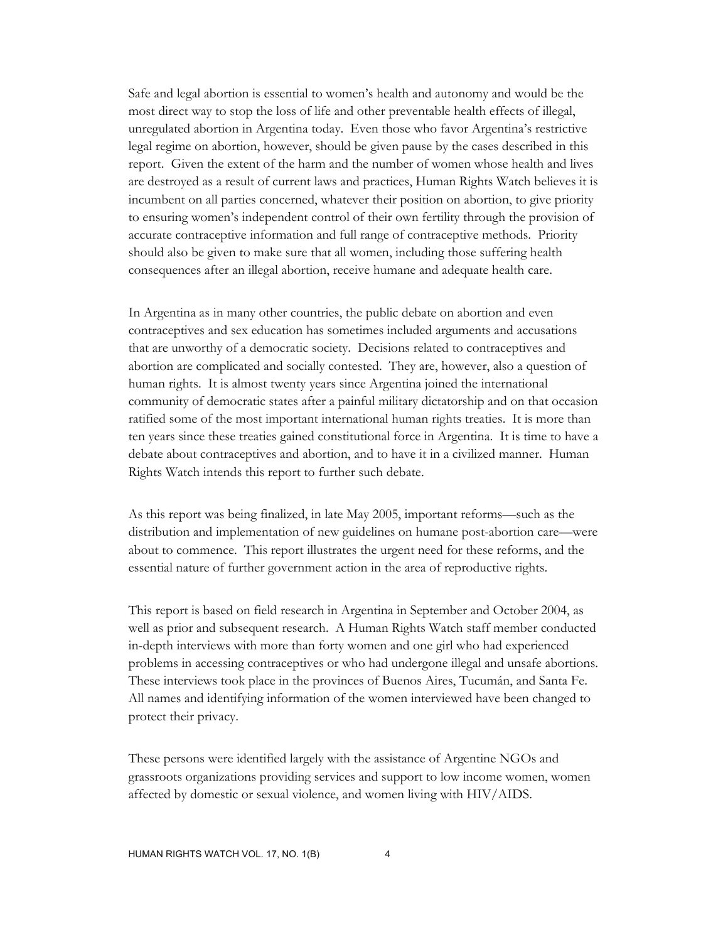Safe and legal abortion is essential to women's health and autonomy and would be the most direct way to stop the loss of life and other preventable health effects of illegal, unregulated abortion in Argentina today. Even those who favor Argentina's restrictive legal regime on abortion, however, should be given pause by the cases described in this report. Given the extent of the harm and the number of women whose health and lives are destroyed as a result of current laws and practices, Human Rights Watch believes it is incumbent on all parties concerned, whatever their position on abortion, to give priority to ensuring women's independent control of their own fertility through the provision of accurate contraceptive information and full range of contraceptive methods. Priority should also be given to make sure that all women, including those suffering health consequences after an illegal abortion, receive humane and adequate health care.

In Argentina as in many other countries, the public debate on abortion and even contraceptives and sex education has sometimes included arguments and accusations that are unworthy of a democratic society. Decisions related to contraceptives and abortion are complicated and socially contested. They are, however, also a question of human rights. It is almost twenty years since Argentina joined the international community of democratic states after a painful military dictatorship and on that occasion ratified some of the most important international human rights treaties. It is more than ten years since these treaties gained constitutional force in Argentina. It is time to have a debate about contraceptives and abortion, and to have it in a civilized manner. Human Rights Watch intends this report to further such debate.

As this report was being finalized, in late May 2005, important reforms—such as the distribution and implementation of new guidelines on humane post-abortion care—were about to commence. This report illustrates the urgent need for these reforms, and the essential nature of further government action in the area of reproductive rights.

This report is based on field research in Argentina in September and October 2004, as well as prior and subsequent research. A Human Rights Watch staff member conducted in-depth interviews with more than forty women and one girl who had experienced problems in accessing contraceptives or who had undergone illegal and unsafe abortions. These interviews took place in the provinces of Buenos Aires, Tucumán, and Santa Fe. All names and identifying information of the women interviewed have been changed to protect their privacy.

These persons were identified largely with the assistance of Argentine NGOs and grassroots organizations providing services and support to low income women, women affected by domestic or sexual violence, and women living with HIV/AIDS.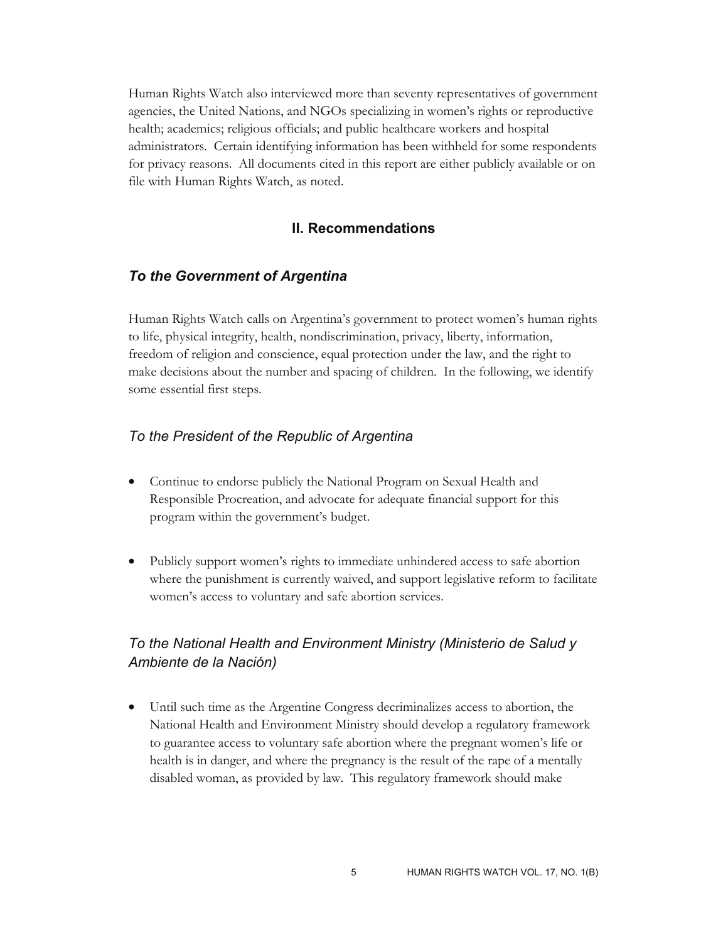Human Rights Watch also interviewed more than seventy representatives of government agencies, the United Nations, and NGOs specializing in women's rights or reproductive health; academics; religious officials; and public healthcare workers and hospital administrators. Certain identifying information has been withheld for some respondents for privacy reasons. All documents cited in this report are either publicly available or on file with Human Rights Watch, as noted.

#### **II. Recommendations**

#### *To the Government of Argentina*

Human Rights Watch calls on Argentina's government to protect women's human rights to life, physical integrity, health, nondiscrimination, privacy, liberty, information, freedom of religion and conscience, equal protection under the law, and the right to make decisions about the number and spacing of children. In the following, we identify some essential first steps.

#### *To the President of the Republic of Argentina*

- Continue to endorse publicly the National Program on Sexual Health and Responsible Procreation, and advocate for adequate financial support for this program within the government's budget.
- Publicly support women's rights to immediate unhindered access to safe abortion where the punishment is currently waived, and support legislative reform to facilitate women's access to voluntary and safe abortion services.

## *To the National Health and Environment Ministry (Ministerio de Salud y Ambiente de la Nación)*

• Until such time as the Argentine Congress decriminalizes access to abortion, the National Health and Environment Ministry should develop a regulatory framework to guarantee access to voluntary safe abortion where the pregnant women's life or health is in danger, and where the pregnancy is the result of the rape of a mentally disabled woman, as provided by law. This regulatory framework should make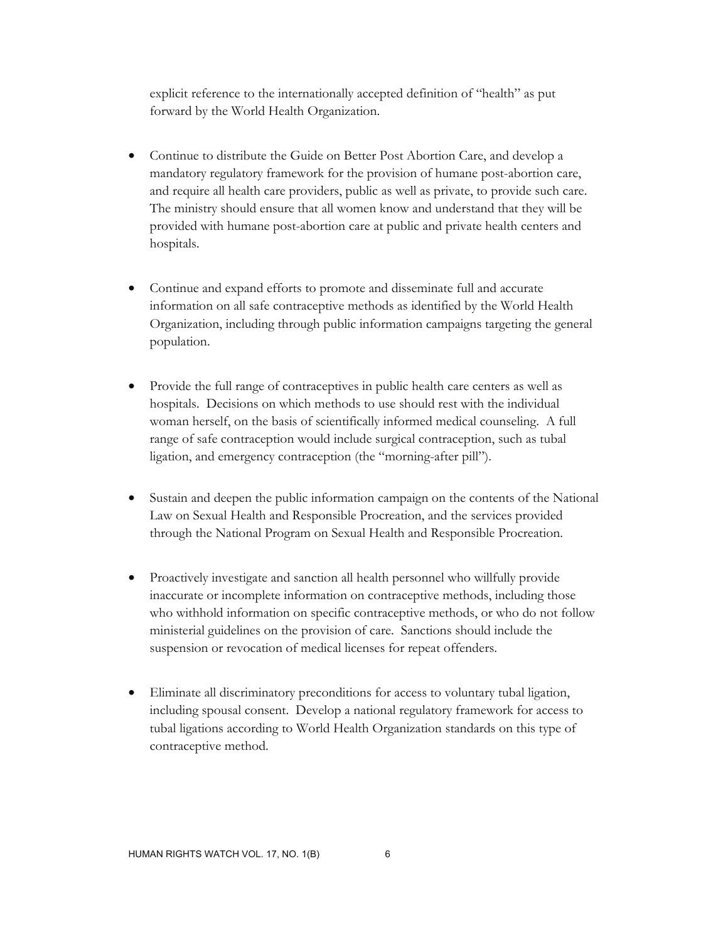explicit reference to the internationally accepted definition of "health" as put forward by the World Health Organization.

- Continue to distribute the Guide on Better Post Abortion Care, and develop a mandatory regulatory framework for the provision of humane post-abortion care, and require all health care providers, public as well as private, to provide such care. The ministry should ensure that all women know and understand that they will be provided with humane post-abortion care at public and private health centers and hospitals.
- Continue and expand efforts to promote and disseminate full and accurate information on all safe contraceptive methods as identified by the World Health Organization, including through public information campaigns targeting the general population.
- Provide the full range of contraceptives in public health care centers as well as hospitals. Decisions on which methods to use should rest with the individual woman herself, on the basis of scientifically informed medical counseling. A full range of safe contraception would include surgical contraception, such as tubal ligation, and emergency contraception (the "morning-after pill").
- Sustain and deepen the public information campaign on the contents of the National Law on Sexual Health and Responsible Procreation, and the services provided through the National Program on Sexual Health and Responsible Procreation.
- Proactively investigate and sanction all health personnel who willfully provide inaccurate or incomplete information on contraceptive methods, including those who withhold information on specific contraceptive methods, or who do not follow ministerial guidelines on the provision of care. Sanctions should include the suspension or revocation of medical licenses for repeat offenders.
- Eliminate all discriminatory preconditions for access to voluntary tubal ligation, including spousal consent. Develop a national regulatory framework for access to tubal ligations according to World Health Organization standards on this type of contraceptive method.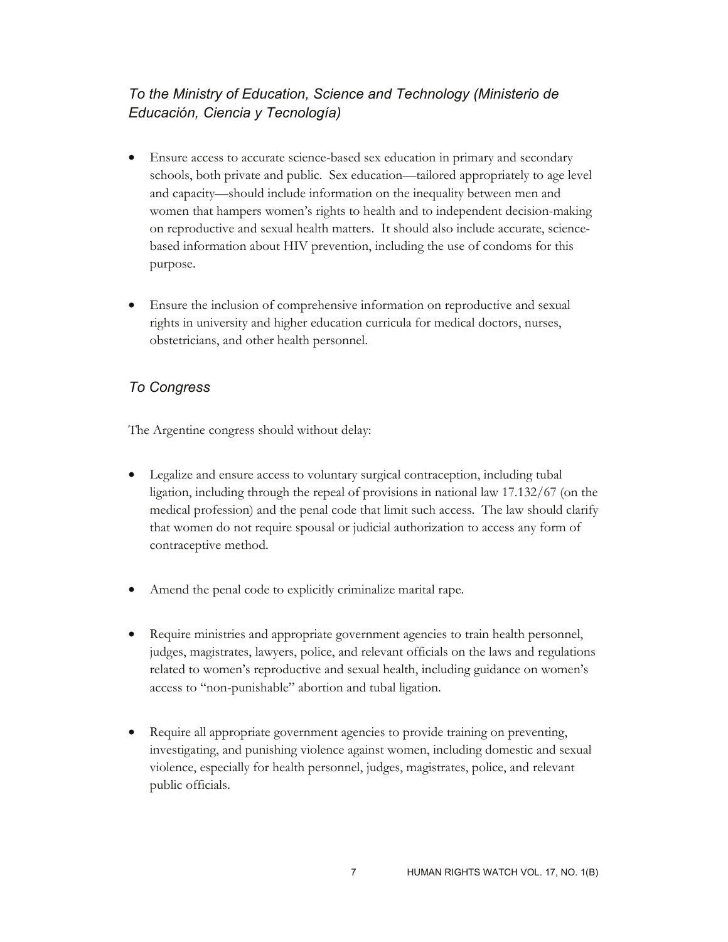## *To the Ministry of Education, Science and Technology (Ministerio de Educación, Ciencia y Tecnología)*

- Ensure access to accurate science-based sex education in primary and secondary schools, both private and public. Sex education—tailored appropriately to age level and capacity—should include information on the inequality between men and women that hampers women's rights to health and to independent decision-making on reproductive and sexual health matters. It should also include accurate, sciencebased information about HIV prevention, including the use of condoms for this purpose.
- Ensure the inclusion of comprehensive information on reproductive and sexual rights in university and higher education curricula for medical doctors, nurses, obstetricians, and other health personnel.

## *To Congress*

The Argentine congress should without delay:

- Legalize and ensure access to voluntary surgical contraception, including tubal ligation, including through the repeal of provisions in national law 17.132/67 (on the medical profession) and the penal code that limit such access. The law should clarify that women do not require spousal or judicial authorization to access any form of contraceptive method.
- Amend the penal code to explicitly criminalize marital rape.
- Require ministries and appropriate government agencies to train health personnel, judges, magistrates, lawyers, police, and relevant officials on the laws and regulations related to women's reproductive and sexual health, including guidance on women's access to "non-punishable" abortion and tubal ligation.
- Require all appropriate government agencies to provide training on preventing, investigating, and punishing violence against women, including domestic and sexual violence, especially for health personnel, judges, magistrates, police, and relevant public officials.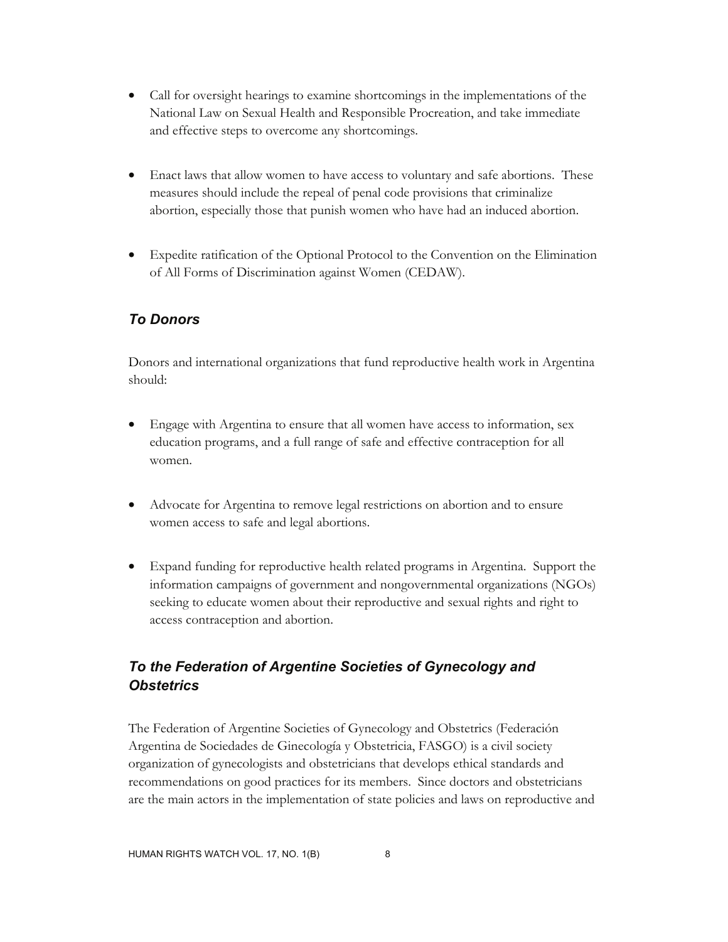- Call for oversight hearings to examine shortcomings in the implementations of the National Law on Sexual Health and Responsible Procreation, and take immediate and effective steps to overcome any shortcomings.
- Enact laws that allow women to have access to voluntary and safe abortions. These measures should include the repeal of penal code provisions that criminalize abortion, especially those that punish women who have had an induced abortion.
- Expedite ratification of the Optional Protocol to the Convention on the Elimination of All Forms of Discrimination against Women (CEDAW).

## *To Donors*

Donors and international organizations that fund reproductive health work in Argentina should:

- Engage with Argentina to ensure that all women have access to information, sex education programs, and a full range of safe and effective contraception for all women.
- Advocate for Argentina to remove legal restrictions on abortion and to ensure women access to safe and legal abortions.
- Expand funding for reproductive health related programs in Argentina. Support the information campaigns of government and nongovernmental organizations (NGOs) seeking to educate women about their reproductive and sexual rights and right to access contraception and abortion.

## *To the Federation of Argentine Societies of Gynecology and Obstetrics*

The Federation of Argentine Societies of Gynecology and Obstetrics (Federación Argentina de Sociedades de Ginecología y Obstetricia, FASGO) is a civil society organization of gynecologists and obstetricians that develops ethical standards and recommendations on good practices for its members. Since doctors and obstetricians are the main actors in the implementation of state policies and laws on reproductive and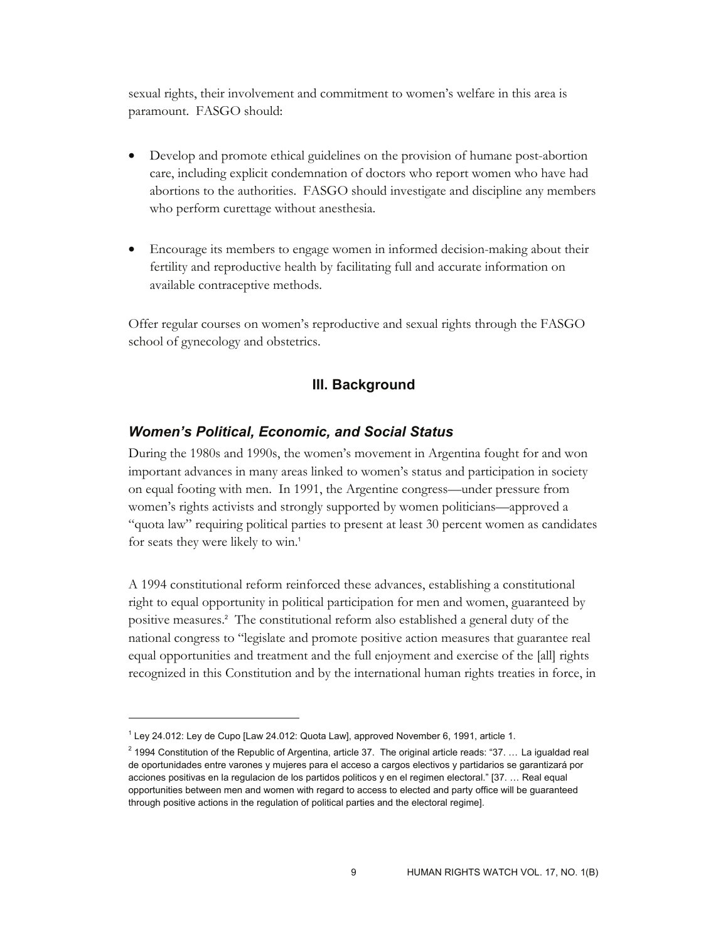sexual rights, their involvement and commitment to women's welfare in this area is paramount. FASGO should:

- Develop and promote ethical guidelines on the provision of humane post-abortion care, including explicit condemnation of doctors who report women who have had abortions to the authorities. FASGO should investigate and discipline any members who perform curettage without anesthesia.
- Encourage its members to engage women in informed decision-making about their fertility and reproductive health by facilitating full and accurate information on available contraceptive methods.

Offer regular courses on women's reproductive and sexual rights through the FASGO school of gynecology and obstetrics.

#### **III. Background**

#### *Women's Political, Economic, and Social Status*

During the 1980s and 1990s, the women's movement in Argentina fought for and won important advances in many areas linked to women's status and participation in society on equal footing with men. In 1991, the Argentine congress—under pressure from women's rights activists and strongly supported by women politicians—approved a "quota law" requiring political parties to present at least 30 percent women as candidates for seats they were likely to win.<sup>1</sup>

A 1994 constitutional reform reinforced these advances, establishing a constitutional right to equal opportunity in political participation for men and women, guaranteed by positive measures.<sup>2</sup> The constitutional reform also established a general duty of the national congress to "legislate and promote positive action measures that guarantee real equal opportunities and treatment and the full enjoyment and exercise of the [all] rights recognized in this Constitution and by the international human rights treaties in force, in

 $\overline{a}$ 

 $1$  Ley 24.012: Ley de Cupo [Law 24.012: Quota Law], approved November 6, 1991, article 1.

 $^2$  1994 Constitution of the Republic of Argentina, article 37. The original article reads: "37. ... La igualdad real de oportunidades entre varones y mujeres para el acceso a cargos electivos y partidarios se garantizará por acciones positivas en la regulacion de los partidos politicos y en el regimen electoral." [37. … Real equal opportunities between men and women with regard to access to elected and party office will be guaranteed through positive actions in the regulation of political parties and the electoral regime].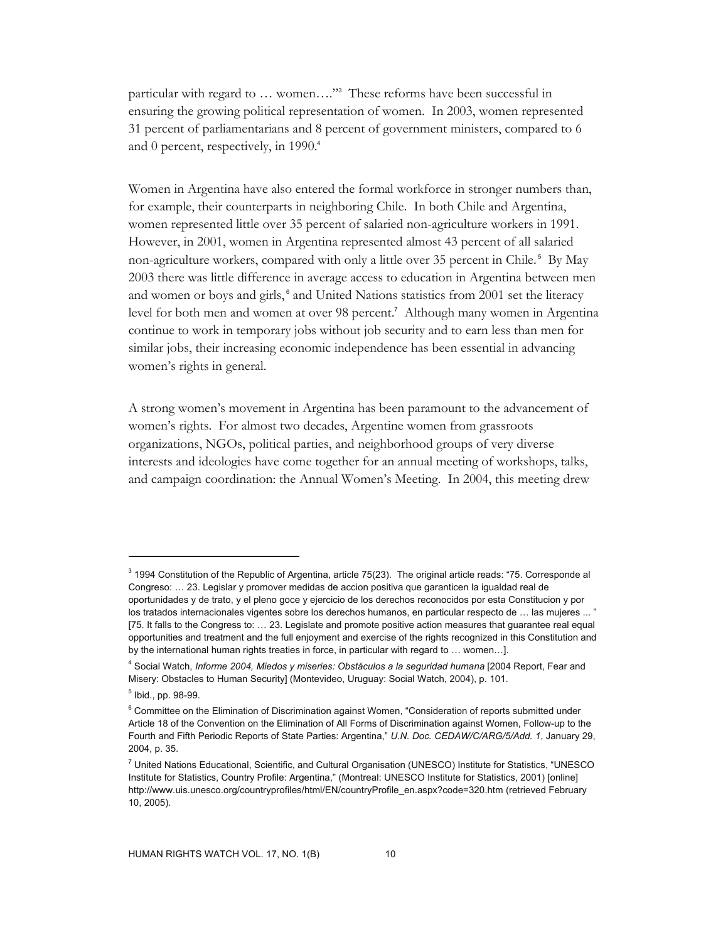particular with regard to ... women...."<sup>3</sup> These reforms have been successful in ensuring the growing political representation of women. In 2003, women represented 31 percent of parliamentarians and 8 percent of government ministers, compared to 6 and 0 percent, respectively, in 1990.<sup>4</sup>

Women in Argentina have also entered the formal workforce in stronger numbers than, for example, their counterparts in neighboring Chile. In both Chile and Argentina, women represented little over 35 percent of salaried non-agriculture workers in 1991. However, in 2001, women in Argentina represented almost 43 percent of all salaried non-agriculture workers, compared with only a little over 35 percent in Chile. 5 By May 2003 there was little difference in average access to education in Argentina between men and women or boys and girls,<sup>6</sup> and United Nations statistics from 2001 set the literacy level for both men and women at over 98 percent.<sup>7</sup> Although many women in Argentina continue to work in temporary jobs without job security and to earn less than men for similar jobs, their increasing economic independence has been essential in advancing women's rights in general.

A strong women's movement in Argentina has been paramount to the advancement of women's rights. For almost two decades, Argentine women from grassroots organizations, NGOs, political parties, and neighborhood groups of very diverse interests and ideologies have come together for an annual meeting of workshops, talks, and campaign coordination: the Annual Women's Meeting. In 2004, this meeting drew

 $3$  1994 Constitution of the Republic of Argentina, article 75(23). The original article reads: "75. Corresponde al Congreso: … 23. Legislar y promover medidas de accion positiva que garanticen la igualdad real de oportunidades y de trato, y el pleno goce y ejercicio de los derechos reconocidos por esta Constitucion y por los tratados internacionales vigentes sobre los derechos humanos, en particular respecto de … las mujeres ... " [75. It falls to the Congress to: … 23. Legislate and promote positive action measures that guarantee real equal opportunities and treatment and the full enjoyment and exercise of the rights recognized in this Constitution and by the international human rights treaties in force, in particular with regard to … women…].

<sup>&</sup>lt;sup>4</sup> Social Watch, *Informe 2004, Miedos y miseries: Obstáculos a la seguridad humana* [2004 Report, Fear and Misery: Obstacles to Human Security] (Montevideo, Uruguay: Social Watch, 2004), p. 101.

<sup>5</sup> Ibid., pp. 98-99.

<sup>&</sup>lt;sup>6</sup> Committee on the Elimination of Discrimination against Women, "Consideration of reports submitted under Article 18 of the Convention on the Elimination of All Forms of Discrimination against Women, Follow-up to the Fourth and Fifth Periodic Reports of State Parties: Argentina," *U.N. Doc. CEDAW/C/ARG/5/Add. 1*, January 29, 2004, p. 35.

<sup>&</sup>lt;sup>7</sup> United Nations Educational, Scientific, and Cultural Organisation (UNESCO) Institute for Statistics, "UNESCO Institute for Statistics, Country Profile: Argentina," (Montreal: UNESCO Institute for Statistics, 2001) [online] http://www.uis.unesco.org/countryprofiles/html/EN/countryProfile\_en.aspx?code=320.htm (retrieved February 10, 2005).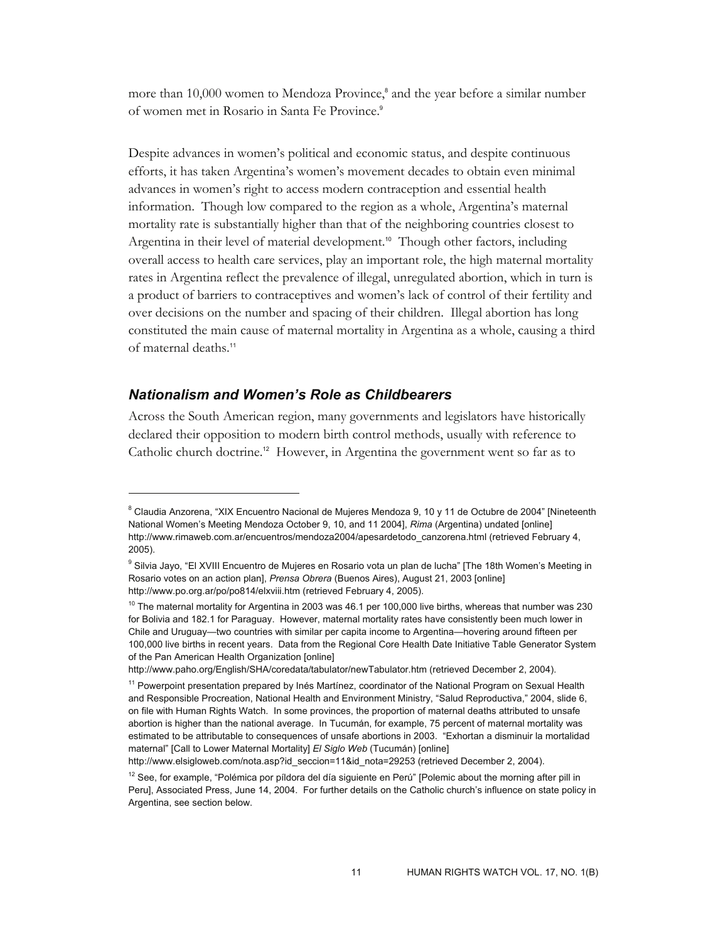more than 10,000 women to Mendoza Province,<sup>8</sup> and the year before a similar number of women met in Rosario in Santa Fe Province.<sup>9</sup>

Despite advances in women's political and economic status, and despite continuous efforts, it has taken Argentina's women's movement decades to obtain even minimal advances in women's right to access modern contraception and essential health information. Though low compared to the region as a whole, Argentina's maternal mortality rate is substantially higher than that of the neighboring countries closest to Argentina in their level of material development.<sup>10</sup> Though other factors, including overall access to health care services, play an important role, the high maternal mortality rates in Argentina reflect the prevalence of illegal, unregulated abortion, which in turn is a product of barriers to contraceptives and women's lack of control of their fertility and over decisions on the number and spacing of their children. Illegal abortion has long constituted the main cause of maternal mortality in Argentina as a whole, causing a third of maternal deaths.<sup>11</sup>

#### *Nationalism and Women's Role as Childbearers*

-

Across the South American region, many governments and legislators have historically declared their opposition to modern birth control methods, usually with reference to Catholic church doctrine.<sup>12</sup> However, in Argentina the government went so far as to

http://www.elsigloweb.com/nota.asp?id\_seccion=11&id\_nota=29253 (retrieved December 2, 2004).

 $^8$  Claudia Anzorena, "XIX Encuentro Nacional de Mujeres Mendoza 9, 10 y 11 de Octubre de 2004" [Nineteenth National Women's Meeting Mendoza October 9, 10, and 11 2004], *Rima* (Argentina) undated [online] http://www.rimaweb.com.ar/encuentros/mendoza2004/apesardetodo\_canzorena.html (retrieved February 4, 2005).

<sup>&</sup>lt;sup>9</sup> Silvia Jayo, "El XVIII Encuentro de Mujeres en Rosario vota un plan de lucha" [The 18th Women's Meeting in Rosario votes on an action plan], *Prensa Obrera* (Buenos Aires), August 21, 2003 [online] http://www.po.org.ar/po/po814/elxviii.htm (retrieved February 4, 2005).

 $10$  The maternal mortality for Argentina in 2003 was 46.1 per 100,000 live births, whereas that number was 230 for Bolivia and 182.1 for Paraguay. However, maternal mortality rates have consistently been much lower in Chile and Uruguay—two countries with similar per capita income to Argentina—hovering around fifteen per 100,000 live births in recent years. Data from the Regional Core Health Date Initiative Table Generator System of the Pan American Health Organization [online]

http://www.paho.org/English/SHA/coredata/tabulator/newTabulator.htm (retrieved December 2, 2004).

<sup>&</sup>lt;sup>11</sup> Powerpoint presentation prepared by Inés Martínez, coordinator of the National Program on Sexual Health and Responsible Procreation, National Health and Environment Ministry, "Salud Reproductiva," 2004, slide 6, on file with Human Rights Watch. In some provinces, the proportion of maternal deaths attributed to unsafe abortion is higher than the national average. In Tucumán, for example, 75 percent of maternal mortality was estimated to be attributable to consequences of unsafe abortions in 2003. "Exhortan a disminuir la mortalidad maternal" [Call to Lower Maternal Mortality] *El Siglo Web* (Tucumán) [online]

 $12$  See, for example, "Polémica por píldora del día siguiente en Perú" [Polemic about the morning after pill in Peru], Associated Press, June 14, 2004. For further details on the Catholic church's influence on state policy in Argentina, see section below.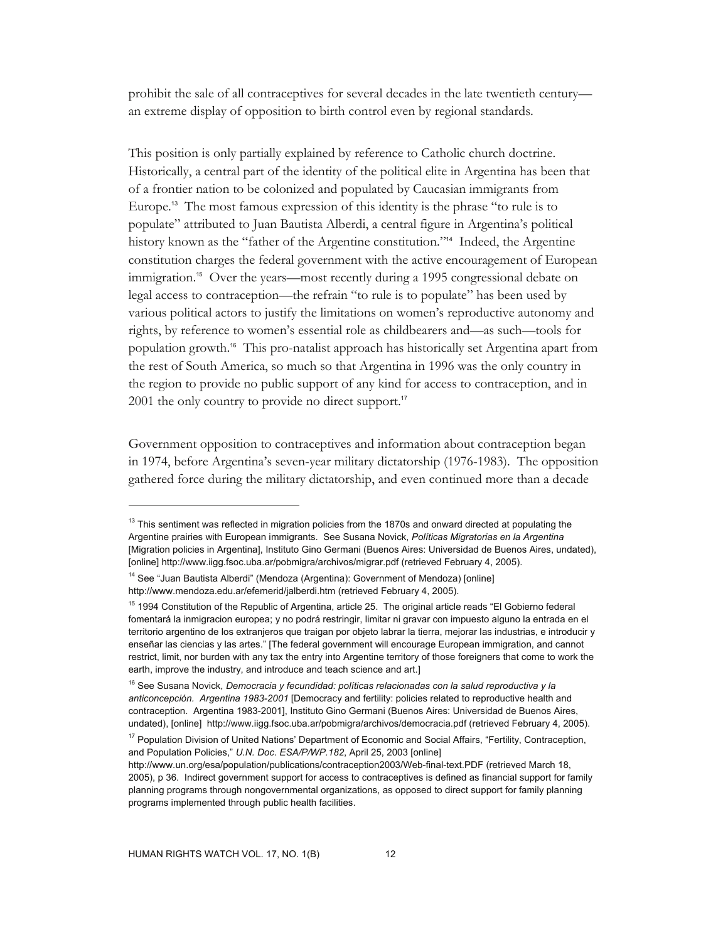prohibit the sale of all contraceptives for several decades in the late twentieth century an extreme display of opposition to birth control even by regional standards.

This position is only partially explained by reference to Catholic church doctrine. Historically, a central part of the identity of the political elite in Argentina has been that of a frontier nation to be colonized and populated by Caucasian immigrants from Europe.13 The most famous expression of this identity is the phrase "to rule is to populate" attributed to Juan Bautista Alberdi, a central figure in Argentina's political history known as the "father of the Argentine constitution."14 Indeed, the Argentine constitution charges the federal government with the active encouragement of European immigration.<sup>15</sup> Over the years—most recently during a 1995 congressional debate on legal access to contraception—the refrain "to rule is to populate" has been used by various political actors to justify the limitations on women's reproductive autonomy and rights, by reference to women's essential role as childbearers and—as such—tools for population growth.16 This pro-natalist approach has historically set Argentina apart from the rest of South America, so much so that Argentina in 1996 was the only country in the region to provide no public support of any kind for access to contraception, and in 2001 the only country to provide no direct support.<sup>17</sup>

Government opposition to contraceptives and information about contraception began in 1974, before Argentina's seven-year military dictatorship (1976-1983). The opposition gathered force during the military dictatorship, and even continued more than a decade

 $\overline{a}$ 

<sup>&</sup>lt;sup>13</sup> This sentiment was reflected in migration policies from the 1870s and onward directed at populating the Argentine prairies with European immigrants. See Susana Novick, *Políticas Migratorias en la Argentina* [Migration policies in Argentina], Instituto Gino Germani (Buenos Aires: Universidad de Buenos Aires, undated), [online] http://www.iigg.fsoc.uba.ar/pobmigra/archivos/migrar.pdf (retrieved February 4, 2005).

<sup>&</sup>lt;sup>14</sup> See "Juan Bautista Alberdi" (Mendoza (Argentina): Government of Mendoza) [online] http://www.mendoza.edu.ar/efemerid/jalberdi.htm (retrieved February 4, 2005).

<sup>&</sup>lt;sup>15</sup> 1994 Constitution of the Republic of Argentina, article 25. The original article reads "El Gobierno federal fomentará la inmigracion europea; y no podrá restringir, limitar ni gravar con impuesto alguno la entrada en el territorio argentino de los extranjeros que traigan por objeto labrar la tierra, mejorar las industrias, e introducir y enseñar las ciencias y las artes." [The federal government will encourage European immigration, and cannot restrict, limit, nor burden with any tax the entry into Argentine territory of those foreigners that come to work the earth, improve the industry, and introduce and teach science and art.]

<sup>&</sup>lt;sup>16</sup> See Susana Novick, *Democracia y fecundidad: políticas relacionadas con la salud reproductiva y la anticoncepción. Argentina 1983-2001* [Democracy and fertility: policies related to reproductive health and contraception. Argentina 1983-2001], Instituto Gino Germani (Buenos Aires: Universidad de Buenos Aires, undated), [online] http://www.iigg.fsoc.uba.ar/pobmigra/archivos/democracia.pdf (retrieved February 4, 2005).

<sup>&</sup>lt;sup>17</sup> Population Division of United Nations' Department of Economic and Social Affairs, "Fertility, Contraception, and Population Policies," *U.N. Doc. ESA/P/WP.182*, April 25, 2003 [online]

http://www.un.org/esa/population/publications/contraception2003/Web-final-text.PDF (retrieved March 18, 2005), p 36. Indirect government support for access to contraceptives is defined as financial support for family planning programs through nongovernmental organizations, as opposed to direct support for family planning programs implemented through public health facilities.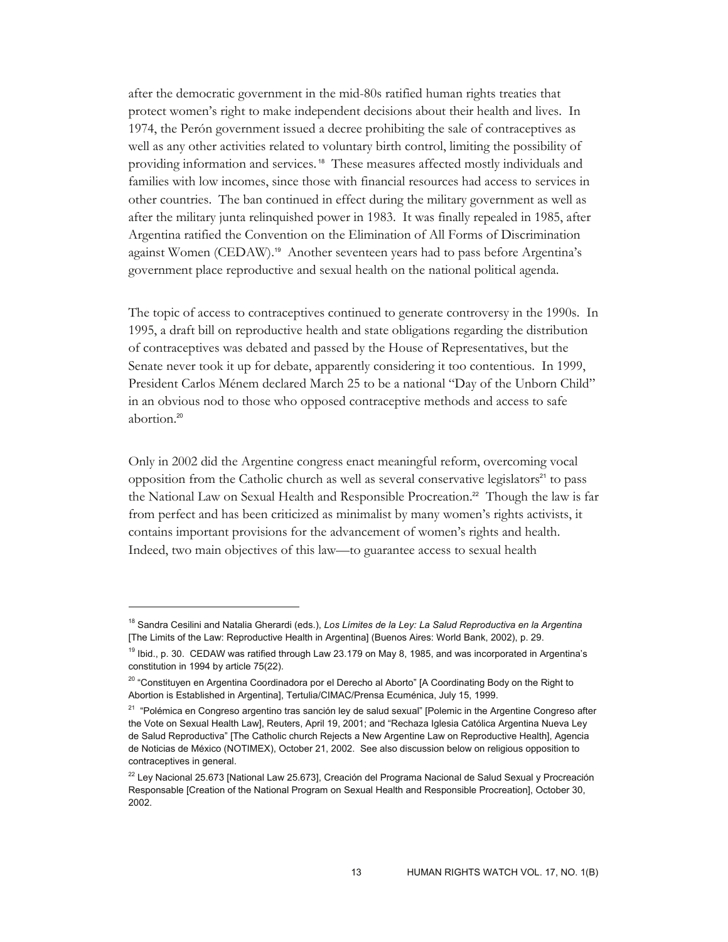after the democratic government in the mid-80s ratified human rights treaties that protect women's right to make independent decisions about their health and lives. In 1974, the Perón government issued a decree prohibiting the sale of contraceptives as well as any other activities related to voluntary birth control, limiting the possibility of providing information and services. 18 These measures affected mostly individuals and families with low incomes, since those with financial resources had access to services in other countries. The ban continued in effect during the military government as well as after the military junta relinquished power in 1983. It was finally repealed in 1985, after Argentina ratified the Convention on the Elimination of All Forms of Discrimination against Women (CEDAW).<sup>19</sup> Another seventeen years had to pass before Argentina's government place reproductive and sexual health on the national political agenda.

The topic of access to contraceptives continued to generate controversy in the 1990s. In 1995, a draft bill on reproductive health and state obligations regarding the distribution of contraceptives was debated and passed by the House of Representatives, but the Senate never took it up for debate, apparently considering it too contentious. In 1999, President Carlos Ménem declared March 25 to be a national "Day of the Unborn Child" in an obvious nod to those who opposed contraceptive methods and access to safe abortion.<sup>20</sup>

Only in 2002 did the Argentine congress enact meaningful reform, overcoming vocal opposition from the Catholic church as well as several conservative legislators<sup>21</sup> to pass the National Law on Sexual Health and Responsible Procreation.<sup>22</sup> Though the law is far from perfect and has been criticized as minimalist by many women's rights activists, it contains important provisions for the advancement of women's rights and health. Indeed, two main objectives of this law—to guarantee access to sexual health

<sup>18</sup> Sandra Cesilini and Natalia Gherardi (eds.), *Los Límites de la Ley: La Salud Reproductiva en la Argentina*  [The Limits of the Law: Reproductive Health in Argentina] (Buenos Aires: World Bank, 2002), p. 29.

<sup>&</sup>lt;sup>19</sup> Ibid., p. 30. CEDAW was ratified through Law 23.179 on May 8, 1985, and was incorporated in Argentina's constitution in 1994 by article 75(22).

<sup>&</sup>lt;sup>20</sup> "Constituyen en Argentina Coordinadora por el Derecho al Aborto" [A Coordinating Body on the Right to Abortion is Established in Argentina], Tertulia/CIMAC/Prensa Ecuménica, July 15, 1999.

<sup>&</sup>lt;sup>21</sup> "Polémica en Congreso argentino tras sanción ley de salud sexual" [Polemic in the Argentine Congreso after the Vote on Sexual Health Law], Reuters, April 19, 2001; and "Rechaza Iglesia Católica Argentina Nueva Ley de Salud Reproductiva" [The Catholic church Rejects a New Argentine Law on Reproductive Health], Agencia de Noticias de México (NOTIMEX), October 21, 2002. See also discussion below on religious opposition to contraceptives in general.

<sup>&</sup>lt;sup>22</sup> Ley Nacional 25.673 [National Law 25.673], Creación del Programa Nacional de Salud Sexual y Procreación Responsable [Creation of the National Program on Sexual Health and Responsible Procreation], October 30, 2002.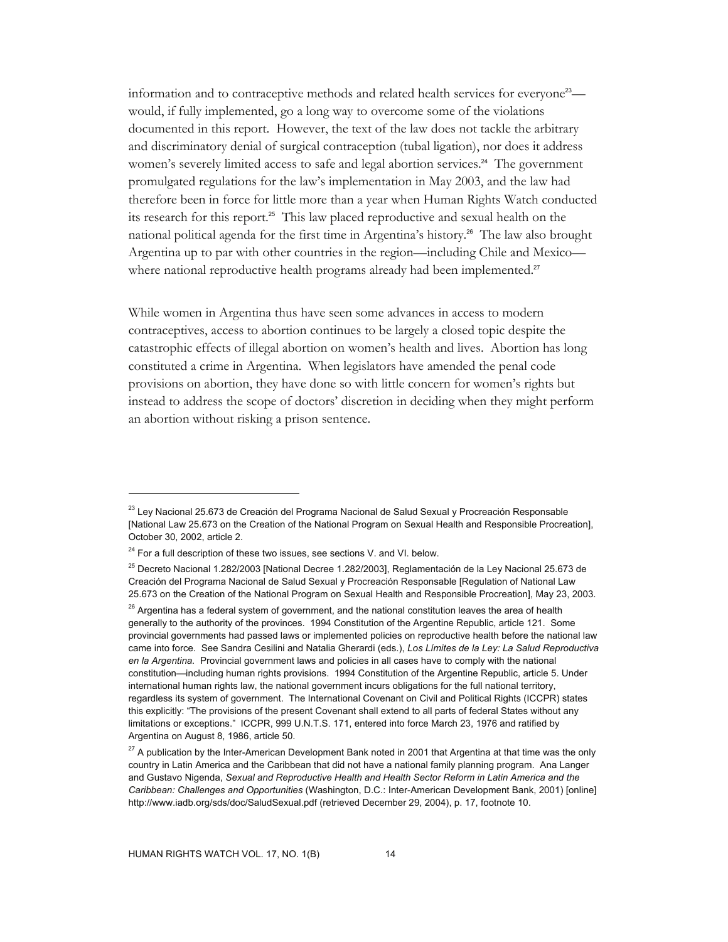information and to contraceptive methods and related health services for everyone<sup>23</sup> would, if fully implemented, go a long way to overcome some of the violations documented in this report. However, the text of the law does not tackle the arbitrary and discriminatory denial of surgical contraception (tubal ligation), nor does it address women's severely limited access to safe and legal abortion services.<sup>24</sup> The government promulgated regulations for the law's implementation in May 2003, and the law had therefore been in force for little more than a year when Human Rights Watch conducted its research for this report.25 This law placed reproductive and sexual health on the national political agenda for the first time in Argentina's history.<sup>26</sup> The law also brought Argentina up to par with other countries in the region—including Chile and Mexico where national reproductive health programs already had been implemented.<sup>27</sup>

While women in Argentina thus have seen some advances in access to modern contraceptives, access to abortion continues to be largely a closed topic despite the catastrophic effects of illegal abortion on women's health and lives. Abortion has long constituted a crime in Argentina. When legislators have amended the penal code provisions on abortion, they have done so with little concern for women's rights but instead to address the scope of doctors' discretion in deciding when they might perform an abortion without risking a prison sentence.

 $\overline{a}$ 

<sup>&</sup>lt;sup>23</sup> Lev Nacional 25.673 de Creación del Programa Nacional de Salud Sexual y Procreación Responsable [National Law 25.673 on the Creation of the National Program on Sexual Health and Responsible Procreation], October 30, 2002, article 2.

 $24$  For a full description of these two issues, see sections V. and VI. below.

<sup>25</sup> Decreto Nacional 1.282/2003 [National Decree 1.282/2003], Reglamentación de la Ley Nacional 25.673 de Creación del Programa Nacional de Salud Sexual y Procreación Responsable [Regulation of National Law 25.673 on the Creation of the National Program on Sexual Health and Responsible Procreation], May 23, 2003.

 $26$  Argentina has a federal system of government, and the national constitution leaves the area of health generally to the authority of the provinces. 1994 Constitution of the Argentine Republic, article 121. Some provincial governments had passed laws or implemented policies on reproductive health before the national law came into force. See Sandra Cesilini and Natalia Gherardi (eds.), *Los Límites de la Ley: La Salud Reproductiva en la Argentina.* Provincial government laws and policies in all cases have to comply with the national constitution—including human rights provisions. 1994 Constitution of the Argentine Republic, article 5. Under international human rights law, the national government incurs obligations for the full national territory, regardless its system of government. The International Covenant on Civil and Political Rights (ICCPR) states this explicitly: "The provisions of the present Covenant shall extend to all parts of federal States without any limitations or exceptions." ICCPR, 999 U.N.T.S. 171, entered into force March 23, 1976 and ratified by Argentina on August 8, 1986, article 50.

 $27$  A publication by the Inter-American Development Bank noted in 2001 that Argentina at that time was the only country in Latin America and the Caribbean that did not have a national family planning program. Ana Langer and Gustavo Nigenda, *Sexual and Reproductive Health and Health Sector Reform in Latin America and the Caribbean: Challenges and Opportunities* (Washington, D.C.: Inter-American Development Bank, 2001) [online] http://www.iadb.org/sds/doc/SaludSexual.pdf (retrieved December 29, 2004), p. 17, footnote 10.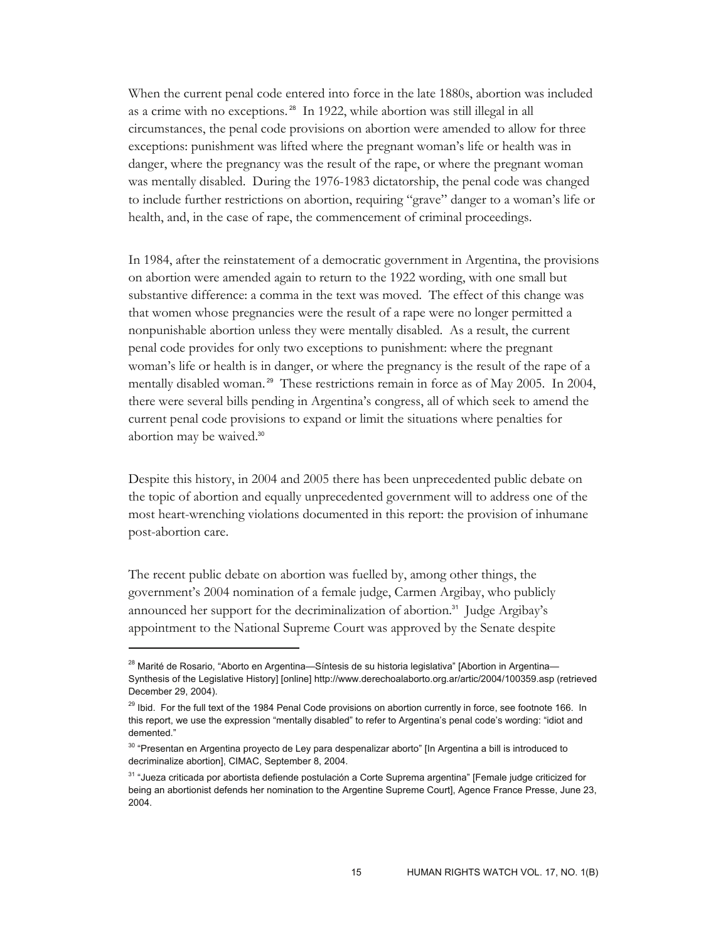When the current penal code entered into force in the late 1880s, abortion was included as a crime with no exceptions. 28 In 1922, while abortion was still illegal in all circumstances, the penal code provisions on abortion were amended to allow for three exceptions: punishment was lifted where the pregnant woman's life or health was in danger, where the pregnancy was the result of the rape, or where the pregnant woman was mentally disabled. During the 1976-1983 dictatorship, the penal code was changed to include further restrictions on abortion, requiring "grave" danger to a woman's life or health, and, in the case of rape, the commencement of criminal proceedings.

In 1984, after the reinstatement of a democratic government in Argentina, the provisions on abortion were amended again to return to the 1922 wording, with one small but substantive difference: a comma in the text was moved. The effect of this change was that women whose pregnancies were the result of a rape were no longer permitted a nonpunishable abortion unless they were mentally disabled. As a result, the current penal code provides for only two exceptions to punishment: where the pregnant woman's life or health is in danger, or where the pregnancy is the result of the rape of a mentally disabled woman.<sup>29</sup> These restrictions remain in force as of May 2005. In 2004, there were several bills pending in Argentina's congress, all of which seek to amend the current penal code provisions to expand or limit the situations where penalties for abortion may be waived.<sup>30</sup>

Despite this history, in 2004 and 2005 there has been unprecedented public debate on the topic of abortion and equally unprecedented government will to address one of the most heart-wrenching violations documented in this report: the provision of inhumane post-abortion care.

The recent public debate on abortion was fuelled by, among other things, the government's 2004 nomination of a female judge, Carmen Argibay, who publicly announced her support for the decriminalization of abortion.<sup>31</sup> Judge Argibay's appointment to the National Supreme Court was approved by the Senate despite

<sup>&</sup>lt;sup>28</sup> Marité de Rosario, "Aborto en Argentina—Síntesis de su historia legislativa" [Abortion in Argentina— Synthesis of the Legislative History] [online] http://www.derechoalaborto.org.ar/artic/2004/100359.asp (retrieved December 29, 2004).

<sup>&</sup>lt;sup>29</sup> Ibid. For the full text of the 1984 Penal Code provisions on abortion currently in force, see footnote 166. In this report, we use the expression "mentally disabled" to refer to Argentina's penal code's wording: "idiot and demented."

<sup>&</sup>lt;sup>30</sup> "Presentan en Argentina proyecto de Ley para despenalizar aborto" [In Argentina a bill is introduced to decriminalize abortion], CIMAC, September 8, 2004.

<sup>31 &</sup>quot;Jueza criticada por abortista defiende postulación a Corte Suprema argentina" [Female judge criticized for being an abortionist defends her nomination to the Argentine Supreme Court], Agence France Presse, June 23, 2004.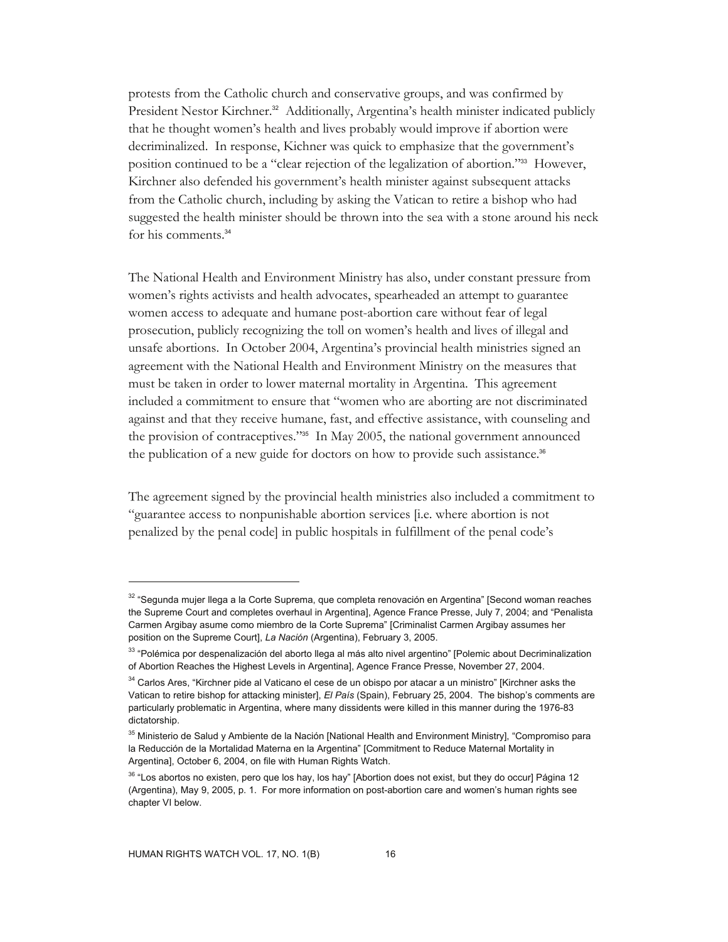protests from the Catholic church and conservative groups, and was confirmed by President Nestor Kirchner.<sup>32</sup> Additionally, Argentina's health minister indicated publicly that he thought women's health and lives probably would improve if abortion were decriminalized. In response, Kichner was quick to emphasize that the government's position continued to be a "clear rejection of the legalization of abortion."33 However, Kirchner also defended his government's health minister against subsequent attacks from the Catholic church, including by asking the Vatican to retire a bishop who had suggested the health minister should be thrown into the sea with a stone around his neck for his comments.<sup>34</sup>

The National Health and Environment Ministry has also, under constant pressure from women's rights activists and health advocates, spearheaded an attempt to guarantee women access to adequate and humane post-abortion care without fear of legal prosecution, publicly recognizing the toll on women's health and lives of illegal and unsafe abortions. In October 2004, Argentina's provincial health ministries signed an agreement with the National Health and Environment Ministry on the measures that must be taken in order to lower maternal mortality in Argentina. This agreement included a commitment to ensure that "women who are aborting are not discriminated against and that they receive humane, fast, and effective assistance, with counseling and the provision of contraceptives."35 In May 2005, the national government announced the publication of a new guide for doctors on how to provide such assistance.<sup>36</sup>

The agreement signed by the provincial health ministries also included a commitment to "guarantee access to nonpunishable abortion services [i.e. where abortion is not penalized by the penal code] in public hospitals in fulfillment of the penal code's

<sup>32 &</sup>quot;Segunda mujer llega a la Corte Suprema, que completa renovación en Argentina" [Second woman reaches the Supreme Court and completes overhaul in Argentina], Agence France Presse, July 7, 2004; and "Penalista Carmen Argibay asume como miembro de la Corte Suprema" [Criminalist Carmen Argibay assumes her position on the Supreme Court], *La Nación* (Argentina), February 3, 2005.

<sup>33 &</sup>quot;Polémica por despenalización del aborto llega al más alto nivel argentino" [Polemic about Decriminalization of Abortion Reaches the Highest Levels in Argentina], Agence France Presse, November 27, 2004.

<sup>&</sup>lt;sup>34</sup> Carlos Ares, "Kirchner pide al Vaticano el cese de un obispo por atacar a un ministro" [Kirchner asks the Vatican to retire bishop for attacking minister], *El País* (Spain), February 25, 2004. The bishop's comments are particularly problematic in Argentina, where many dissidents were killed in this manner during the 1976-83 dictatorship.

<sup>&</sup>lt;sup>35</sup> Ministerio de Salud y Ambiente de la Nación [National Health and Environment Ministry], "Compromiso para la Reducción de la Mortalidad Materna en la Argentina" [Commitment to Reduce Maternal Mortality in Argentina], October 6, 2004, on file with Human Rights Watch.

<sup>&</sup>lt;sup>36</sup> "Los abortos no existen, pero que los hay, los hay" [Abortion does not exist, but they do occur] Página 12 (Argentina), May 9, 2005, p. 1. For more information on post-abortion care and women's human rights see chapter VI below.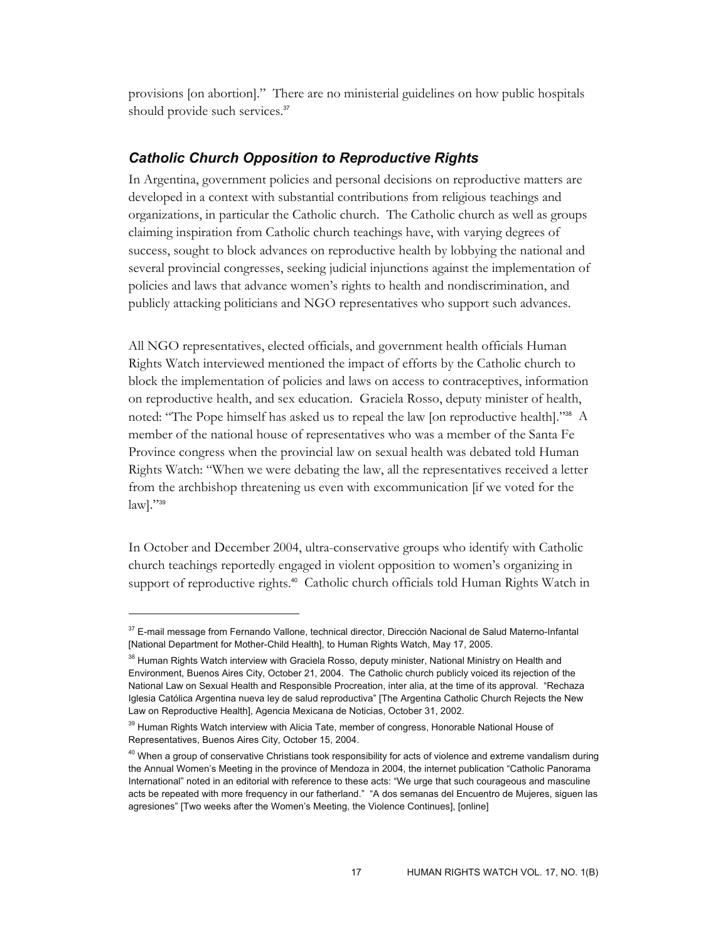provisions [on abortion]." There are no ministerial guidelines on how public hospitals should provide such services.<sup>37</sup>

#### *Catholic Church Opposition to Reproductive Rights*

In Argentina, government policies and personal decisions on reproductive matters are developed in a context with substantial contributions from religious teachings and organizations, in particular the Catholic church. The Catholic church as well as groups claiming inspiration from Catholic church teachings have, with varying degrees of success, sought to block advances on reproductive health by lobbying the national and several provincial congresses, seeking judicial injunctions against the implementation of policies and laws that advance women's rights to health and nondiscrimination, and publicly attacking politicians and NGO representatives who support such advances.

All NGO representatives, elected officials, and government health officials Human Rights Watch interviewed mentioned the impact of efforts by the Catholic church to block the implementation of policies and laws on access to contraceptives, information on reproductive health, and sex education. Graciela Rosso, deputy minister of health, noted: "The Pope himself has asked us to repeal the law [on reproductive health]."38 A member of the national house of representatives who was a member of the Santa Fe Province congress when the provincial law on sexual health was debated told Human Rights Watch: "When we were debating the law, all the representatives received a letter from the archbishop threatening us even with excommunication [if we voted for the  $law$ <sup> $\cdot$ </sup>"<sup>39</sup>

In October and December 2004, ultra-conservative groups who identify with Catholic church teachings reportedly engaged in violent opposition to women's organizing in support of reproductive rights.<sup>40</sup> Catholic church officials told Human Rights Watch in

<sup>37</sup> E-mail message from Fernando Vallone, technical director, Dirección Nacional de Salud Materno-Infantal [National Department for Mother-Child Health], to Human Rights Watch, May 17, 2005.

<sup>&</sup>lt;sup>38</sup> Human Rights Watch interview with Graciela Rosso, deputy minister, National Ministry on Health and Environment, Buenos Aires City, October 21, 2004. The Catholic church publicly voiced its rejection of the National Law on Sexual Health and Responsible Procreation, inter alia, at the time of its approval. "Rechaza Iglesia Católica Argentina nueva ley de salud reproductiva" [The Argentina Catholic Church Rejects the New Law on Reproductive Health], Agencia Mexicana de Noticias, October 31, 2002.

<sup>&</sup>lt;sup>39</sup> Human Rights Watch interview with Alicia Tate, member of congress, Honorable National House of Representatives, Buenos Aires City, October 15, 2004.

<sup>&</sup>lt;sup>40</sup> When a group of conservative Christians took responsibility for acts of violence and extreme vandalism during the Annual Women's Meeting in the province of Mendoza in 2004, the internet publication "Catholic Panorama International" noted in an editorial with reference to these acts: "We urge that such courageous and masculine acts be repeated with more frequency in our fatherland." "A dos semanas del Encuentro de Mujeres, siguen las agresiones" [Two weeks after the Women's Meeting, the Violence Continues], [online]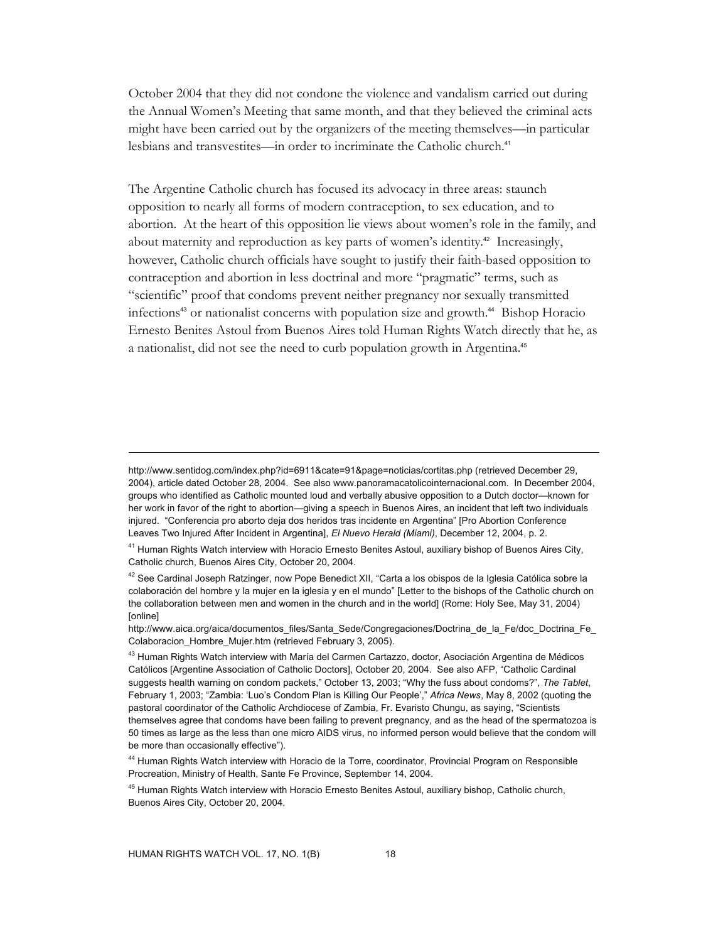October 2004 that they did not condone the violence and vandalism carried out during the Annual Women's Meeting that same month, and that they believed the criminal acts might have been carried out by the organizers of the meeting themselves—in particular lesbians and transvestites—in order to incriminate the Catholic church.<sup>41</sup>

The Argentine Catholic church has focused its advocacy in three areas: staunch opposition to nearly all forms of modern contraception, to sex education, and to abortion. At the heart of this opposition lie views about women's role in the family, and about maternity and reproduction as key parts of women's identity.<sup>42</sup> Increasingly, however, Catholic church officials have sought to justify their faith-based opposition to contraception and abortion in less doctrinal and more "pragmatic" terms, such as "scientific" proof that condoms prevent neither pregnancy nor sexually transmitted infections43 or nationalist concerns with population size and growth.44 Bishop Horacio Ernesto Benites Astoul from Buenos Aires told Human Rights Watch directly that he, as a nationalist, did not see the need to curb population growth in Argentina.<sup>45</sup>

http://www.sentidog.com/index.php?id=6911&cate=91&page=noticias/cortitas.php (retrieved December 29, 2004), article dated October 28, 2004. See also www.panoramacatolicointernacional.com. In December 2004, groups who identified as Catholic mounted loud and verbally abusive opposition to a Dutch doctor—known for her work in favor of the right to abortion—giving a speech in Buenos Aires, an incident that left two individuals injured. "Conferencia pro aborto deja dos heridos tras incidente en Argentina" [Pro Abortion Conference Leaves Two Injured After Incident in Argentina], *El Nuevo Herald (Miami)*, December 12, 2004, p. 2.

<sup>&</sup>lt;sup>41</sup> Human Rights Watch interview with Horacio Ernesto Benites Astoul, auxiliary bishop of Buenos Aires City, Catholic church, Buenos Aires City, October 20, 2004.

<sup>&</sup>lt;sup>42</sup> See Cardinal Joseph Ratzinger, now Pope Benedict XII, "Carta a los obispos de la Iglesia Católica sobre la colaboración del hombre y la mujer en la iglesia y en el mundo" [Letter to the bishops of the Catholic church on the collaboration between men and women in the church and in the world] (Rome: Holy See, May 31, 2004) [online]

http://www.aica.org/aica/documentos\_files/Santa\_Sede/Congregaciones/Doctrina\_de\_la\_Fe/doc\_Doctrina\_Fe Colaboracion\_Hombre\_Mujer.htm (retrieved February 3, 2005).

<sup>&</sup>lt;sup>43</sup> Human Rights Watch interview with María del Carmen Cartazzo, doctor, Asociación Argentina de Médicos Católicos [Argentine Association of Catholic Doctors], October 20, 2004. See also AFP, "Catholic Cardinal suggests health warning on condom packets," October 13, 2003; "Why the fuss about condoms?", *The Tablet*, February 1, 2003; "Zambia: 'Luo's Condom Plan is Killing Our People'," *Africa News*, May 8, 2002 (quoting the pastoral coordinator of the Catholic Archdiocese of Zambia, Fr. Evaristo Chungu, as saying, "Scientists themselves agree that condoms have been failing to prevent pregnancy, and as the head of the spermatozoa is 50 times as large as the less than one micro AIDS virus, no informed person would believe that the condom will be more than occasionally effective").

<sup>&</sup>lt;sup>44</sup> Human Rights Watch interview with Horacio de la Torre, coordinator, Provincial Program on Responsible Procreation, Ministry of Health, Sante Fe Province, September 14, 2004.

<sup>&</sup>lt;sup>45</sup> Human Rights Watch interview with Horacio Ernesto Benites Astoul, auxiliary bishop, Catholic church, Buenos Aires City, October 20, 2004.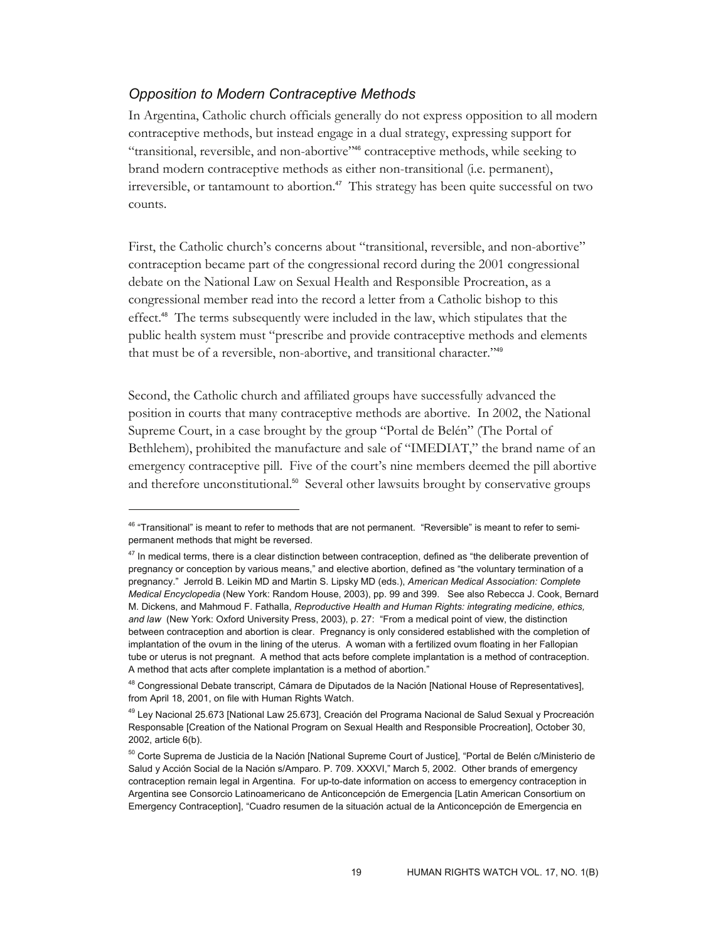#### *Opposition to Modern Contraceptive Methods*

-

In Argentina, Catholic church officials generally do not express opposition to all modern contraceptive methods, but instead engage in a dual strategy, expressing support for "transitional, reversible, and non-abortive"46 contraceptive methods, while seeking to brand modern contraceptive methods as either non-transitional (i.e. permanent), irreversible, or tantamount to abortion.<sup>47</sup> This strategy has been quite successful on two counts.

First, the Catholic church's concerns about "transitional, reversible, and non-abortive" contraception became part of the congressional record during the 2001 congressional debate on the National Law on Sexual Health and Responsible Procreation, as a congressional member read into the record a letter from a Catholic bishop to this effect.48 The terms subsequently were included in the law, which stipulates that the public health system must "prescribe and provide contraceptive methods and elements that must be of a reversible, non-abortive, and transitional character."<sup>49</sup>

Second, the Catholic church and affiliated groups have successfully advanced the position in courts that many contraceptive methods are abortive. In 2002, the National Supreme Court, in a case brought by the group "Portal de Belén" (The Portal of Bethlehem), prohibited the manufacture and sale of "IMEDIAT," the brand name of an emergency contraceptive pill. Five of the court's nine members deemed the pill abortive and therefore unconstitutional.<sup>50</sup> Several other lawsuits brought by conservative groups

<sup>&</sup>lt;sup>46</sup> "Transitional" is meant to refer to methods that are not permanent. "Reversible" is meant to refer to semipermanent methods that might be reversed.

 $47$  In medical terms, there is a clear distinction between contraception, defined as "the deliberate prevention of pregnancy or conception by various means," and elective abortion, defined as "the voluntary termination of a pregnancy." Jerrold B. Leikin MD and Martin S. Lipsky MD (eds.), *American Medical Association: Complete Medical Encyclopedia* (New York: Random House, 2003), pp. 99 and 399. See also Rebecca J. Cook, Bernard M. Dickens, and Mahmoud F. Fathalla, *Reproductive Health and Human Rights: integrating medicine, ethics, and law* (New York: Oxford University Press, 2003), p. 27: "From a medical point of view, the distinction between contraception and abortion is clear. Pregnancy is only considered established with the completion of implantation of the ovum in the lining of the uterus. A woman with a fertilized ovum floating in her Fallopian tube or uterus is not pregnant. A method that acts before complete implantation is a method of contraception. A method that acts after complete implantation is a method of abortion."

<sup>&</sup>lt;sup>48</sup> Congressional Debate transcript, Cámara de Diputados de la Nación [National House of Representatives], from April 18, 2001, on file with Human Rights Watch.

<sup>49</sup> Ley Nacional 25.673 [National Law 25.673], Creación del Programa Nacional de Salud Sexual y Procreación Responsable [Creation of the National Program on Sexual Health and Responsible Procreation], October 30, 2002, article 6(b).

<sup>&</sup>lt;sup>50</sup> Corte Suprema de Justicia de la Nación [National Supreme Court of Justice], "Portal de Belén c/Ministerio de Salud y Acción Social de la Nación s/Amparo. P. 709. XXXVI," March 5, 2002. Other brands of emergency contraception remain legal in Argentina. For up-to-date information on access to emergency contraception in Argentina see Consorcio Latinoamericano de Anticoncepción de Emergencia [Latin American Consortium on Emergency Contraception], "Cuadro resumen de la situación actual de la Anticoncepción de Emergencia en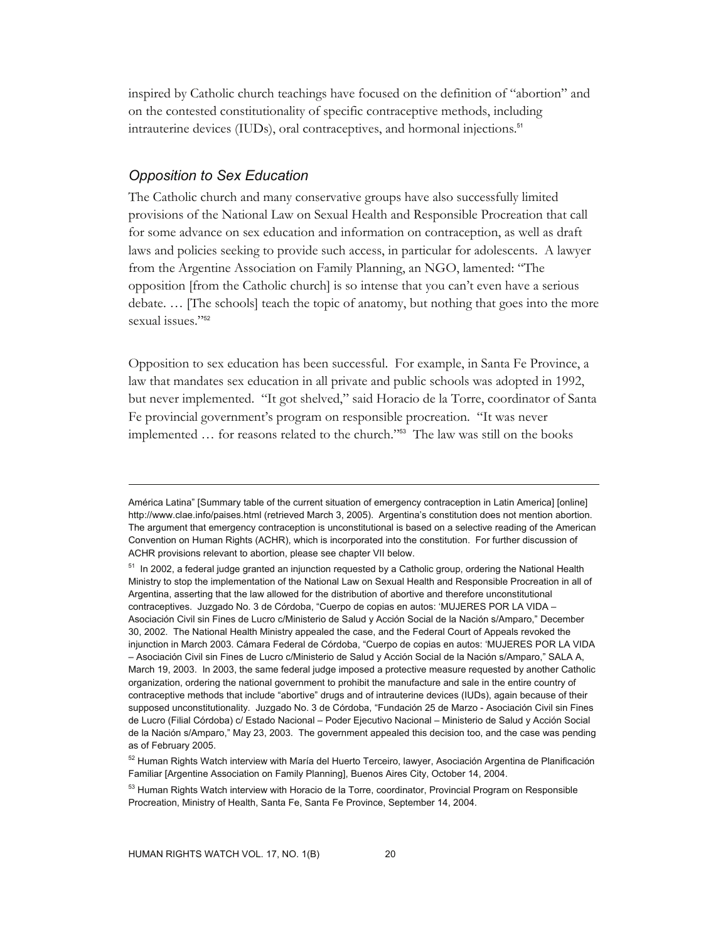inspired by Catholic church teachings have focused on the definition of "abortion" and on the contested constitutionality of specific contraceptive methods, including intrauterine devices (IUDs), oral contraceptives, and hormonal injections.<sup>51</sup>

#### *Opposition to Sex Education*

-

The Catholic church and many conservative groups have also successfully limited provisions of the National Law on Sexual Health and Responsible Procreation that call for some advance on sex education and information on contraception, as well as draft laws and policies seeking to provide such access, in particular for adolescents. A lawyer from the Argentine Association on Family Planning, an NGO, lamented: "The opposition [from the Catholic church] is so intense that you can't even have a serious debate. … [The schools] teach the topic of anatomy, but nothing that goes into the more sexual issues."<sup>52</sup>

Opposition to sex education has been successful. For example, in Santa Fe Province, a law that mandates sex education in all private and public schools was adopted in 1992, but never implemented. "It got shelved," said Horacio de la Torre, coordinator of Santa Fe provincial government's program on responsible procreation. "It was never implemented … for reasons related to the church."53 The law was still on the books

América Latina" [Summary table of the current situation of emergency contraception in Latin America] [online] http://www.clae.info/paises.html (retrieved March 3, 2005). Argentina's constitution does not mention abortion. The argument that emergency contraception is unconstitutional is based on a selective reading of the American Convention on Human Rights (ACHR), which is incorporated into the constitution. For further discussion of ACHR provisions relevant to abortion, please see chapter VII below.

<sup>&</sup>lt;sup>51</sup> In 2002, a federal judge granted an injunction requested by a Catholic group, ordering the National Health Ministry to stop the implementation of the National Law on Sexual Health and Responsible Procreation in all of Argentina, asserting that the law allowed for the distribution of abortive and therefore unconstitutional contraceptives. Juzgado No. 3 de Córdoba, "Cuerpo de copias en autos: 'MUJERES POR LA VIDA – Asociación Civil sin Fines de Lucro c/Ministerio de Salud y Acción Social de la Nación s/Amparo," December 30, 2002. The National Health Ministry appealed the case, and the Federal Court of Appeals revoked the injunction in March 2003. Cámara Federal de Córdoba, "Cuerpo de copias en autos: 'MUJERES POR LA VIDA – Asociación Civil sin Fines de Lucro c/Ministerio de Salud y Acción Social de la Nación s/Amparo," SALA A, March 19, 2003. In 2003, the same federal judge imposed a protective measure requested by another Catholic organization, ordering the national government to prohibit the manufacture and sale in the entire country of contraceptive methods that include "abortive" drugs and of intrauterine devices (IUDs), again because of their supposed unconstitutionality. Juzgado No. 3 de Córdoba, "Fundación 25 de Marzo - Asociación Civil sin Fines de Lucro (Filial Córdoba) c/ Estado Nacional – Poder Ejecutivo Nacional – Ministerio de Salud y Acción Social de la Nación s/Amparo," May 23, 2003. The government appealed this decision too, and the case was pending as of February 2005.

<sup>&</sup>lt;sup>52</sup> Human Rights Watch interview with María del Huerto Terceiro, lawyer, Asociación Argentina de Planificación Familiar [Argentine Association on Family Planning], Buenos Aires City, October 14, 2004.

<sup>&</sup>lt;sup>53</sup> Human Rights Watch interview with Horacio de la Torre, coordinator, Provincial Program on Responsible Procreation, Ministry of Health, Santa Fe, Santa Fe Province, September 14, 2004.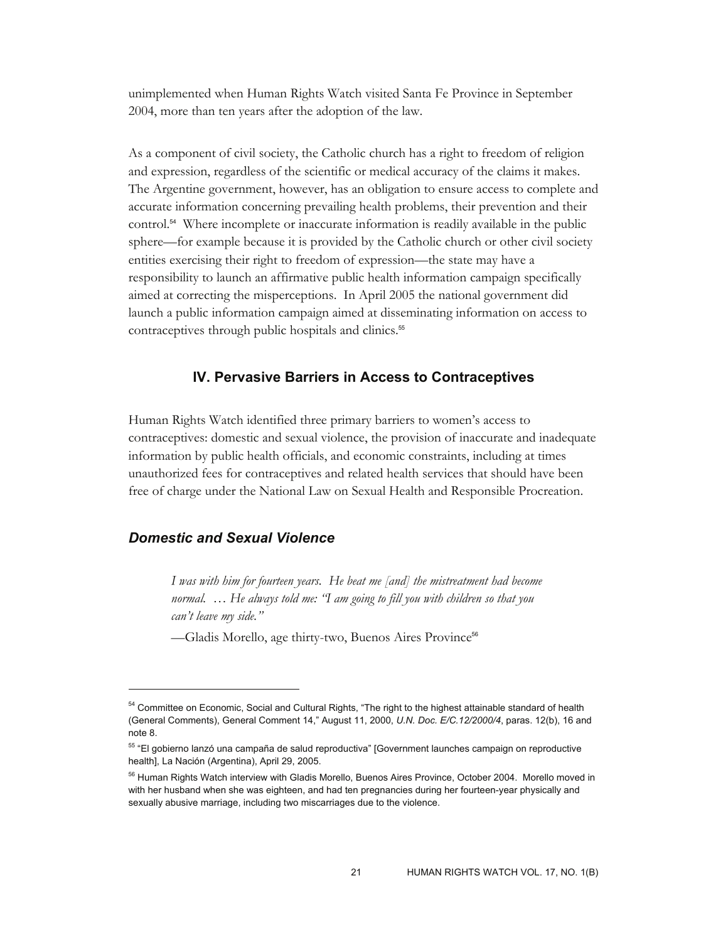unimplemented when Human Rights Watch visited Santa Fe Province in September 2004, more than ten years after the adoption of the law.

As a component of civil society, the Catholic church has a right to freedom of religion and expression, regardless of the scientific or medical accuracy of the claims it makes. The Argentine government, however, has an obligation to ensure access to complete and accurate information concerning prevailing health problems, their prevention and their control.<sup>54</sup> Where incomplete or inaccurate information is readily available in the public sphere—for example because it is provided by the Catholic church or other civil society entities exercising their right to freedom of expression—the state may have a responsibility to launch an affirmative public health information campaign specifically aimed at correcting the misperceptions. In April 2005 the national government did launch a public information campaign aimed at disseminating information on access to contraceptives through public hospitals and clinics.<sup>55</sup>

#### **IV. Pervasive Barriers in Access to Contraceptives**

Human Rights Watch identified three primary barriers to women's access to contraceptives: domestic and sexual violence, the provision of inaccurate and inadequate information by public health officials, and economic constraints, including at times unauthorized fees for contraceptives and related health services that should have been free of charge under the National Law on Sexual Health and Responsible Procreation.

#### *Domestic and Sexual Violence*

-

*I was with him for fourteen years. He beat me [and] the mistreatment had become normal. … He always told me: "I am going to fill you with children so that you can't leave my side."* 

—Gladis Morello, age thirty-two, Buenos Aires Province<sup>56</sup>

<sup>&</sup>lt;sup>54</sup> Committee on Economic, Social and Cultural Rights, "The right to the highest attainable standard of health (General Comments), General Comment 14," August 11, 2000, *U.N. Doc. E/C.12/2000/4*, paras. 12(b), 16 and note 8.

<sup>&</sup>lt;sup>55</sup> "El gobierno lanzó una campaña de salud reproductiva" [Government launches campaign on reproductive health], La Nación (Argentina), April 29, 2005.

<sup>&</sup>lt;sup>56</sup> Human Rights Watch interview with Gladis Morello, Buenos Aires Province, October 2004. Morello moved in with her husband when she was eighteen, and had ten pregnancies during her fourteen-year physically and sexually abusive marriage, including two miscarriages due to the violence.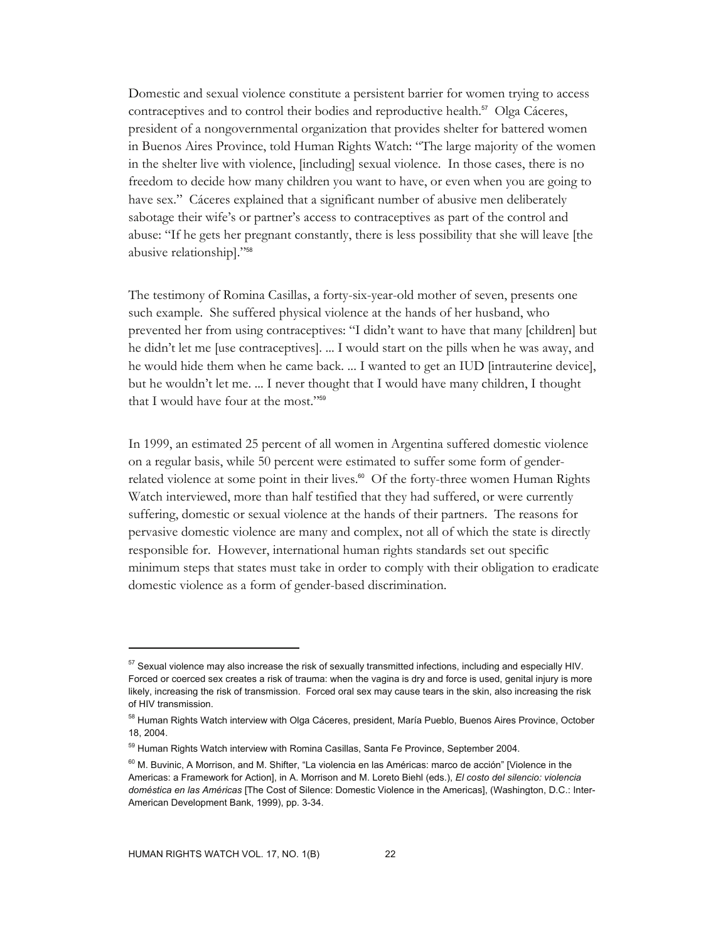Domestic and sexual violence constitute a persistent barrier for women trying to access contraceptives and to control their bodies and reproductive health.<sup>57</sup> Olga Cáceres, president of a nongovernmental organization that provides shelter for battered women in Buenos Aires Province, told Human Rights Watch: "The large majority of the women in the shelter live with violence, [including] sexual violence. In those cases, there is no freedom to decide how many children you want to have, or even when you are going to have sex." Cáceres explained that a significant number of abusive men deliberately sabotage their wife's or partner's access to contraceptives as part of the control and abuse: "If he gets her pregnant constantly, there is less possibility that she will leave [the abusive relationship]."<sup>58</sup>

The testimony of Romina Casillas, a forty-six-year-old mother of seven, presents one such example. She suffered physical violence at the hands of her husband, who prevented her from using contraceptives: "I didn't want to have that many [children] but he didn't let me [use contraceptives]. ... I would start on the pills when he was away, and he would hide them when he came back. ... I wanted to get an IUD [intrauterine device], but he wouldn't let me. ... I never thought that I would have many children, I thought that I would have four at the most."<sup>59</sup>

In 1999, an estimated 25 percent of all women in Argentina suffered domestic violence on a regular basis, while 50 percent were estimated to suffer some form of genderrelated violence at some point in their lives.<sup>60</sup> Of the forty-three women Human Rights Watch interviewed, more than half testified that they had suffered, or were currently suffering, domestic or sexual violence at the hands of their partners. The reasons for pervasive domestic violence are many and complex, not all of which the state is directly responsible for. However, international human rights standards set out specific minimum steps that states must take in order to comply with their obligation to eradicate domestic violence as a form of gender-based discrimination.

 $57$  Sexual violence may also increase the risk of sexually transmitted infections, including and especially HIV. Forced or coerced sex creates a risk of trauma: when the vagina is dry and force is used, genital injury is more likely, increasing the risk of transmission. Forced oral sex may cause tears in the skin, also increasing the risk of HIV transmission.

<sup>&</sup>lt;sup>58</sup> Human Rights Watch interview with Olga Cáceres, president, María Pueblo, Buenos Aires Province, October 18, 2004.

<sup>&</sup>lt;sup>59</sup> Human Rights Watch interview with Romina Casillas, Santa Fe Province, September 2004.

<sup>&</sup>lt;sup>60</sup> M. Buvinic, A Morrison, and M. Shifter, "La violencia en las Américas: marco de acción" [Violence in the Americas: a Framework for Action], in A. Morrison and M. Loreto Biehl (eds.), *El costo del silencio: violencia doméstica en las Américas* [The Cost of Silence: Domestic Violence in the Americas], (Washington, D.C.: Inter-American Development Bank, 1999), pp. 3-34.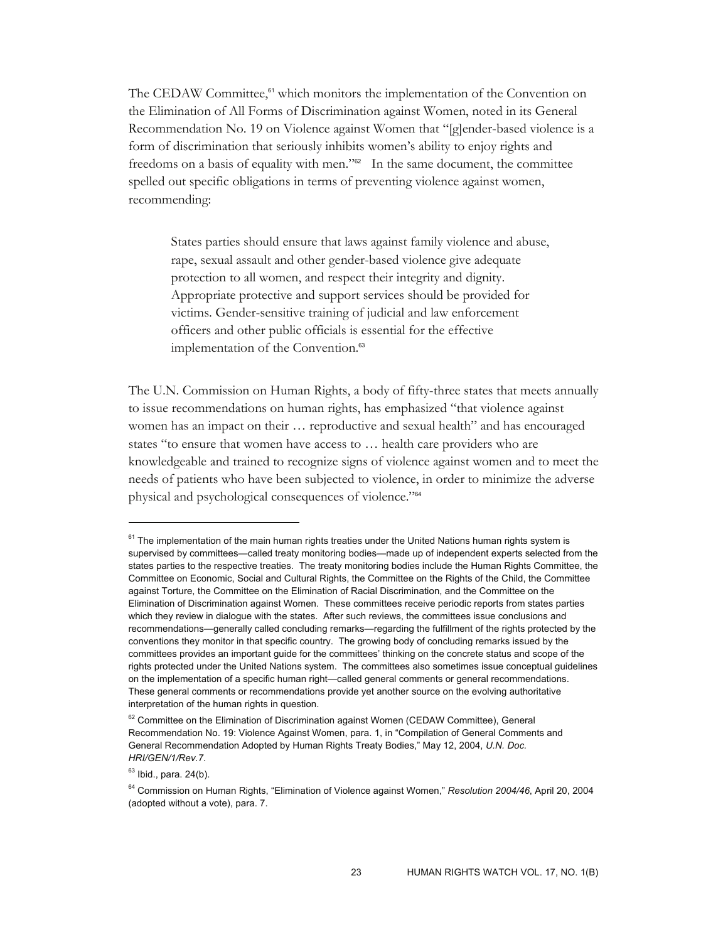The CEDAW Committee, $61$  which monitors the implementation of the Convention on the Elimination of All Forms of Discrimination against Women, noted in its General Recommendation No. 19 on Violence against Women that "[g]ender-based violence is a form of discrimination that seriously inhibits women's ability to enjoy rights and freedoms on a basis of equality with men."62 In the same document, the committee spelled out specific obligations in terms of preventing violence against women, recommending:

States parties should ensure that laws against family violence and abuse, rape, sexual assault and other gender-based violence give adequate protection to all women, and respect their integrity and dignity. Appropriate protective and support services should be provided for victims. Gender-sensitive training of judicial and law enforcement officers and other public officials is essential for the effective implementation of the Convention.<sup>63</sup>

The U.N. Commission on Human Rights, a body of fifty-three states that meets annually to issue recommendations on human rights, has emphasized "that violence against women has an impact on their … reproductive and sexual health" and has encouraged states "to ensure that women have access to … health care providers who are knowledgeable and trained to recognize signs of violence against women and to meet the needs of patients who have been subjected to violence, in order to minimize the adverse physical and psychological consequences of violence."<sup>64</sup>

 $61$  The implementation of the main human rights treaties under the United Nations human rights system is supervised by committees—called treaty monitoring bodies—made up of independent experts selected from the states parties to the respective treaties. The treaty monitoring bodies include the Human Rights Committee, the Committee on Economic, Social and Cultural Rights, the Committee on the Rights of the Child, the Committee against Torture, the Committee on the Elimination of Racial Discrimination, and the Committee on the Elimination of Discrimination against Women. These committees receive periodic reports from states parties which they review in dialogue with the states. After such reviews, the committees issue conclusions and recommendations—generally called concluding remarks—regarding the fulfillment of the rights protected by the conventions they monitor in that specific country. The growing body of concluding remarks issued by the committees provides an important guide for the committees' thinking on the concrete status and scope of the rights protected under the United Nations system. The committees also sometimes issue conceptual guidelines on the implementation of a specific human right—called general comments or general recommendations. These general comments or recommendations provide yet another source on the evolving authoritative interpretation of the human rights in question.

 $62$  Committee on the Elimination of Discrimination against Women (CEDAW Committee), General Recommendation No. 19: Violence Against Women, para. 1, in "Compilation of General Comments and General Recommendation Adopted by Human Rights Treaty Bodies," May 12, 2004, *U.N. Doc. HRI/GEN/1/Rev.7*.

 $63$  Ibid., para. 24(b).

<sup>64</sup> Commission on Human Rights, "Elimination of Violence against Women," *Resolution 2004/46*, April 20, 2004 (adopted without a vote), para. 7.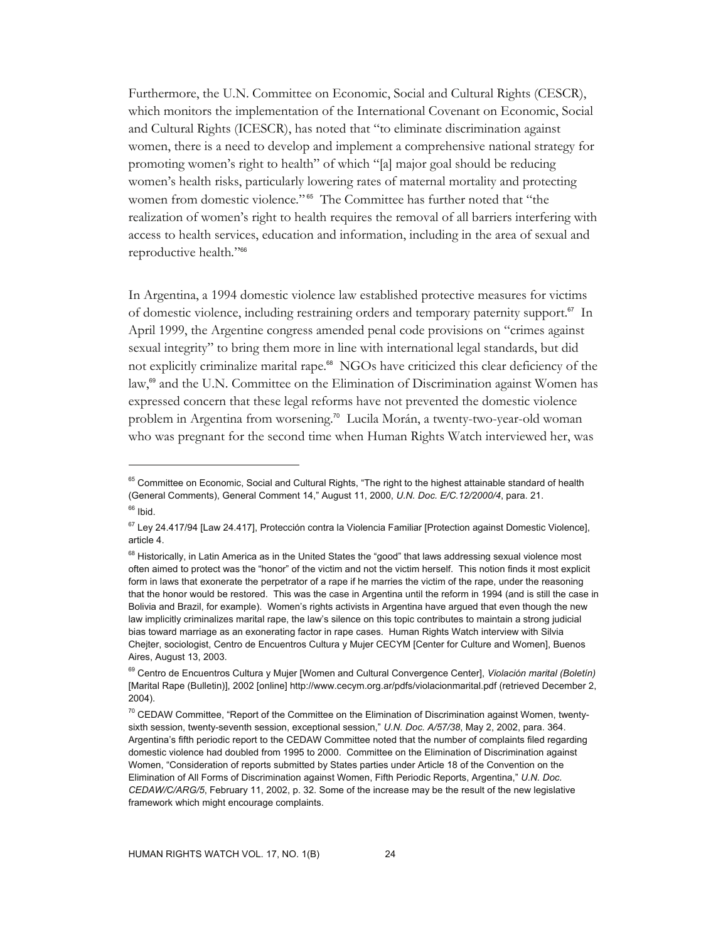Furthermore, the U.N. Committee on Economic, Social and Cultural Rights (CESCR), which monitors the implementation of the International Covenant on Economic, Social and Cultural Rights (ICESCR), has noted that "to eliminate discrimination against women, there is a need to develop and implement a comprehensive national strategy for promoting women's right to health" of which "[a] major goal should be reducing women's health risks, particularly lowering rates of maternal mortality and protecting women from domestic violence."<sup>65</sup> The Committee has further noted that "the realization of women's right to health requires the removal of all barriers interfering with access to health services, education and information, including in the area of sexual and reproductive health*.*"<sup>66</sup>

In Argentina, a 1994 domestic violence law established protective measures for victims of domestic violence, including restraining orders and temporary paternity support.67 In April 1999, the Argentine congress amended penal code provisions on "crimes against sexual integrity" to bring them more in line with international legal standards, but did not explicitly criminalize marital rape.<sup>68</sup> NGOs have criticized this clear deficiency of the law,<sup>69</sup> and the U.N. Committee on the Elimination of Discrimination against Women has expressed concern that these legal reforms have not prevented the domestic violence problem in Argentina from worsening.<sup>70</sup> Lucila Morán, a twenty-two-year-old woman who was pregnant for the second time when Human Rights Watch interviewed her, was

 $\overline{a}$ 

<sup>&</sup>lt;sup>65</sup> Committee on Economic, Social and Cultural Rights, "The right to the highest attainable standard of health (General Comments), General Comment 14," August 11, 2000, *U.N. Doc. E/C.12/2000/4*, para. 21.  $66$  Ibid.

<sup>&</sup>lt;sup>67</sup> Ley 24.417/94 [Law 24.417], Protección contra la Violencia Familiar [Protection against Domestic Violence], article 4.

<sup>&</sup>lt;sup>68</sup> Historically, in Latin America as in the United States the "good" that laws addressing sexual violence most often aimed to protect was the "honor" of the victim and not the victim herself. This notion finds it most explicit form in laws that exonerate the perpetrator of a rape if he marries the victim of the rape, under the reasoning that the honor would be restored. This was the case in Argentina until the reform in 1994 (and is still the case in Bolivia and Brazil, for example). Women's rights activists in Argentina have argued that even though the new law implicitly criminalizes marital rape, the law's silence on this topic contributes to maintain a strong judicial bias toward marriage as an exonerating factor in rape cases. Human Rights Watch interview with Silvia Chejter, sociologist, Centro de Encuentros Cultura y Mujer CECYM [Center for Culture and Women], Buenos Aires, August 13, 2003.

<sup>69</sup> Centro de Encuentros Cultura y Mujer [Women and Cultural Convergence Center], *Violación marital (Boletín)*  [Marital Rape (Bulletin)], 2002 [online] http://www.cecym.org.ar/pdfs/violacionmarital.pdf (retrieved December 2, 2004).

<sup>&</sup>lt;sup>70</sup> CEDAW Committee, "Report of the Committee on the Elimination of Discrimination against Women, twentysixth session, twenty-seventh session, exceptional session," *U.N. Doc. A/57/38*, May 2, 2002, para. 364. Argentina's fifth periodic report to the CEDAW Committee noted that the number of complaints filed regarding domestic violence had doubled from 1995 to 2000. Committee on the Elimination of Discrimination against Women, "Consideration of reports submitted by States parties under Article 18 of the Convention on the Elimination of All Forms of Discrimination against Women, Fifth Periodic Reports, Argentina," *U.N. Doc. CEDAW/C/ARG/5*, February 11, 2002, p. 32. Some of the increase may be the result of the new legislative framework which might encourage complaints.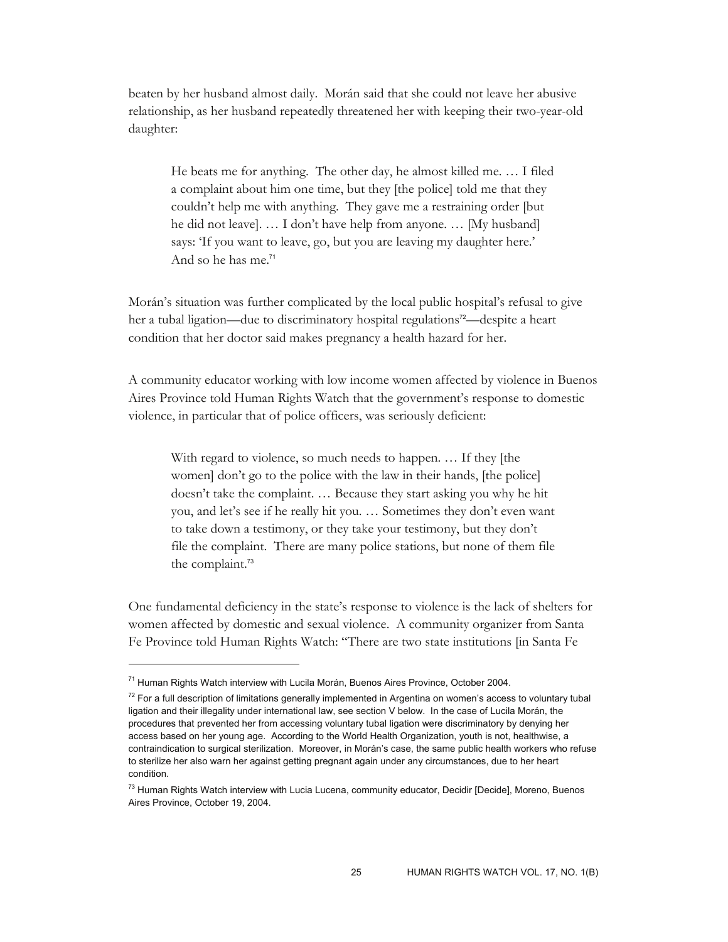beaten by her husband almost daily. Morán said that she could not leave her abusive relationship, as her husband repeatedly threatened her with keeping their two-year-old daughter:

He beats me for anything. The other day, he almost killed me. … I filed a complaint about him one time, but they [the police] told me that they couldn't help me with anything. They gave me a restraining order [but he did not leave]. … I don't have help from anyone. … [My husband] says: 'If you want to leave, go, but you are leaving my daughter here.' And so he has me.<sup>71</sup>

Morán's situation was further complicated by the local public hospital's refusal to give her a tubal ligation—due to discriminatory hospital regulations<sup>72</sup>—despite a heart condition that her doctor said makes pregnancy a health hazard for her.

A community educator working with low income women affected by violence in Buenos Aires Province told Human Rights Watch that the government's response to domestic violence, in particular that of police officers, was seriously deficient:

With regard to violence, so much needs to happen. … If they [the women] don't go to the police with the law in their hands, [the police] doesn't take the complaint. … Because they start asking you why he hit you, and let's see if he really hit you. … Sometimes they don't even want to take down a testimony, or they take your testimony, but they don't file the complaint. There are many police stations, but none of them file the complaint.<sup>73</sup>

One fundamental deficiency in the state's response to violence is the lack of shelters for women affected by domestic and sexual violence. A community organizer from Santa Fe Province told Human Rights Watch: "There are two state institutions [in Santa Fe

 $71$  Human Rights Watch interview with Lucila Morán, Buenos Aires Province, October 2004.

 $72$  For a full description of limitations generally implemented in Argentina on women's access to voluntary tubal ligation and their illegality under international law, see section V below. In the case of Lucila Morán, the procedures that prevented her from accessing voluntary tubal ligation were discriminatory by denying her access based on her young age. According to the World Health Organization, youth is not, healthwise, a contraindication to surgical sterilization. Moreover, in Morán's case, the same public health workers who refuse to sterilize her also warn her against getting pregnant again under any circumstances, due to her heart condition.

<sup>&</sup>lt;sup>73</sup> Human Rights Watch interview with Lucia Lucena, community educator, Decidir [Decide], Moreno, Buenos Aires Province, October 19, 2004.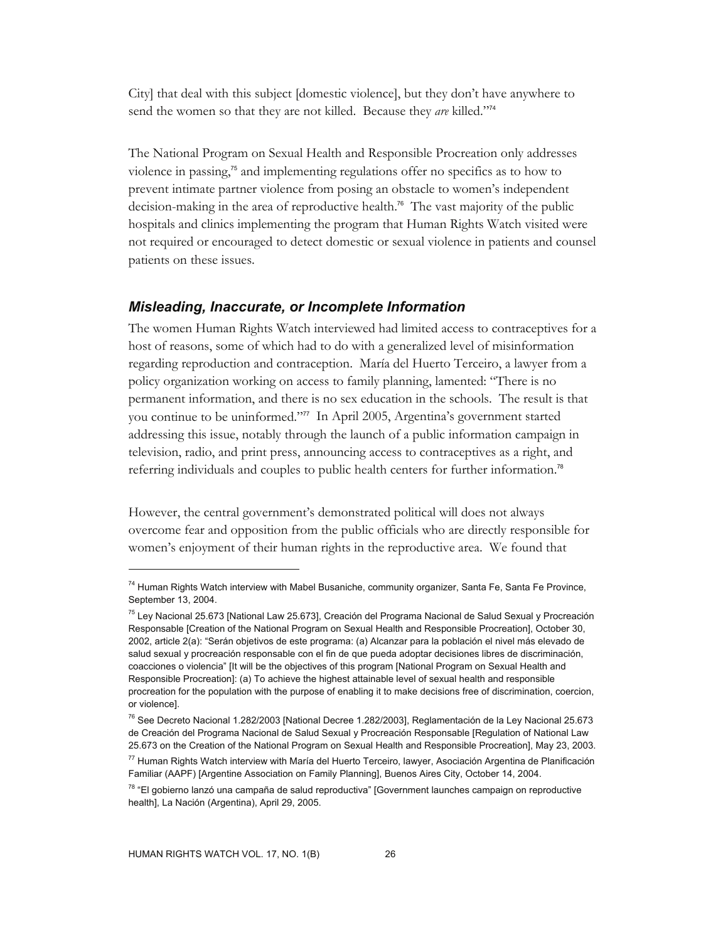City] that deal with this subject [domestic violence], but they don't have anywhere to send the women so that they are not killed. Because they *are* killed."<sup>74</sup>

The National Program on Sexual Health and Responsible Procreation only addresses violence in passing,75 and implementing regulations offer no specifics as to how to prevent intimate partner violence from posing an obstacle to women's independent decision-making in the area of reproductive health.76 The vast majority of the public hospitals and clinics implementing the program that Human Rights Watch visited were not required or encouraged to detect domestic or sexual violence in patients and counsel patients on these issues.

#### *Misleading, Inaccurate, or Incomplete Information*

The women Human Rights Watch interviewed had limited access to contraceptives for a host of reasons, some of which had to do with a generalized level of misinformation regarding reproduction and contraception. María del Huerto Terceiro, a lawyer from a policy organization working on access to family planning, lamented: "There is no permanent information, and there is no sex education in the schools. The result is that you continue to be uninformed."77 In April 2005, Argentina's government started addressing this issue, notably through the launch of a public information campaign in television, radio, and print press, announcing access to contraceptives as a right, and referring individuals and couples to public health centers for further information.<sup>78</sup>

However, the central government's demonstrated political will does not always overcome fear and opposition from the public officials who are directly responsible for women's enjoyment of their human rights in the reproductive area. We found that

<sup>&</sup>lt;sup>74</sup> Human Rights Watch interview with Mabel Busaniche, community organizer, Santa Fe, Santa Fe Province, September 13, 2004.

<sup>75</sup> Ley Nacional 25.673 [National Law 25.673], Creación del Programa Nacional de Salud Sexual y Procreación Responsable [Creation of the National Program on Sexual Health and Responsible Procreation], October 30, 2002, article 2(a): "Serán objetivos de este programa: (a) Alcanzar para la población el nivel más elevado de salud sexual y procreación responsable con el fin de que pueda adoptar decisiones libres de discriminación, coacciones o violencia" [It will be the objectives of this program [National Program on Sexual Health and Responsible Procreation]: (a) To achieve the highest attainable level of sexual health and responsible procreation for the population with the purpose of enabling it to make decisions free of discrimination, coercion, or violence].

<sup>76</sup> See Decreto Nacional 1.282/2003 [National Decree 1.282/2003], Reglamentación de la Ley Nacional 25.673 de Creación del Programa Nacional de Salud Sexual y Procreación Responsable [Regulation of National Law 25.673 on the Creation of the National Program on Sexual Health and Responsible Procreation], May 23, 2003.

<sup>77</sup> Human Rights Watch interview with María del Huerto Terceiro, lawyer, Asociación Argentina de Planificación Familiar (AAPF) [Argentine Association on Family Planning], Buenos Aires City, October 14, 2004.

<sup>&</sup>lt;sup>78</sup> "El gobierno lanzó una campaña de salud reproductiva" [Government launches campaign on reproductive health], La Nación (Argentina), April 29, 2005.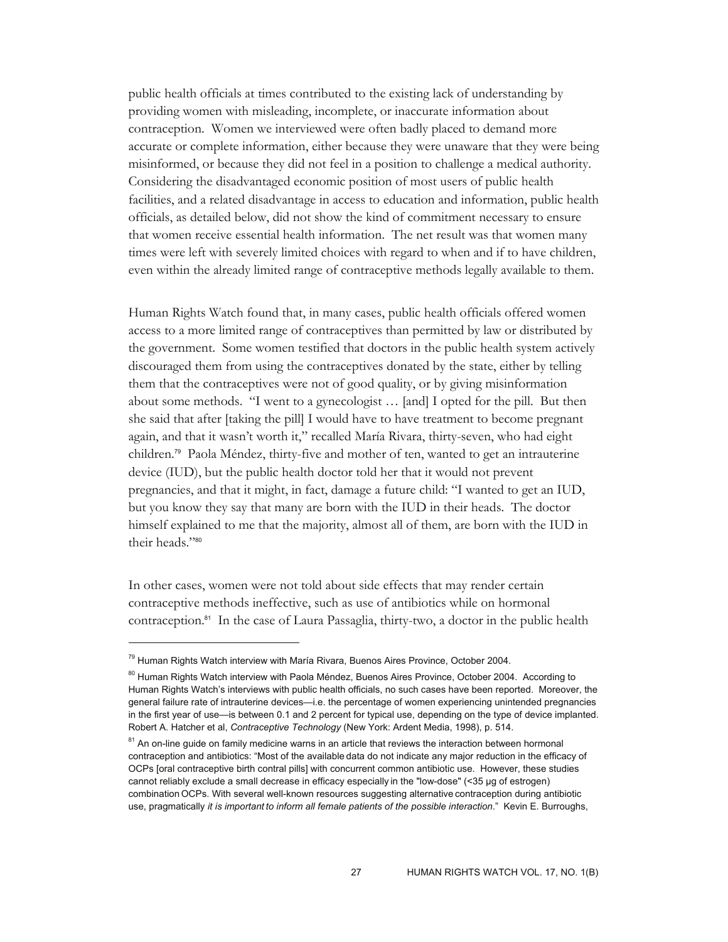public health officials at times contributed to the existing lack of understanding by providing women with misleading, incomplete, or inaccurate information about contraception. Women we interviewed were often badly placed to demand more accurate or complete information, either because they were unaware that they were being misinformed, or because they did not feel in a position to challenge a medical authority. Considering the disadvantaged economic position of most users of public health facilities, and a related disadvantage in access to education and information, public health officials, as detailed below, did not show the kind of commitment necessary to ensure that women receive essential health information. The net result was that women many times were left with severely limited choices with regard to when and if to have children, even within the already limited range of contraceptive methods legally available to them.

Human Rights Watch found that, in many cases, public health officials offered women access to a more limited range of contraceptives than permitted by law or distributed by the government. Some women testified that doctors in the public health system actively discouraged them from using the contraceptives donated by the state, either by telling them that the contraceptives were not of good quality, or by giving misinformation about some methods. "I went to a gynecologist … [and] I opted for the pill. But then she said that after [taking the pill] I would have to have treatment to become pregnant again, and that it wasn't worth it," recalled María Rivara, thirty-seven, who had eight children.79 Paola Méndez, thirty-five and mother of ten, wanted to get an intrauterine device (IUD), but the public health doctor told her that it would not prevent pregnancies, and that it might, in fact, damage a future child: "I wanted to get an IUD, but you know they say that many are born with the IUD in their heads. The doctor himself explained to me that the majority, almost all of them, are born with the IUD in their heads."<sup>80</sup>

In other cases, women were not told about side effects that may render certain contraceptive methods ineffective, such as use of antibiotics while on hormonal contraception.81 In the case of Laura Passaglia, thirty-two, a doctor in the public health

<sup>&</sup>lt;sup>79</sup> Human Rights Watch interview with María Rivara, Buenos Aires Province, October 2004.

<sup>&</sup>lt;sup>80</sup> Human Rights Watch interview with Paola Méndez, Buenos Aires Province, October 2004. According to Human Rights Watch's interviews with public health officials, no such cases have been reported. Moreover, the general failure rate of intrauterine devices—i.e. the percentage of women experiencing unintended pregnancies in the first year of use—is between 0.1 and 2 percent for typical use, depending on the type of device implanted. Robert A. Hatcher et al, *Contraceptive Technology* (New York: Ardent Media, 1998), p. 514.

<sup>&</sup>lt;sup>81</sup> An on-line guide on family medicine warns in an article that reviews the interaction between hormonal contraception and antibiotics: "Most of the available data do not indicate any major reduction in the efficacy of OCPs [oral contraceptive birth contral pills] with concurrent common antibiotic use. However, these studies cannot reliably exclude a small decrease in efficacy especially in the "low-dose" (<35 µg of estrogen) combination OCPs. With several well-known resources suggesting alternative contraception during antibiotic use, pragmatically *it is important to inform all female patients of the possible interaction*." Kevin E. Burroughs,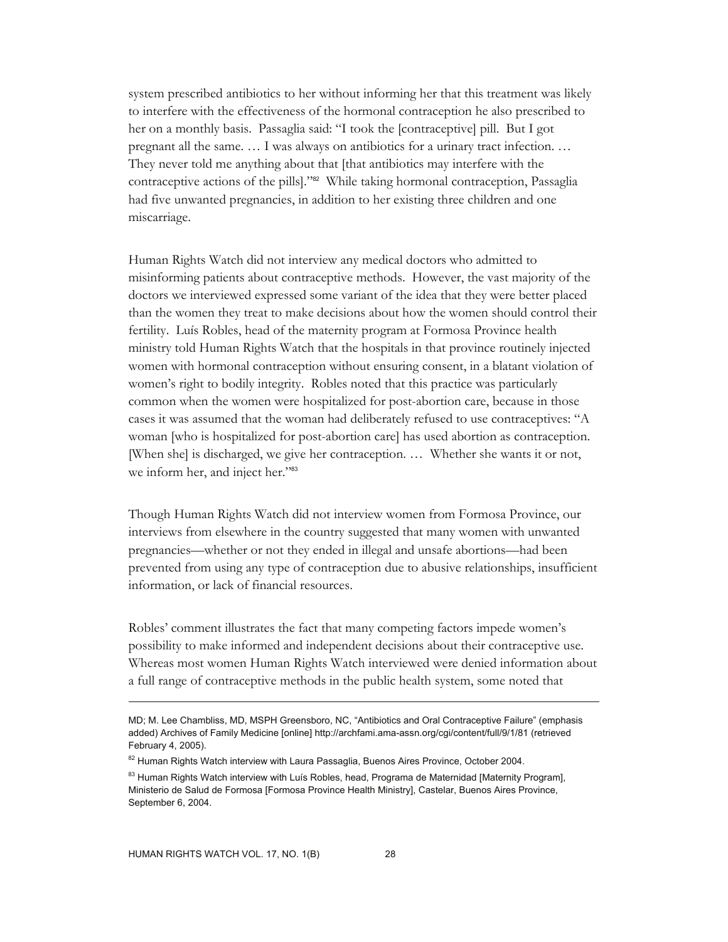system prescribed antibiotics to her without informing her that this treatment was likely to interfere with the effectiveness of the hormonal contraception he also prescribed to her on a monthly basis. Passaglia said: "I took the [contraceptive] pill. But I got pregnant all the same. … I was always on antibiotics for a urinary tract infection. … They never told me anything about that [that antibiotics may interfere with the contraceptive actions of the pills]."82 While taking hormonal contraception, Passaglia had five unwanted pregnancies, in addition to her existing three children and one miscarriage.

Human Rights Watch did not interview any medical doctors who admitted to misinforming patients about contraceptive methods. However, the vast majority of the doctors we interviewed expressed some variant of the idea that they were better placed than the women they treat to make decisions about how the women should control their fertility. Luís Robles, head of the maternity program at Formosa Province health ministry told Human Rights Watch that the hospitals in that province routinely injected women with hormonal contraception without ensuring consent, in a blatant violation of women's right to bodily integrity. Robles noted that this practice was particularly common when the women were hospitalized for post-abortion care, because in those cases it was assumed that the woman had deliberately refused to use contraceptives: "A woman [who is hospitalized for post-abortion care] has used abortion as contraception. [When she] is discharged, we give her contraception. … Whether she wants it or not, we inform her, and inject her."83

Though Human Rights Watch did not interview women from Formosa Province, our interviews from elsewhere in the country suggested that many women with unwanted pregnancies—whether or not they ended in illegal and unsafe abortions—had been prevented from using any type of contraception due to abusive relationships, insufficient information, or lack of financial resources.

Robles' comment illustrates the fact that many competing factors impede women's possibility to make informed and independent decisions about their contraceptive use. Whereas most women Human Rights Watch interviewed were denied information about a full range of contraceptive methods in the public health system, some noted that

 $\overline{a}$ 

MD; M. Lee Chambliss, MD, MSPH Greensboro, NC, "Antibiotics and Oral Contraceptive Failure" (emphasis added) Archives of Family Medicine [online] http://archfami.ama-assn.org/cgi/content/full/9/1/81 (retrieved February 4, 2005).

<sup>82</sup> Human Rights Watch interview with Laura Passaglia, Buenos Aires Province, October 2004.

<sup>&</sup>lt;sup>83</sup> Human Rights Watch interview with Luís Robles, head, Programa de Maternidad [Maternity Program], Ministerio de Salud de Formosa [Formosa Province Health Ministry], Castelar, Buenos Aires Province, September 6, 2004.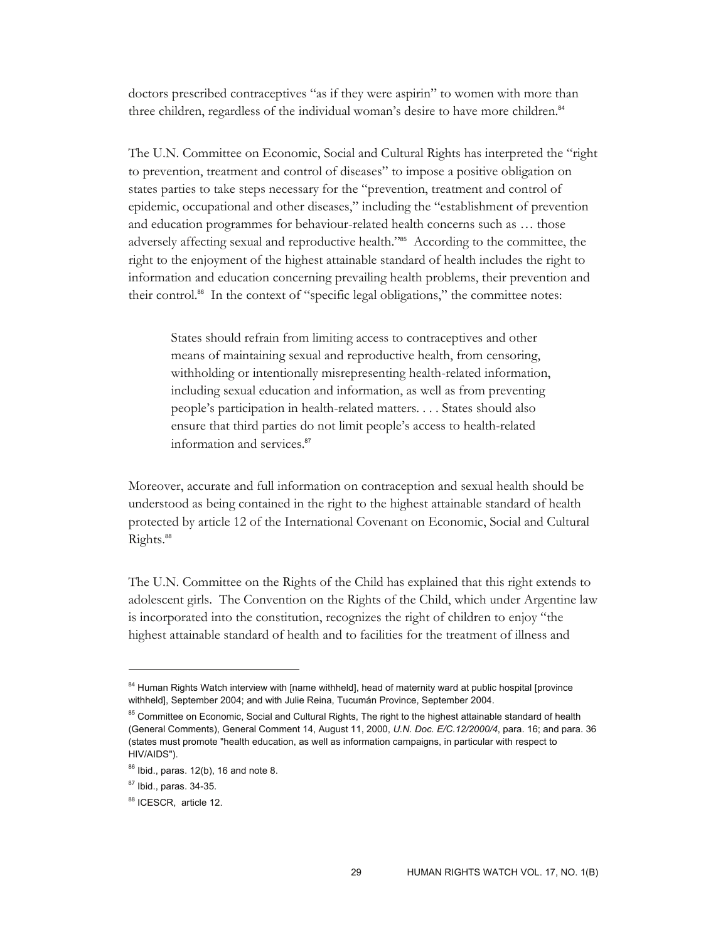doctors prescribed contraceptives "as if they were aspirin" to women with more than three children, regardless of the individual woman's desire to have more children.<sup>84</sup>

The U.N. Committee on Economic, Social and Cultural Rights has interpreted the "right to prevention, treatment and control of diseases" to impose a positive obligation on states parties to take steps necessary for the "prevention, treatment and control of epidemic, occupational and other diseases," including the "establishment of prevention and education programmes for behaviour-related health concerns such as … those adversely affecting sexual and reproductive health."85 According to the committee, the right to the enjoyment of the highest attainable standard of health includes the right to information and education concerning prevailing health problems, their prevention and their control.<sup>86</sup> In the context of "specific legal obligations," the committee notes:

States should refrain from limiting access to contraceptives and other means of maintaining sexual and reproductive health, from censoring, withholding or intentionally misrepresenting health-related information, including sexual education and information, as well as from preventing people's participation in health-related matters. . . . States should also ensure that third parties do not limit people's access to health-related information and services.<sup>87</sup>

Moreover, accurate and full information on contraception and sexual health should be understood as being contained in the right to the highest attainable standard of health protected by article 12 of the International Covenant on Economic, Social and Cultural Rights.<sup>88</sup>

The U.N. Committee on the Rights of the Child has explained that this right extends to adolescent girls. The Convention on the Rights of the Child, which under Argentine law is incorporated into the constitution, recognizes the right of children to enjoy "the highest attainable standard of health and to facilities for the treatment of illness and

<sup>&</sup>lt;sup>84</sup> Human Rights Watch interview with [name withheld], head of maternity ward at public hospital [province withheld], September 2004; and with Julie Reina, Tucumán Province, September 2004.

<sup>&</sup>lt;sup>85</sup> Committee on Economic, Social and Cultural Rights, The right to the highest attainable standard of health (General Comments), General Comment 14, August 11, 2000, *U.N. Doc. E/C.12/2000/4*, para. 16; and para. 36 (states must promote "health education, as well as information campaigns, in particular with respect to HIV/AIDS").

 $86$  Ibid., paras. 12(b), 16 and note 8.

<sup>87</sup> Ibid., paras. 34-35.

<sup>88</sup> ICESCR, article 12.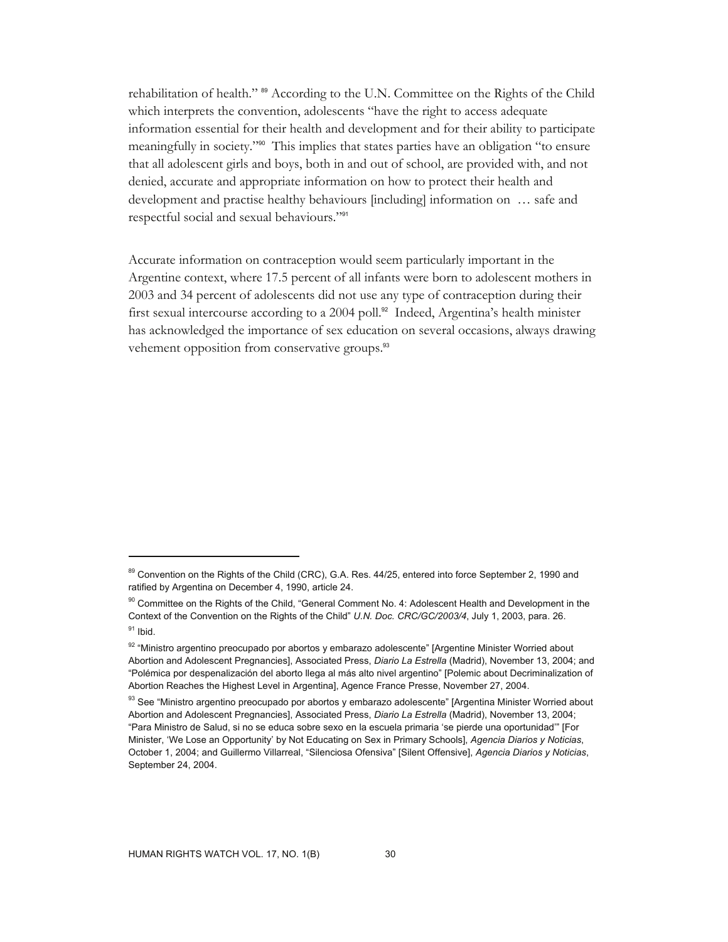rehabilitation of health." 89 According to the U.N. Committee on the Rights of the Child which interprets the convention, adolescents "have the right to access adequate information essential for their health and development and for their ability to participate meaningfully in society."90 This implies that states parties have an obligation "to ensure that all adolescent girls and boys, both in and out of school, are provided with, and not denied, accurate and appropriate information on how to protect their health and development and practise healthy behaviours [including] information on … safe and respectful social and sexual behaviours."<sup>91</sup>

Accurate information on contraception would seem particularly important in the Argentine context, where 17.5 percent of all infants were born to adolescent mothers in 2003 and 34 percent of adolescents did not use any type of contraception during their first sexual intercourse according to a 2004 poll.92 Indeed, Argentina's health minister has acknowledged the importance of sex education on several occasions, always drawing vehement opposition from conservative groups.<sup>93</sup>

 $\overline{a}$ 

<sup>89</sup> Convention on the Rights of the Child (CRC), G.A. Res. 44/25, entered into force September 2, 1990 and ratified by Argentina on December 4, 1990, article 24.

<sup>&</sup>lt;sup>90</sup> Committee on the Rights of the Child, "General Comment No. 4: Adolescent Health and Development in the Context of the Convention on the Rights of the Child" *U.N. Doc. CRC/GC/2003/4*, July 1, 2003, para. 26.  $91$  Ibid.

<sup>92 &</sup>quot;Ministro argentino preocupado por abortos y embarazo adolescente" [Argentine Minister Worried about Abortion and Adolescent Pregnancies], Associated Press, *Diario La Estrella* (Madrid), November 13, 2004; and "Polémica por despenalización del aborto llega al más alto nivel argentino" [Polemic about Decriminalization of Abortion Reaches the Highest Level in Argentina], Agence France Presse, November 27, 2004.

<sup>93</sup> See "Ministro argentino preocupado por abortos y embarazo adolescente" [Argentina Minister Worried about Abortion and Adolescent Pregnancies], Associated Press, *Diario La Estrella* (Madrid), November 13, 2004; "Para Ministro de Salud, si no se educa sobre sexo en la escuela primaria 'se pierde una oportunidad'" [For Minister, 'We Lose an Opportunity' by Not Educating on Sex in Primary Schools], *Agencia Diarios y Noticias*, October 1, 2004; and Guillermo Villarreal, "Silenciosa Ofensiva" [Silent Offensive], *Agencia Diarios y Noticias*, September 24, 2004.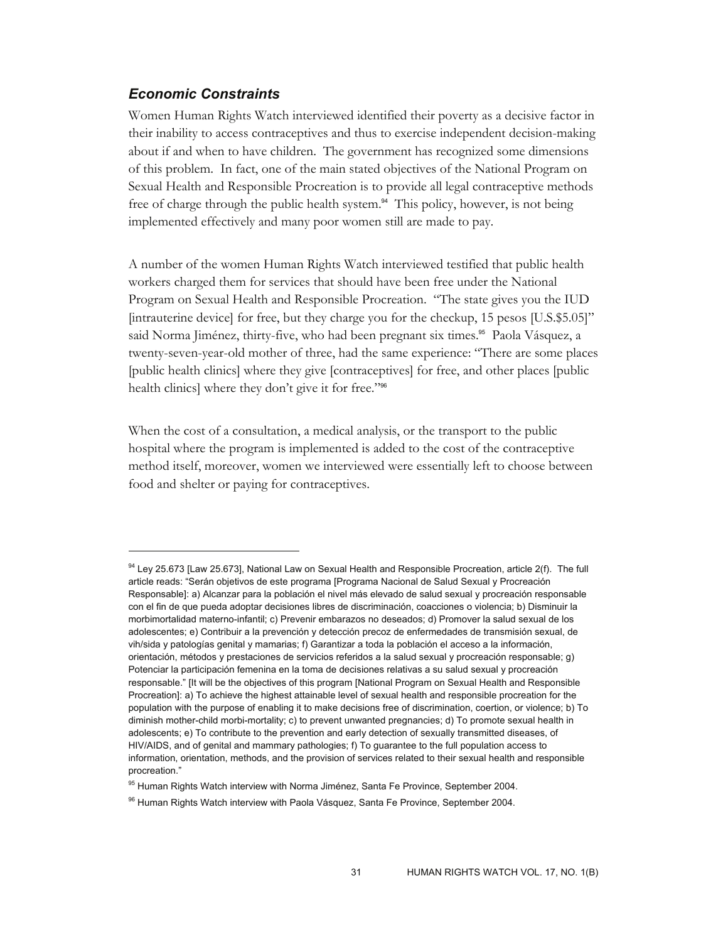## *Economic Constraints*

 $\overline{a}$ 

Women Human Rights Watch interviewed identified their poverty as a decisive factor in their inability to access contraceptives and thus to exercise independent decision-making about if and when to have children. The government has recognized some dimensions of this problem. In fact, one of the main stated objectives of the National Program on Sexual Health and Responsible Procreation is to provide all legal contraceptive methods free of charge through the public health system.94 This policy, however, is not being implemented effectively and many poor women still are made to pay.

A number of the women Human Rights Watch interviewed testified that public health workers charged them for services that should have been free under the National Program on Sexual Health and Responsible Procreation. "The state gives you the IUD [intrauterine device] for free, but they charge you for the checkup, 15 pesos [U.S.\$5.05]" said Norma Jiménez, thirty-five, who had been pregnant six times.<sup>95</sup> Paola Vásquez, a twenty-seven-year-old mother of three, had the same experience: "There are some places [public health clinics] where they give [contraceptives] for free, and other places [public health clinics] where they don't give it for free."<sup>96</sup>

When the cost of a consultation, a medical analysis, or the transport to the public hospital where the program is implemented is added to the cost of the contraceptive method itself, moreover, women we interviewed were essentially left to choose between food and shelter or paying for contraceptives.

<sup>&</sup>lt;sup>94</sup> Ley 25.673 [Law 25.673], National Law on Sexual Health and Responsible Procreation, article 2(f). The full article reads: "Serán objetivos de este programa [Programa Nacional de Salud Sexual y Procreación Responsable]: a) Alcanzar para la población el nivel más elevado de salud sexual y procreación responsable con el fin de que pueda adoptar decisiones libres de discriminación, coacciones o violencia; b) Disminuir la morbimortalidad materno-infantil; c) Prevenir embarazos no deseados; d) Promover la salud sexual de los adolescentes; e) Contribuir a la prevención y detección precoz de enfermedades de transmisión sexual, de vih/sida y patologías genital y mamarias; f) Garantizar a toda la población el acceso a la información, orientación, métodos y prestaciones de servicios referidos a la salud sexual y procreación responsable; g) Potenciar la participación femenina en la toma de decisiones relativas a su salud sexual y procreación responsable." [It will be the objectives of this program [National Program on Sexual Health and Responsible Procreation]: a) To achieve the highest attainable level of sexual health and responsible procreation for the population with the purpose of enabling it to make decisions free of discrimination, coertion, or violence; b) To diminish mother-child morbi-mortality; c) to prevent unwanted pregnancies; d) To promote sexual health in adolescents; e) To contribute to the prevention and early detection of sexually transmitted diseases, of HIV/AIDS, and of genital and mammary pathologies; f) To guarantee to the full population access to information, orientation, methods, and the provision of services related to their sexual health and responsible procreation."

<sup>&</sup>lt;sup>95</sup> Human Rights Watch interview with Norma Jiménez, Santa Fe Province, September 2004.

<sup>96</sup> Human Rights Watch interview with Paola Vásquez, Santa Fe Province, September 2004.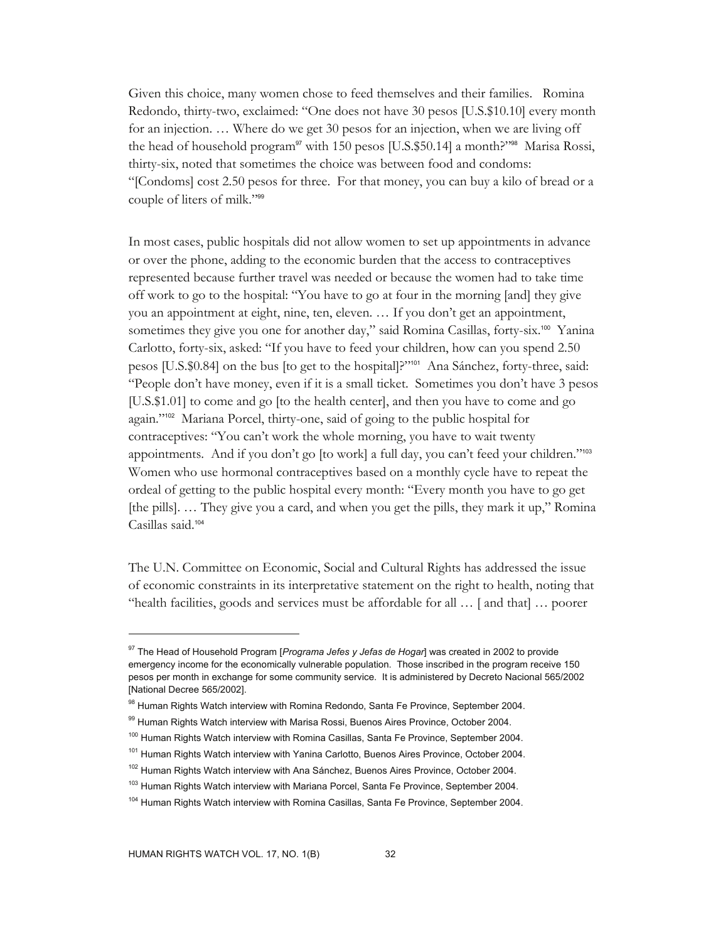Given this choice, many women chose to feed themselves and their families. Romina Redondo, thirty-two, exclaimed: "One does not have 30 pesos [U.S.\$10.10] every month for an injection. … Where do we get 30 pesos for an injection, when we are living off the head of household program<sup>97</sup> with 150 pesos [U.S.\$50.14] a month?"<sup>98</sup> Marisa Rossi, thirty-six, noted that sometimes the choice was between food and condoms: "[Condoms] cost 2.50 pesos for three. For that money, you can buy a kilo of bread or a couple of liters of milk."<sup>99</sup>

In most cases, public hospitals did not allow women to set up appointments in advance or over the phone, adding to the economic burden that the access to contraceptives represented because further travel was needed or because the women had to take time off work to go to the hospital: "You have to go at four in the morning [and] they give you an appointment at eight, nine, ten, eleven. … If you don't get an appointment, sometimes they give you one for another day," said Romina Casillas, forty-six.<sup>100</sup> Yanina Carlotto, forty-six, asked: "If you have to feed your children, how can you spend 2.50 pesos [U.S.\$0.84] on the bus [to get to the hospital]?"101 Ana Sánchez, forty-three, said: "People don't have money, even if it is a small ticket. Sometimes you don't have 3 pesos [U.S.\$1.01] to come and go [to the health center], and then you have to come and go again."102 Mariana Porcel, thirty-one, said of going to the public hospital for contraceptives: "You can't work the whole morning, you have to wait twenty appointments. And if you don't go [to work] a full day, you can't feed your children."<sup>103</sup> Women who use hormonal contraceptives based on a monthly cycle have to repeat the ordeal of getting to the public hospital every month: "Every month you have to go get [the pills]. … They give you a card, and when you get the pills, they mark it up," Romina Casillas said.<sup>104</sup>

The U.N. Committee on Economic, Social and Cultural Rights has addressed the issue of economic constraints in its interpretative statement on the right to health, noting that "health facilities, goods and services must be affordable for all … [ and that] … poorer

<sup>97</sup> The Head of Household Program [*Programa Jefes y Jefas de Hogar*] was created in 2002 to provide emergency income for the economically vulnerable population. Those inscribed in the program receive 150 pesos per month in exchange for some community service. It is administered by Decreto Nacional 565/2002 [National Decree 565/2002].

<sup>98</sup> Human Rights Watch interview with Romina Redondo, Santa Fe Province, September 2004.

<sup>99</sup> Human Rights Watch interview with Marisa Rossi, Buenos Aires Province, October 2004.

<sup>&</sup>lt;sup>100</sup> Human Rights Watch interview with Romina Casillas, Santa Fe Province, September 2004.

<sup>&</sup>lt;sup>101</sup> Human Rights Watch interview with Yanina Carlotto, Buenos Aires Province, October 2004.

<sup>&</sup>lt;sup>102</sup> Human Rights Watch interview with Ana Sánchez, Buenos Aires Province, October 2004.

<sup>&</sup>lt;sup>103</sup> Human Rights Watch interview with Mariana Porcel, Santa Fe Province, September 2004.

<sup>&</sup>lt;sup>104</sup> Human Rights Watch interview with Romina Casillas, Santa Fe Province, September 2004.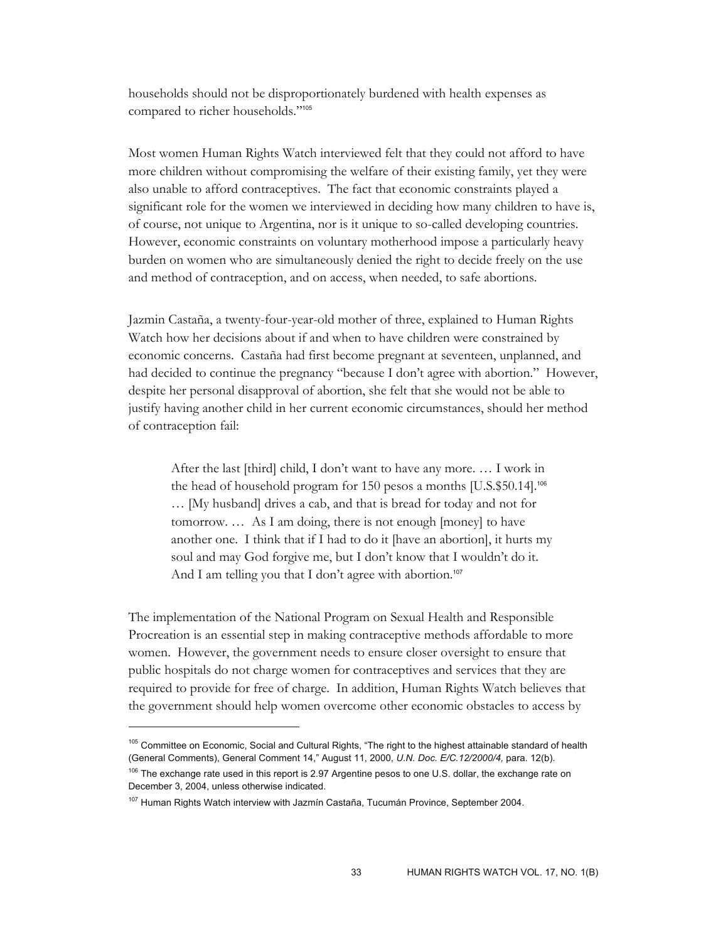households should not be disproportionately burdened with health expenses as compared to richer households."<sup>105</sup>

Most women Human Rights Watch interviewed felt that they could not afford to have more children without compromising the welfare of their existing family, yet they were also unable to afford contraceptives. The fact that economic constraints played a significant role for the women we interviewed in deciding how many children to have is, of course, not unique to Argentina, nor is it unique to so-called developing countries. However, economic constraints on voluntary motherhood impose a particularly heavy burden on women who are simultaneously denied the right to decide freely on the use and method of contraception, and on access, when needed, to safe abortions.

Jazmin Castaña, a twenty-four-year-old mother of three, explained to Human Rights Watch how her decisions about if and when to have children were constrained by economic concerns. Castaña had first become pregnant at seventeen, unplanned, and had decided to continue the pregnancy "because I don't agree with abortion." However, despite her personal disapproval of abortion, she felt that she would not be able to justify having another child in her current economic circumstances, should her method of contraception fail:

After the last [third] child, I don't want to have any more. … I work in the head of household program for 150 pesos a months [U.S.\$50.14].<sup>106</sup> … [My husband] drives a cab, and that is bread for today and not for tomorrow. … As I am doing, there is not enough [money] to have another one. I think that if I had to do it [have an abortion], it hurts my soul and may God forgive me, but I don't know that I wouldn't do it. And I am telling you that I don't agree with abortion.<sup>107</sup>

The implementation of the National Program on Sexual Health and Responsible Procreation is an essential step in making contraceptive methods affordable to more women. However, the government needs to ensure closer oversight to ensure that public hospitals do not charge women for contraceptives and services that they are required to provide for free of charge. In addition, Human Rights Watch believes that the government should help women overcome other economic obstacles to access by

<sup>&</sup>lt;sup>105</sup> Committee on Economic, Social and Cultural Rights, "The right to the highest attainable standard of health (General Comments), General Comment 14," August 11, 2000, *U.N. Doc. E/C.12/2000/4,* para. 12(b).

<sup>&</sup>lt;sup>106</sup> The exchange rate used in this report is 2.97 Argentine pesos to one U.S. dollar, the exchange rate on December 3, 2004, unless otherwise indicated.

<sup>&</sup>lt;sup>107</sup> Human Rights Watch interview with Jazmín Castaña, Tucumán Province, September 2004.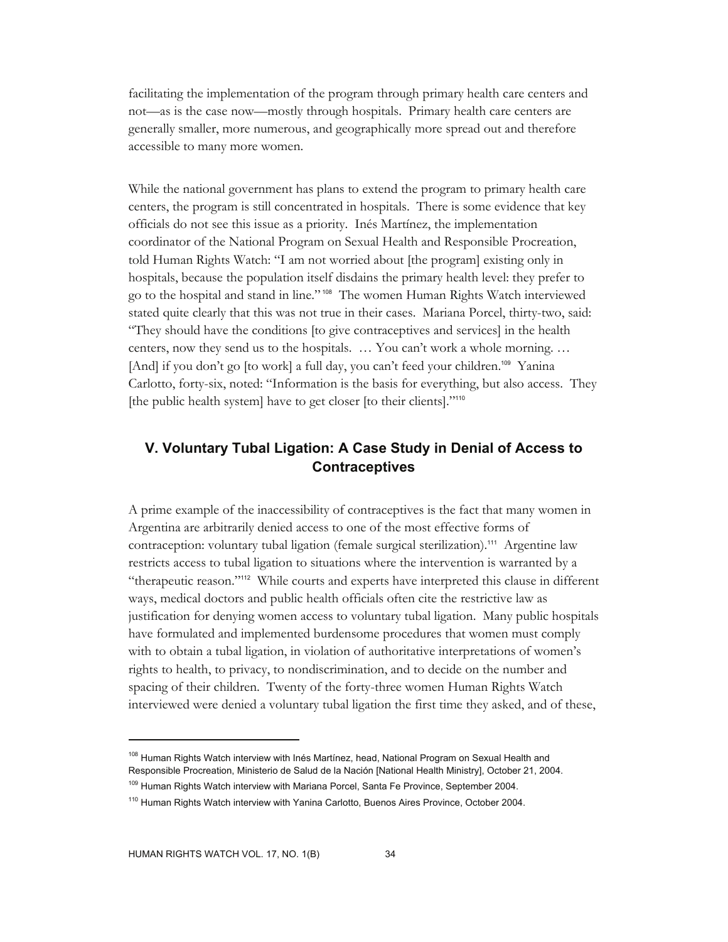facilitating the implementation of the program through primary health care centers and not—as is the case now—mostly through hospitals. Primary health care centers are generally smaller, more numerous, and geographically more spread out and therefore accessible to many more women.

While the national government has plans to extend the program to primary health care centers, the program is still concentrated in hospitals. There is some evidence that key officials do not see this issue as a priority. Inés Martínez, the implementation coordinator of the National Program on Sexual Health and Responsible Procreation, told Human Rights Watch: "I am not worried about [the program] existing only in hospitals, because the population itself disdains the primary health level: they prefer to go to the hospital and stand in line." 108 The women Human Rights Watch interviewed stated quite clearly that this was not true in their cases. Mariana Porcel, thirty-two, said: "They should have the conditions [to give contraceptives and services] in the health centers, now they send us to the hospitals. … You can't work a whole morning. … [And] if you don't go [to work] a full day, you can't feed your children.<sup>109</sup> Yanina Carlotto, forty-six, noted: "Information is the basis for everything, but also access. They [the public health system] have to get closer [to their clients]."110

## **V. Voluntary Tubal Ligation: A Case Study in Denial of Access to Contraceptives**

A prime example of the inaccessibility of contraceptives is the fact that many women in Argentina are arbitrarily denied access to one of the most effective forms of contraception: voluntary tubal ligation (female surgical sterilization).<sup>111</sup> Argentine law restricts access to tubal ligation to situations where the intervention is warranted by a "therapeutic reason."112 While courts and experts have interpreted this clause in different ways, medical doctors and public health officials often cite the restrictive law as justification for denying women access to voluntary tubal ligation. Many public hospitals have formulated and implemented burdensome procedures that women must comply with to obtain a tubal ligation, in violation of authoritative interpretations of women's rights to health, to privacy, to nondiscrimination, and to decide on the number and spacing of their children. Twenty of the forty-three women Human Rights Watch interviewed were denied a voluntary tubal ligation the first time they asked, and of these,

<sup>&</sup>lt;sup>108</sup> Human Rights Watch interview with Inés Martínez, head, National Program on Sexual Health and Responsible Procreation, Ministerio de Salud de la Nación [National Health Ministry], October 21, 2004.

<sup>&</sup>lt;sup>109</sup> Human Rights Watch interview with Mariana Porcel, Santa Fe Province, September 2004.

<sup>&</sup>lt;sup>110</sup> Human Rights Watch interview with Yanina Carlotto, Buenos Aires Province, October 2004.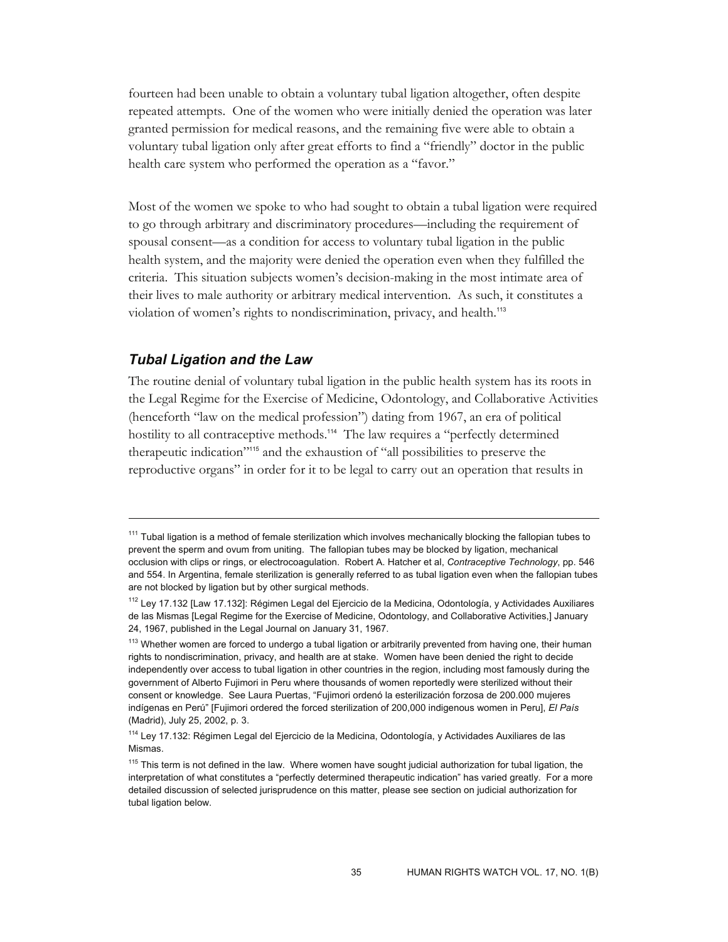fourteen had been unable to obtain a voluntary tubal ligation altogether, often despite repeated attempts. One of the women who were initially denied the operation was later granted permission for medical reasons, and the remaining five were able to obtain a voluntary tubal ligation only after great efforts to find a "friendly" doctor in the public health care system who performed the operation as a "favor."

Most of the women we spoke to who had sought to obtain a tubal ligation were required to go through arbitrary and discriminatory procedures—including the requirement of spousal consent—as a condition for access to voluntary tubal ligation in the public health system, and the majority were denied the operation even when they fulfilled the criteria. This situation subjects women's decision-making in the most intimate area of their lives to male authority or arbitrary medical intervention. As such, it constitutes a violation of women's rights to nondiscrimination, privacy, and health.<sup>113</sup>

### *Tubal Ligation and the Law*

-

The routine denial of voluntary tubal ligation in the public health system has its roots in the Legal Regime for the Exercise of Medicine, Odontology, and Collaborative Activities (henceforth "law on the medical profession") dating from 1967, an era of political hostility to all contraceptive methods.<sup>114</sup> The law requires a "perfectly determined therapeutic indication"115 and the exhaustion of "all possibilities to preserve the reproductive organs" in order for it to be legal to carry out an operation that results in

 $111$  Tubal ligation is a method of female sterilization which involves mechanically blocking the fallopian tubes to prevent the sperm and ovum from uniting. The fallopian tubes may be blocked by ligation, mechanical occlusion with clips or rings, or electrocoagulation. Robert A. Hatcher et al, *Contraceptive Technology*, pp. 546 and 554. In Argentina, female sterilization is generally referred to as tubal ligation even when the fallopian tubes are not blocked by ligation but by other surgical methods.

<sup>112</sup> Ley 17.132 [Law 17.132]: Régimen Legal del Ejercicio de la Medicina, Odontología, y Actividades Auxiliares de las Mismas [Legal Regime for the Exercise of Medicine, Odontology, and Collaborative Activities,] January 24, 1967, published in the Legal Journal on January 31, 1967.

<sup>&</sup>lt;sup>113</sup> Whether women are forced to undergo a tubal ligation or arbitrarily prevented from having one, their human rights to nondiscrimination, privacy, and health are at stake. Women have been denied the right to decide independently over access to tubal ligation in other countries in the region, including most famously during the government of Alberto Fujimori in Peru where thousands of women reportedly were sterilized without their consent or knowledge. See Laura Puertas, "Fujimori ordenó la esterilización forzosa de 200.000 mujeres indígenas en Perú" [Fujimori ordered the forced sterilization of 200,000 indigenous women in Peru], *El País* (Madrid), July 25, 2002, p. 3.

<sup>&</sup>lt;sup>114</sup> Ley 17.132: Régimen Legal del Ejercicio de la Medicina, Odontología, y Actividades Auxiliares de las Mismas.

 $115$  This term is not defined in the law. Where women have sought judicial authorization for tubal ligation, the interpretation of what constitutes a "perfectly determined therapeutic indication" has varied greatly. For a more detailed discussion of selected jurisprudence on this matter, please see section on judicial authorization for tubal ligation below.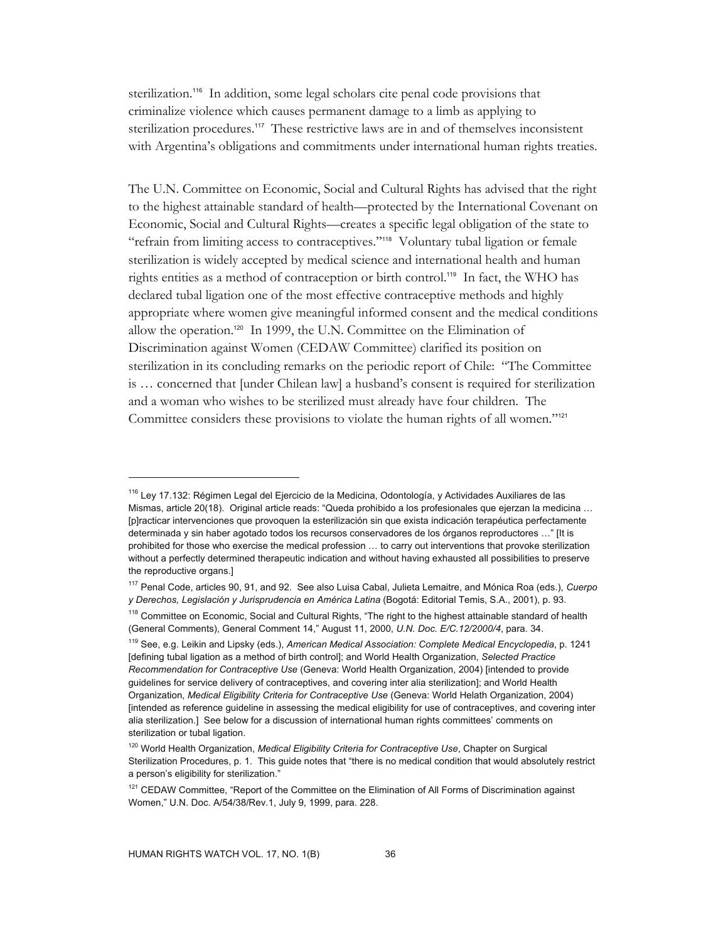sterilization.<sup>116</sup> In addition, some legal scholars cite penal code provisions that criminalize violence which causes permanent damage to a limb as applying to sterilization procedures.<sup>117</sup> These restrictive laws are in and of themselves inconsistent with Argentina's obligations and commitments under international human rights treaties.

The U.N. Committee on Economic, Social and Cultural Rights has advised that the right to the highest attainable standard of health—protected by the International Covenant on Economic, Social and Cultural Rights—creates a specific legal obligation of the state to "refrain from limiting access to contraceptives."<sup>118</sup> Voluntary tubal ligation or female sterilization is widely accepted by medical science and international health and human rights entities as a method of contraception or birth control.119 In fact, the WHO has declared tubal ligation one of the most effective contraceptive methods and highly appropriate where women give meaningful informed consent and the medical conditions allow the operation.120 In 1999, the U.N. Committee on the Elimination of Discrimination against Women (CEDAW Committee) clarified its position on sterilization in its concluding remarks on the periodic report of Chile: "The Committee is … concerned that [under Chilean law] a husband's consent is required for sterilization and a woman who wishes to be sterilized must already have four children. The Committee considers these provisions to violate the human rights of all women."<sup>121</sup>

<sup>&</sup>lt;sup>116</sup> Ley 17.132: Régimen Legal del Ejercicio de la Medicina, Odontología, y Actividades Auxiliares de las Mismas, article 20(18). Original article reads: "Queda prohibido a los profesionales que ejerzan la medicina … [p]racticar intervenciones que provoquen la esterilización sin que exista indicación terapéutica perfectamente determinada y sin haber agotado todos los recursos conservadores de los órganos reproductores …" [It is prohibited for those who exercise the medical profession … to carry out interventions that provoke sterilization without a perfectly determined therapeutic indication and without having exhausted all possibilities to preserve the reproductive organs.]

<sup>117</sup> Penal Code, articles 90, 91, and 92. See also Luisa Cabal, Julieta Lemaitre, and Mónica Roa (eds.), *Cuerpo y Derechos, Legislación y Jurisprudencia en América Latina* (Bogotá: Editorial Temis, S.A., 2001), p. 93.

<sup>&</sup>lt;sup>118</sup> Committee on Economic, Social and Cultural Rights, "The right to the highest attainable standard of health (General Comments), General Comment 14," August 11, 2000, *U.N. Doc. E/C.12/2000/4*, para. 34.

<sup>119</sup> See, e.g. Leikin and Lipsky (eds.), *American Medical Association: Complete Medical Encyclopedia*, p. 1241 [defining tubal ligation as a method of birth control]; and World Health Organization, *Selected Practice Recommendation for Contraceptive Use* (Geneva: World Health Organization, 2004) [intended to provide guidelines for service delivery of contraceptives, and covering inter alia sterilization]; and World Health Organization, *Medical Eligibility Criteria for Contraceptive Use* (Geneva: World Helath Organization, 2004) [intended as reference guideline in assessing the medical eligibility for use of contraceptives, and covering inter alia sterilization.] See below for a discussion of international human rights committees' comments on sterilization or tubal ligation.

<sup>120</sup> World Health Organization, *Medical Eligibility Criteria for Contraceptive Use*, Chapter on Surgical Sterilization Procedures, p. 1. This guide notes that "there is no medical condition that would absolutely restrict a person's eligibility for sterilization."

<sup>&</sup>lt;sup>121</sup> CEDAW Committee, "Report of the Committee on the Elimination of All Forms of Discrimination against Women," U.N. Doc. A/54/38/Rev.1, July 9, 1999, para. 228.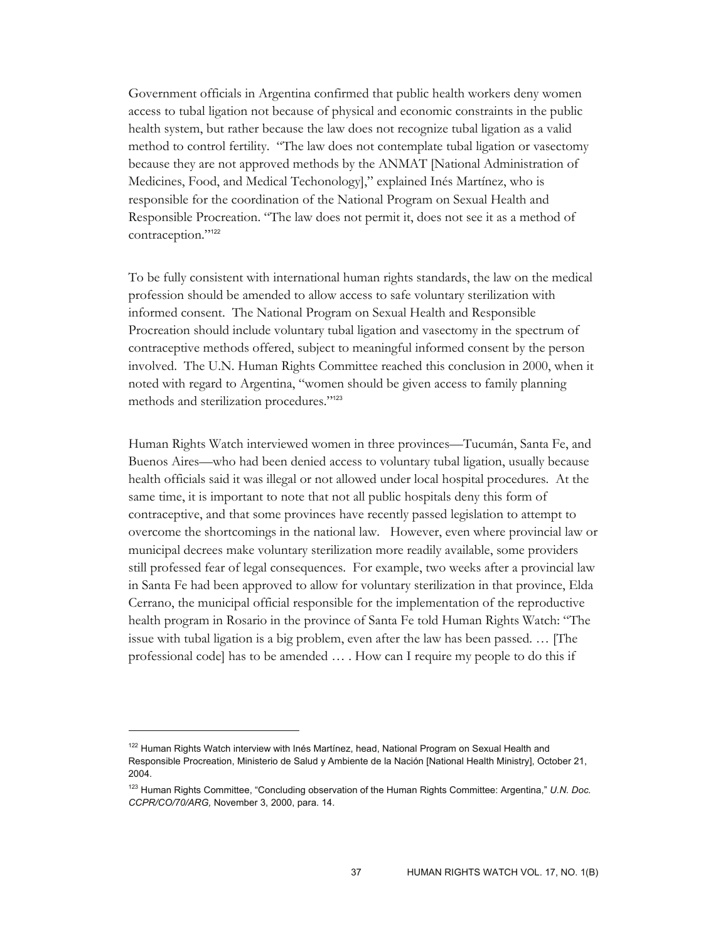Government officials in Argentina confirmed that public health workers deny women access to tubal ligation not because of physical and economic constraints in the public health system, but rather because the law does not recognize tubal ligation as a valid method to control fertility. "The law does not contemplate tubal ligation or vasectomy because they are not approved methods by the ANMAT [National Administration of Medicines, Food, and Medical Techonology]," explained Inés Martínez, who is responsible for the coordination of the National Program on Sexual Health and Responsible Procreation. "The law does not permit it, does not see it as a method of contraception."<sup>122</sup>

To be fully consistent with international human rights standards, the law on the medical profession should be amended to allow access to safe voluntary sterilization with informed consent. The National Program on Sexual Health and Responsible Procreation should include voluntary tubal ligation and vasectomy in the spectrum of contraceptive methods offered, subject to meaningful informed consent by the person involved. The U.N. Human Rights Committee reached this conclusion in 2000, when it noted with regard to Argentina, "women should be given access to family planning methods and sterilization procedures."<sup>123</sup>

Human Rights Watch interviewed women in three provinces—Tucumán, Santa Fe, and Buenos Aires—who had been denied access to voluntary tubal ligation, usually because health officials said it was illegal or not allowed under local hospital procedures. At the same time, it is important to note that not all public hospitals deny this form of contraceptive, and that some provinces have recently passed legislation to attempt to overcome the shortcomings in the national law. However, even where provincial law or municipal decrees make voluntary sterilization more readily available, some providers still professed fear of legal consequences. For example, two weeks after a provincial law in Santa Fe had been approved to allow for voluntary sterilization in that province, Elda Cerrano, the municipal official responsible for the implementation of the reproductive health program in Rosario in the province of Santa Fe told Human Rights Watch: "The issue with tubal ligation is a big problem, even after the law has been passed. … [The professional code] has to be amended … . How can I require my people to do this if

<sup>&</sup>lt;sup>122</sup> Human Rights Watch interview with Inés Martínez, head, National Program on Sexual Health and Responsible Procreation, Ministerio de Salud y Ambiente de la Nación [National Health Ministry], October 21, 2004.

<sup>123</sup> Human Rights Committee, "Concluding observation of the Human Rights Committee: Argentina," *U.N. Doc. CCPR/CO/70/ARG,* November 3, 2000, para. 14.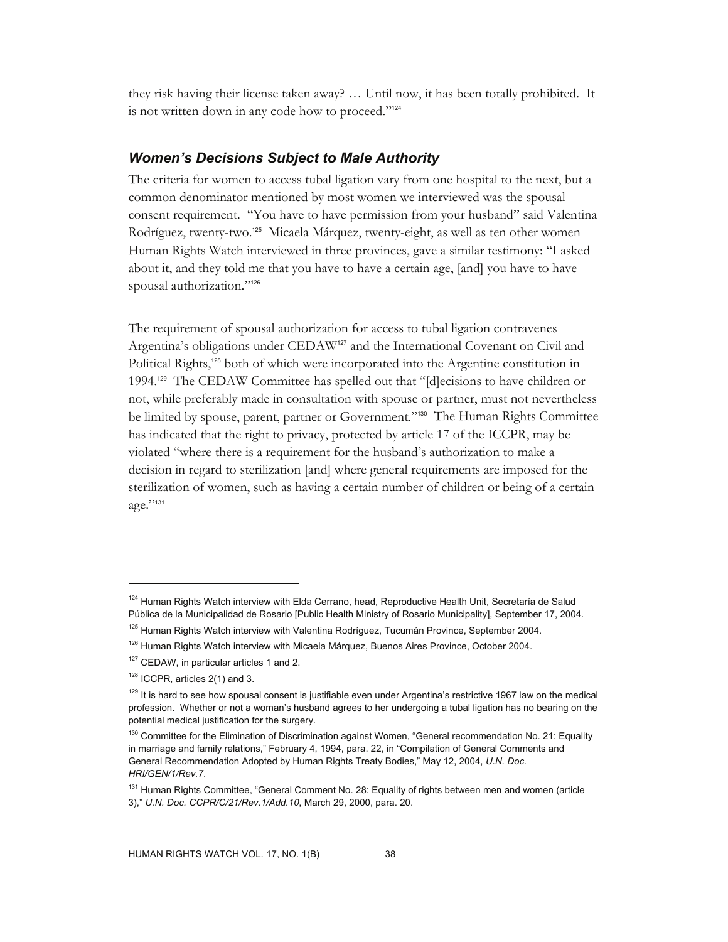they risk having their license taken away? … Until now, it has been totally prohibited. It is not written down in any code how to proceed."<sup>124</sup>

## *Women's Decisions Subject to Male Authority*

The criteria for women to access tubal ligation vary from one hospital to the next, but a common denominator mentioned by most women we interviewed was the spousal consent requirement. "You have to have permission from your husband" said Valentina Rodríguez, twenty-two.125 Micaela Márquez, twenty-eight, as well as ten other women Human Rights Watch interviewed in three provinces, gave a similar testimony: "I asked about it, and they told me that you have to have a certain age, [and] you have to have spousal authorization."<sup>126</sup>

The requirement of spousal authorization for access to tubal ligation contravenes Argentina's obligations under CEDAW<sup>127</sup> and the International Covenant on Civil and Political Rights,<sup>128</sup> both of which were incorporated into the Argentine constitution in 1994.129 The CEDAW Committee has spelled out that "[d]ecisions to have children or not, while preferably made in consultation with spouse or partner, must not nevertheless be limited by spouse, parent, partner or Government."130 The Human Rights Committee has indicated that the right to privacy, protected by article 17 of the ICCPR, may be violated "where there is a requirement for the husband's authorization to make a decision in regard to sterilization [and] where general requirements are imposed for the sterilization of women, such as having a certain number of children or being of a certain age."131

<sup>&</sup>lt;sup>124</sup> Human Rights Watch interview with Elda Cerrano, head, Reproductive Health Unit, Secretaría de Salud Pública de la Municipalidad de Rosario [Public Health Ministry of Rosario Municipality], September 17, 2004.

<sup>&</sup>lt;sup>125</sup> Human Rights Watch interview with Valentina Rodríguez, Tucumán Province, September 2004.

<sup>&</sup>lt;sup>126</sup> Human Rights Watch interview with Micaela Márquez, Buenos Aires Province, October 2004.

<sup>&</sup>lt;sup>127</sup> CEDAW, in particular articles 1 and 2.

 $128$  ICCPR, articles 2(1) and 3.

<sup>&</sup>lt;sup>129</sup> It is hard to see how spousal consent is justifiable even under Argentina's restrictive 1967 law on the medical profession. Whether or not a woman's husband agrees to her undergoing a tubal ligation has no bearing on the potential medical justification for the surgery.

<sup>&</sup>lt;sup>130</sup> Committee for the Elimination of Discrimination against Women, "General recommendation No. 21: Equality in marriage and family relations," February 4, 1994, para. 22, in "Compilation of General Comments and General Recommendation Adopted by Human Rights Treaty Bodies," May 12, 2004, *U.N. Doc. HRI/GEN/1/Rev.7*.

<sup>&</sup>lt;sup>131</sup> Human Rights Committee, "General Comment No. 28: Equality of rights between men and women (article 3)," *U.N. Doc. CCPR/C/21/Rev.1/Add.10*, March 29, 2000, para. 20.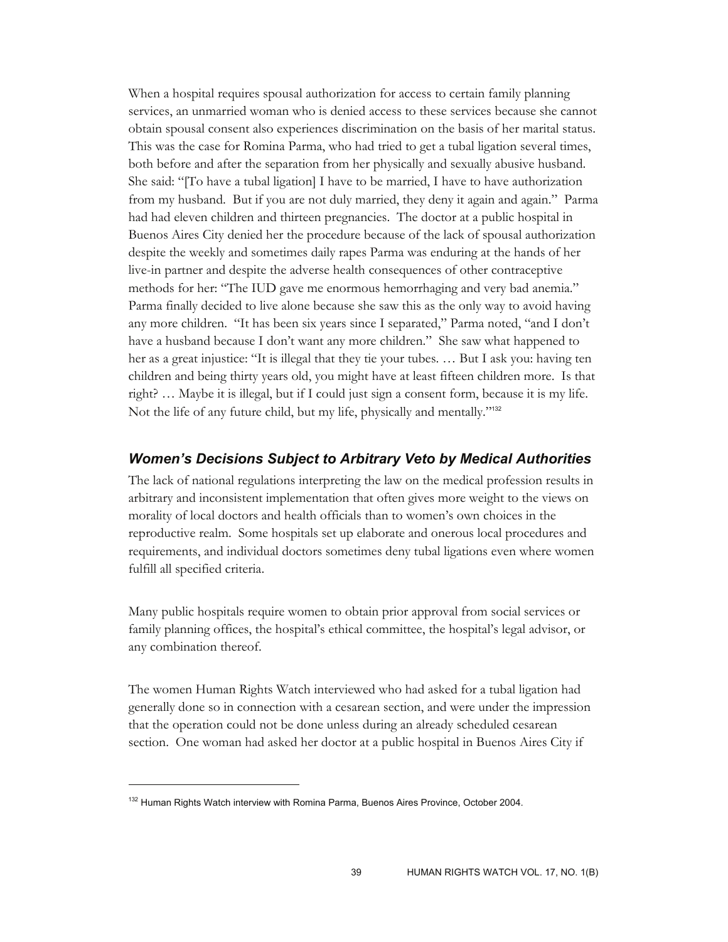When a hospital requires spousal authorization for access to certain family planning services, an unmarried woman who is denied access to these services because she cannot obtain spousal consent also experiences discrimination on the basis of her marital status. This was the case for Romina Parma, who had tried to get a tubal ligation several times, both before and after the separation from her physically and sexually abusive husband. She said: "[To have a tubal ligation] I have to be married, I have to have authorization from my husband. But if you are not duly married, they deny it again and again." Parma had had eleven children and thirteen pregnancies. The doctor at a public hospital in Buenos Aires City denied her the procedure because of the lack of spousal authorization despite the weekly and sometimes daily rapes Parma was enduring at the hands of her live-in partner and despite the adverse health consequences of other contraceptive methods for her: "The IUD gave me enormous hemorrhaging and very bad anemia." Parma finally decided to live alone because she saw this as the only way to avoid having any more children. "It has been six years since I separated," Parma noted, "and I don't have a husband because I don't want any more children." She saw what happened to her as a great injustice: "It is illegal that they tie your tubes. … But I ask you: having ten children and being thirty years old, you might have at least fifteen children more. Is that right? … Maybe it is illegal, but if I could just sign a consent form, because it is my life. Not the life of any future child, but my life, physically and mentally."<sup>132</sup>

### *Women's Decisions Subject to Arbitrary Veto by Medical Authorities*

The lack of national regulations interpreting the law on the medical profession results in arbitrary and inconsistent implementation that often gives more weight to the views on morality of local doctors and health officials than to women's own choices in the reproductive realm. Some hospitals set up elaborate and onerous local procedures and requirements, and individual doctors sometimes deny tubal ligations even where women fulfill all specified criteria.

Many public hospitals require women to obtain prior approval from social services or family planning offices, the hospital's ethical committee, the hospital's legal advisor, or any combination thereof.

The women Human Rights Watch interviewed who had asked for a tubal ligation had generally done so in connection with a cesarean section, and were under the impression that the operation could not be done unless during an already scheduled cesarean section. One woman had asked her doctor at a public hospital in Buenos Aires City if

<sup>&</sup>lt;sup>132</sup> Human Rights Watch interview with Romina Parma, Buenos Aires Province, October 2004.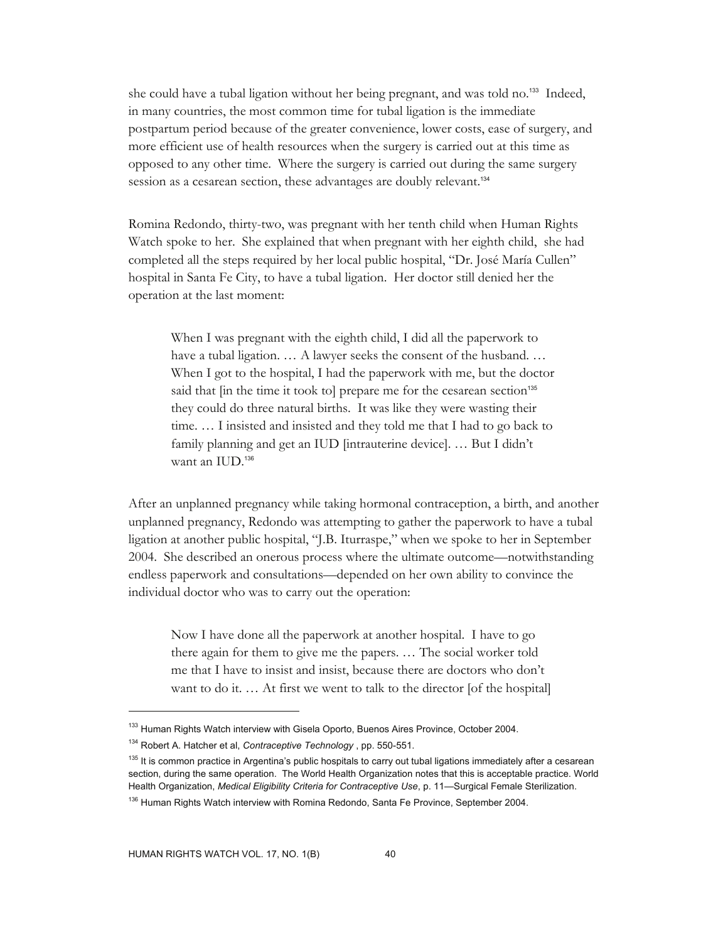she could have a tubal ligation without her being pregnant, and was told no.<sup>133</sup> Indeed, in many countries, the most common time for tubal ligation is the immediate postpartum period because of the greater convenience, lower costs, ease of surgery, and more efficient use of health resources when the surgery is carried out at this time as opposed to any other time. Where the surgery is carried out during the same surgery session as a cesarean section, these advantages are doubly relevant.<sup>134</sup>

Romina Redondo, thirty-two, was pregnant with her tenth child when Human Rights Watch spoke to her. She explained that when pregnant with her eighth child, she had completed all the steps required by her local public hospital, "Dr. José María Cullen" hospital in Santa Fe City, to have a tubal ligation. Her doctor still denied her the operation at the last moment:

When I was pregnant with the eighth child, I did all the paperwork to have a tubal ligation. ... A lawyer seeks the consent of the husband. ... When I got to the hospital, I had the paperwork with me, but the doctor said that [in the time it took to] prepare me for the cesarean section<sup>135</sup> they could do three natural births. It was like they were wasting their time. … I insisted and insisted and they told me that I had to go back to family planning and get an IUD [intrauterine device]. … But I didn't want an IUD.<sup>136</sup>

After an unplanned pregnancy while taking hormonal contraception, a birth, and another unplanned pregnancy, Redondo was attempting to gather the paperwork to have a tubal ligation at another public hospital, "J.B. Iturraspe," when we spoke to her in September 2004. She described an onerous process where the ultimate outcome—notwithstanding endless paperwork and consultations—depended on her own ability to convince the individual doctor who was to carry out the operation:

Now I have done all the paperwork at another hospital. I have to go there again for them to give me the papers. … The social worker told me that I have to insist and insist, because there are doctors who don't want to do it. ... At first we went to talk to the director [of the hospital]

<sup>&</sup>lt;sup>133</sup> Human Rights Watch interview with Gisela Oporto, Buenos Aires Province, October 2004.

<sup>134</sup> Robert A. Hatcher et al, *Contraceptive Technology* , pp. 550-551.

<sup>&</sup>lt;sup>135</sup> It is common practice in Argentina's public hospitals to carry out tubal ligations immediately after a cesarean section, during the same operation. The World Health Organization notes that this is acceptable practice. World Health Organization, *Medical Eligibility Criteria for Contraceptive Use*, p. 11—Surgical Female Sterilization.

<sup>&</sup>lt;sup>136</sup> Human Rights Watch interview with Romina Redondo, Santa Fe Province, September 2004.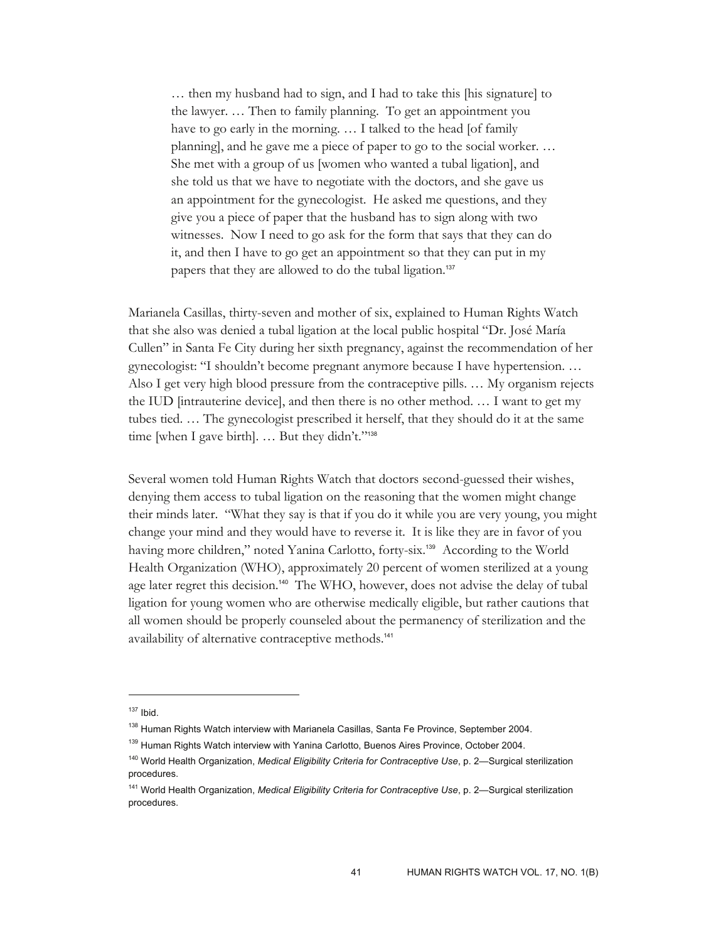… then my husband had to sign, and I had to take this [his signature] to the lawyer. … Then to family planning. To get an appointment you have to go early in the morning. ... I talked to the head [of family planning], and he gave me a piece of paper to go to the social worker. … She met with a group of us [women who wanted a tubal ligation], and she told us that we have to negotiate with the doctors, and she gave us an appointment for the gynecologist. He asked me questions, and they give you a piece of paper that the husband has to sign along with two witnesses. Now I need to go ask for the form that says that they can do it, and then I have to go get an appointment so that they can put in my papers that they are allowed to do the tubal ligation.<sup>137</sup>

Marianela Casillas, thirty-seven and mother of six, explained to Human Rights Watch that she also was denied a tubal ligation at the local public hospital "Dr. José María Cullen" in Santa Fe City during her sixth pregnancy, against the recommendation of her gynecologist: "I shouldn't become pregnant anymore because I have hypertension. … Also I get very high blood pressure from the contraceptive pills. … My organism rejects the IUD [intrauterine device], and then there is no other method. … I want to get my tubes tied. … The gynecologist prescribed it herself, that they should do it at the same time [when I gave birth]. ... But they didn't."<sup>138</sup>

Several women told Human Rights Watch that doctors second-guessed their wishes, denying them access to tubal ligation on the reasoning that the women might change their minds later. "What they say is that if you do it while you are very young, you might change your mind and they would have to reverse it. It is like they are in favor of you having more children," noted Yanina Carlotto, forty-six.<sup>139</sup> According to the World Health Organization (WHO), approximately 20 percent of women sterilized at a young age later regret this decision.140 The WHO, however, does not advise the delay of tubal ligation for young women who are otherwise medically eligible, but rather cautions that all women should be properly counseled about the permanency of sterilization and the availability of alternative contraceptive methods.<sup>141</sup>

 $137$  Ibid.

<sup>&</sup>lt;sup>138</sup> Human Rights Watch interview with Marianela Casillas, Santa Fe Province, September 2004.

<sup>&</sup>lt;sup>139</sup> Human Rights Watch interview with Yanina Carlotto, Buenos Aires Province, October 2004.

<sup>140</sup> World Health Organization, *Medical Eligibility Criteria for Contraceptive Use*, p. 2—Surgical sterilization procedures.

<sup>141</sup> World Health Organization, *Medical Eligibility Criteria for Contraceptive Use*, p. 2—Surgical sterilization procedures.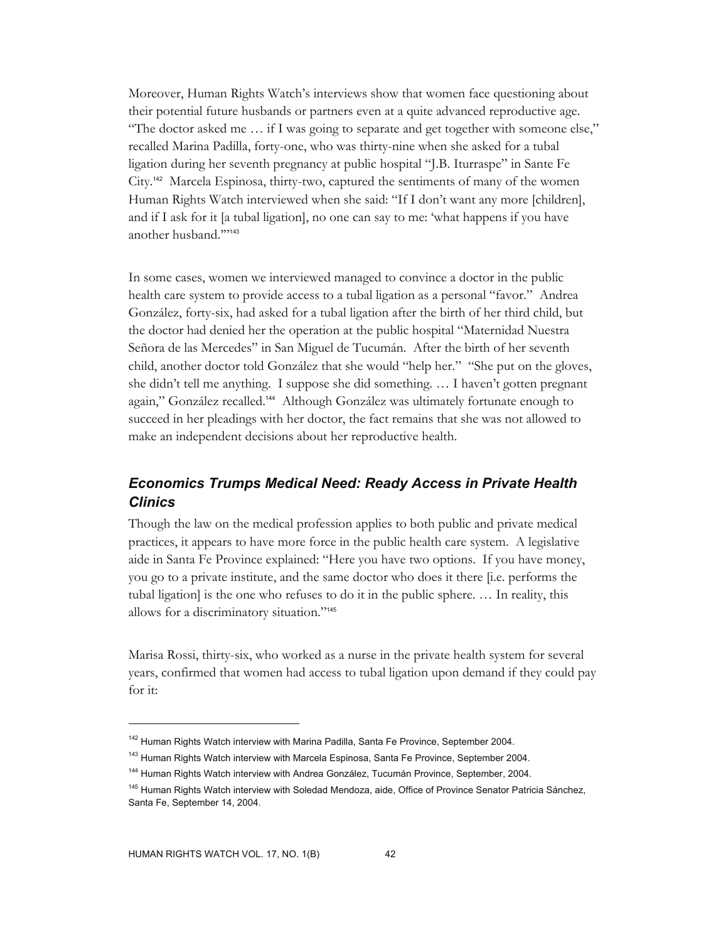Moreover, Human Rights Watch's interviews show that women face questioning about their potential future husbands or partners even at a quite advanced reproductive age. "The doctor asked me … if I was going to separate and get together with someone else," recalled Marina Padilla, forty-one, who was thirty-nine when she asked for a tubal ligation during her seventh pregnancy at public hospital "J.B. Iturraspe" in Sante Fe City.142 Marcela Espinosa, thirty-two, captured the sentiments of many of the women Human Rights Watch interviewed when she said: "If I don't want any more [children], and if I ask for it [a tubal ligation], no one can say to me: 'what happens if you have another husband.'"<sup>143</sup>

In some cases, women we interviewed managed to convince a doctor in the public health care system to provide access to a tubal ligation as a personal "favor." Andrea González, forty-six, had asked for a tubal ligation after the birth of her third child, but the doctor had denied her the operation at the public hospital "Maternidad Nuestra Señora de las Mercedes" in San Miguel de Tucumán. After the birth of her seventh child, another doctor told González that she would "help her." "She put on the gloves, she didn't tell me anything. I suppose she did something. … I haven't gotten pregnant again," González recalled.144 Although González was ultimately fortunate enough to succeed in her pleadings with her doctor, the fact remains that she was not allowed to make an independent decisions about her reproductive health.

# *Economics Trumps Medical Need: Ready Access in Private Health Clinics*

Though the law on the medical profession applies to both public and private medical practices, it appears to have more force in the public health care system. A legislative aide in Santa Fe Province explained: "Here you have two options. If you have money, you go to a private institute, and the same doctor who does it there [i.e. performs the tubal ligation] is the one who refuses to do it in the public sphere. … In reality, this allows for a discriminatory situation."<sup>145</sup>

Marisa Rossi, thirty-six, who worked as a nurse in the private health system for several years, confirmed that women had access to tubal ligation upon demand if they could pay for it:

<sup>&</sup>lt;sup>142</sup> Human Rights Watch interview with Marina Padilla, Santa Fe Province, September 2004.

<sup>&</sup>lt;sup>143</sup> Human Rights Watch interview with Marcela Espinosa, Santa Fe Province, September 2004.

<sup>&</sup>lt;sup>144</sup> Human Rights Watch interview with Andrea González, Tucumán Province, September, 2004.

<sup>&</sup>lt;sup>145</sup> Human Rights Watch interview with Soledad Mendoza, aide, Office of Province Senator Patricia Sánchez, Santa Fe, September 14, 2004.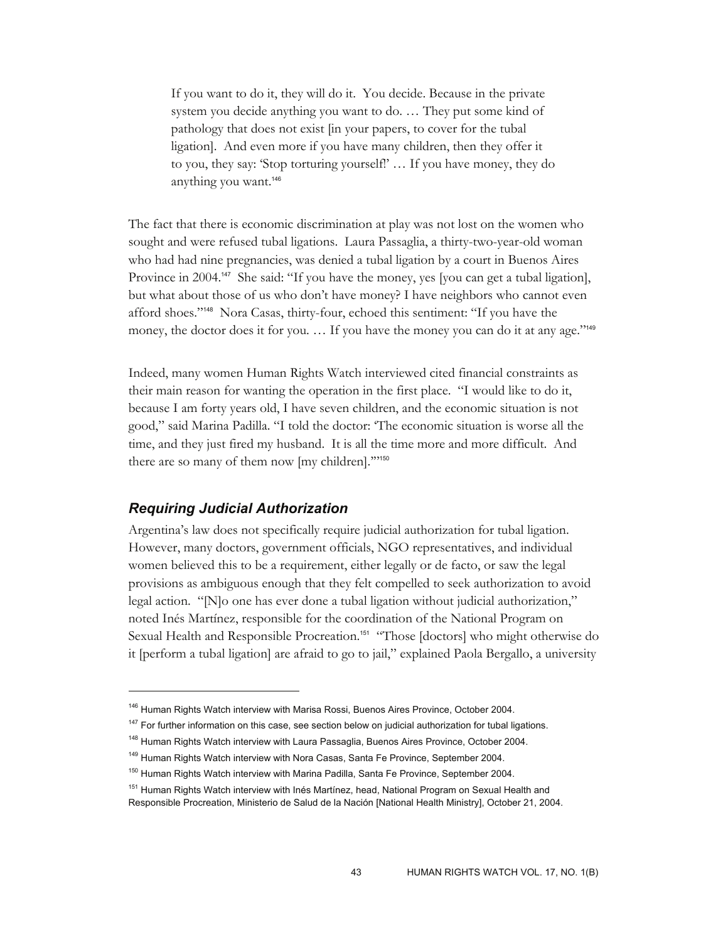If you want to do it, they will do it. You decide. Because in the private system you decide anything you want to do. … They put some kind of pathology that does not exist [in your papers, to cover for the tubal ligation]. And even more if you have many children, then they offer it to you, they say: 'Stop torturing yourself!' … If you have money, they do anything you want.<sup>146</sup>

The fact that there is economic discrimination at play was not lost on the women who sought and were refused tubal ligations. Laura Passaglia, a thirty-two-year-old woman who had had nine pregnancies, was denied a tubal ligation by a court in Buenos Aires Province in 2004.<sup>147</sup> She said: "If you have the money, yes [you can get a tubal ligation], but what about those of us who don't have money? I have neighbors who cannot even afford shoes."148 Nora Casas, thirty-four, echoed this sentiment: "If you have the money, the doctor does it for you. ... If you have the money you can do it at any age."<sup>149</sup>

Indeed, many women Human Rights Watch interviewed cited financial constraints as their main reason for wanting the operation in the first place. "I would like to do it, because I am forty years old, I have seven children, and the economic situation is not good," said Marina Padilla. "I told the doctor: 'The economic situation is worse all the time, and they just fired my husband. It is all the time more and more difficult. And there are so many of them now [my children].'"<sup>150</sup>

#### *Requiring Judicial Authorization*

-

Argentina's law does not specifically require judicial authorization for tubal ligation. However, many doctors, government officials, NGO representatives, and individual women believed this to be a requirement, either legally or de facto, or saw the legal provisions as ambiguous enough that they felt compelled to seek authorization to avoid legal action. "[N]o one has ever done a tubal ligation without judicial authorization," noted Inés Martínez, responsible for the coordination of the National Program on Sexual Health and Responsible Procreation.<sup>151</sup> "Those [doctors] who might otherwise do it [perform a tubal ligation] are afraid to go to jail," explained Paola Bergallo, a university

<sup>&</sup>lt;sup>146</sup> Human Rights Watch interview with Marisa Rossi, Buenos Aires Province, October 2004.

<sup>&</sup>lt;sup>147</sup> For further information on this case, see section below on judicial authorization for tubal ligations.

<sup>&</sup>lt;sup>148</sup> Human Rights Watch interview with Laura Passaglia, Buenos Aires Province, October 2004.

<sup>&</sup>lt;sup>149</sup> Human Rights Watch interview with Nora Casas, Santa Fe Province, September 2004.

<sup>&</sup>lt;sup>150</sup> Human Rights Watch interview with Marina Padilla, Santa Fe Province, September 2004.

<sup>&</sup>lt;sup>151</sup> Human Rights Watch interview with Inés Martínez, head, National Program on Sexual Health and Responsible Procreation, Ministerio de Salud de la Nación [National Health Ministry], October 21, 2004.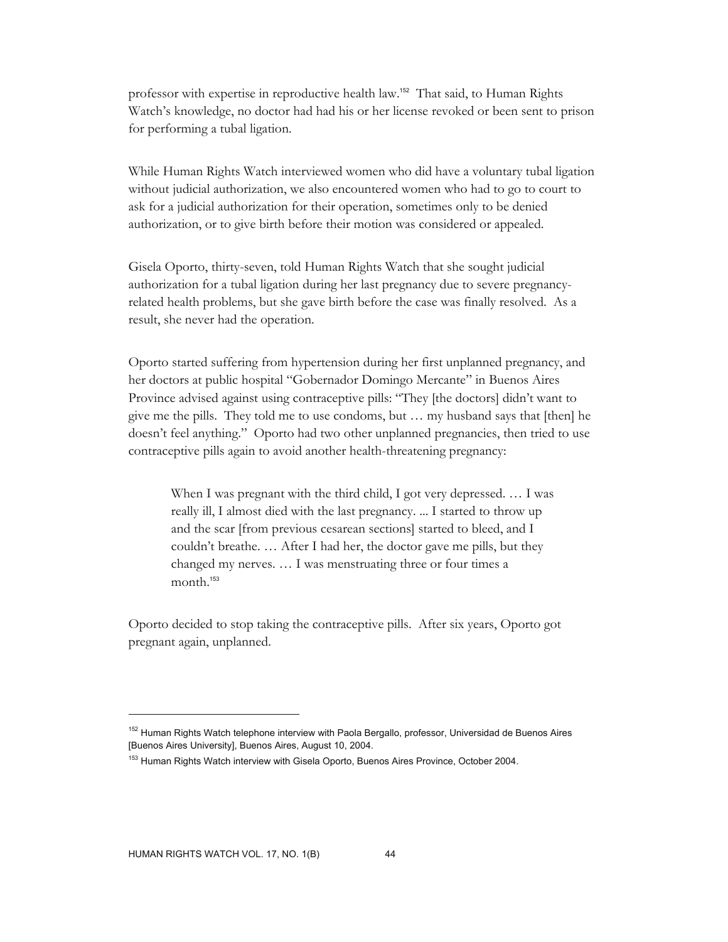professor with expertise in reproductive health law.152 That said, to Human Rights Watch's knowledge, no doctor had had his or her license revoked or been sent to prison for performing a tubal ligation.

While Human Rights Watch interviewed women who did have a voluntary tubal ligation without judicial authorization, we also encountered women who had to go to court to ask for a judicial authorization for their operation, sometimes only to be denied authorization, or to give birth before their motion was considered or appealed.

Gisela Oporto, thirty-seven, told Human Rights Watch that she sought judicial authorization for a tubal ligation during her last pregnancy due to severe pregnancyrelated health problems, but she gave birth before the case was finally resolved. As a result, she never had the operation.

Oporto started suffering from hypertension during her first unplanned pregnancy, and her doctors at public hospital "Gobernador Domingo Mercante" in Buenos Aires Province advised against using contraceptive pills: "They [the doctors] didn't want to give me the pills. They told me to use condoms, but … my husband says that [then] he doesn't feel anything." Oporto had two other unplanned pregnancies, then tried to use contraceptive pills again to avoid another health-threatening pregnancy:

When I was pregnant with the third child, I got very depressed. … I was really ill, I almost died with the last pregnancy. ... I started to throw up and the scar [from previous cesarean sections] started to bleed, and I couldn't breathe. … After I had her, the doctor gave me pills, but they changed my nerves. … I was menstruating three or four times a month.<sup>153</sup>

Oporto decided to stop taking the contraceptive pills. After six years, Oporto got pregnant again, unplanned.

<sup>&</sup>lt;sup>152</sup> Human Rights Watch telephone interview with Paola Bergallo, professor, Universidad de Buenos Aires [Buenos Aires University], Buenos Aires, August 10, 2004.

<sup>&</sup>lt;sup>153</sup> Human Rights Watch interview with Gisela Oporto, Buenos Aires Province, October 2004.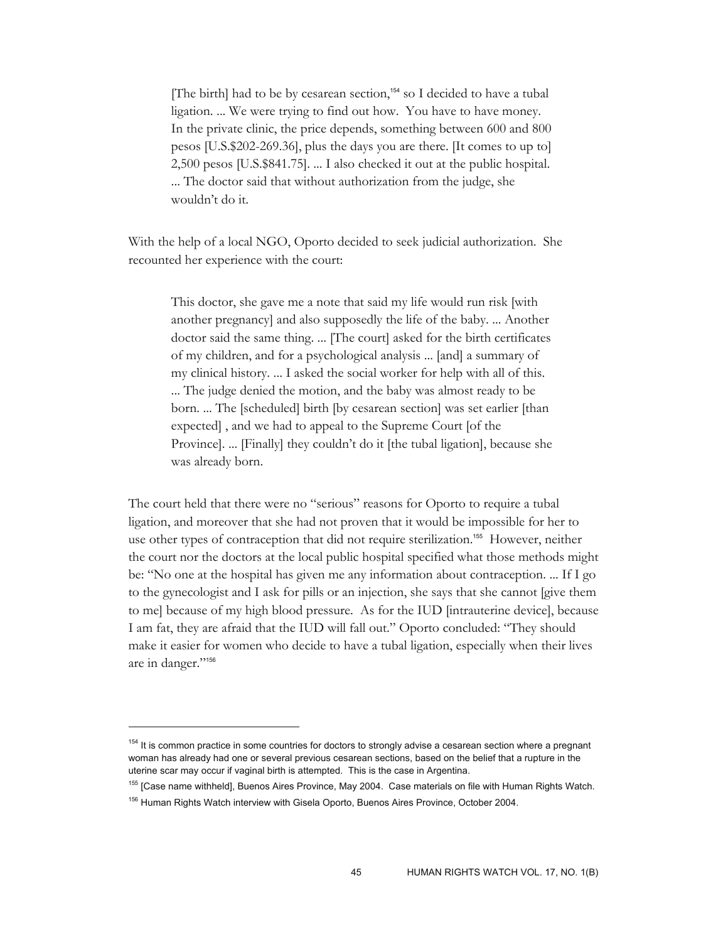[The birth] had to be by cesarean section,<sup>154</sup> so I decided to have a tubal ligation. ... We were trying to find out how. You have to have money. In the private clinic, the price depends, something between 600 and 800 pesos [U.S.\$202-269.36], plus the days you are there. [It comes to up to] 2,500 pesos [U.S.\$841.75]. ... I also checked it out at the public hospital. ... The doctor said that without authorization from the judge, she wouldn't do it.

With the help of a local NGO, Oporto decided to seek judicial authorization. She recounted her experience with the court:

This doctor, she gave me a note that said my life would run risk [with another pregnancy] and also supposedly the life of the baby. ... Another doctor said the same thing. ... [The court] asked for the birth certificates of my children, and for a psychological analysis ... [and] a summary of my clinical history. ... I asked the social worker for help with all of this. ... The judge denied the motion, and the baby was almost ready to be born. ... The [scheduled] birth [by cesarean section] was set earlier [than expected] , and we had to appeal to the Supreme Court [of the Province]. ... [Finally] they couldn't do it [the tubal ligation], because she was already born.

The court held that there were no "serious" reasons for Oporto to require a tubal ligation, and moreover that she had not proven that it would be impossible for her to use other types of contraception that did not require sterilization.155 However, neither the court nor the doctors at the local public hospital specified what those methods might be: "No one at the hospital has given me any information about contraception. ... If I go to the gynecologist and I ask for pills or an injection, she says that she cannot [give them to me] because of my high blood pressure. As for the IUD [intrauterine device], because I am fat, they are afraid that the IUD will fall out." Oporto concluded: "They should make it easier for women who decide to have a tubal ligation, especially when their lives are in danger."<sup>156</sup>

<sup>&</sup>lt;sup>154</sup> It is common practice in some countries for doctors to strongly advise a cesarean section where a pregnant woman has already had one or several previous cesarean sections, based on the belief that a rupture in the uterine scar may occur if vaginal birth is attempted. This is the case in Argentina.

<sup>&</sup>lt;sup>155</sup> [Case name withheld], Buenos Aires Province, May 2004. Case materials on file with Human Rights Watch.

<sup>&</sup>lt;sup>156</sup> Human Rights Watch interview with Gisela Oporto, Buenos Aires Province, October 2004.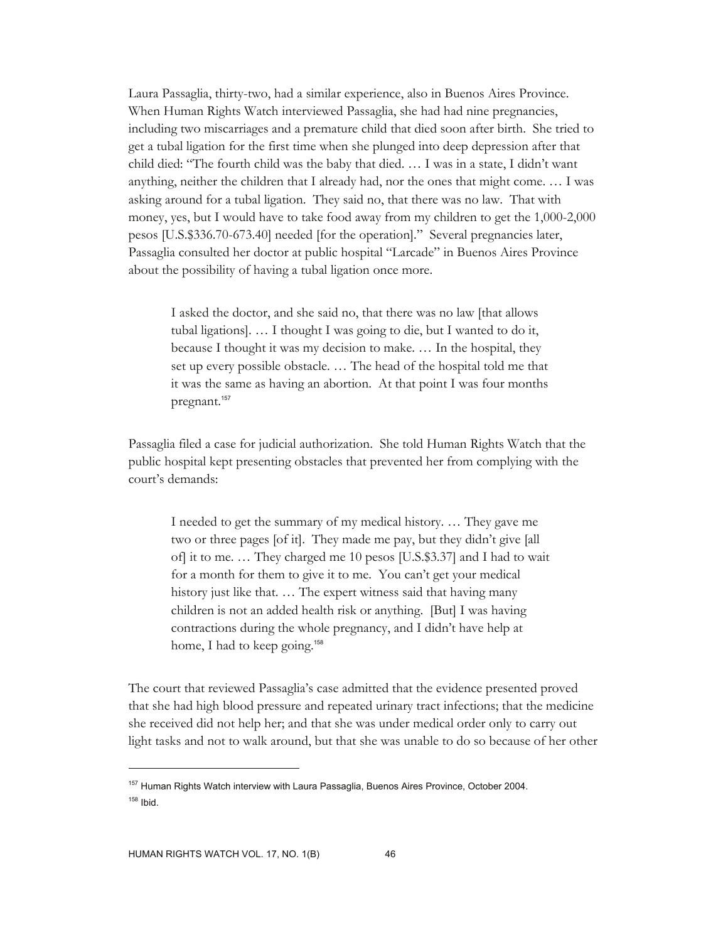Laura Passaglia, thirty-two, had a similar experience, also in Buenos Aires Province. When Human Rights Watch interviewed Passaglia, she had had nine pregnancies, including two miscarriages and a premature child that died soon after birth. She tried to get a tubal ligation for the first time when she plunged into deep depression after that child died: "The fourth child was the baby that died. … I was in a state, I didn't want anything, neither the children that I already had, nor the ones that might come. … I was asking around for a tubal ligation. They said no, that there was no law. That with money, yes, but I would have to take food away from my children to get the 1,000-2,000 pesos [U.S.\$336.70-673.40] needed [for the operation]." Several pregnancies later, Passaglia consulted her doctor at public hospital "Larcade" in Buenos Aires Province about the possibility of having a tubal ligation once more.

I asked the doctor, and she said no, that there was no law [that allows tubal ligations]. … I thought I was going to die, but I wanted to do it, because I thought it was my decision to make. … In the hospital, they set up every possible obstacle. … The head of the hospital told me that it was the same as having an abortion. At that point I was four months pregnant.<sup>157</sup>

Passaglia filed a case for judicial authorization. She told Human Rights Watch that the public hospital kept presenting obstacles that prevented her from complying with the court's demands:

I needed to get the summary of my medical history. … They gave me two or three pages [of it]. They made me pay, but they didn't give [all of] it to me. … They charged me 10 pesos [U.S.\$3.37] and I had to wait for a month for them to give it to me. You can't get your medical history just like that. ... The expert witness said that having many children is not an added health risk or anything. [But] I was having contractions during the whole pregnancy, and I didn't have help at home, I had to keep going.<sup>158</sup>

The court that reviewed Passaglia's case admitted that the evidence presented proved that she had high blood pressure and repeated urinary tract infections; that the medicine she received did not help her; and that she was under medical order only to carry out light tasks and not to walk around, but that she was unable to do so because of her other

<sup>&</sup>lt;sup>157</sup> Human Rights Watch interview with Laura Passaglia, Buenos Aires Province, October 2004.  $158$  Ibid.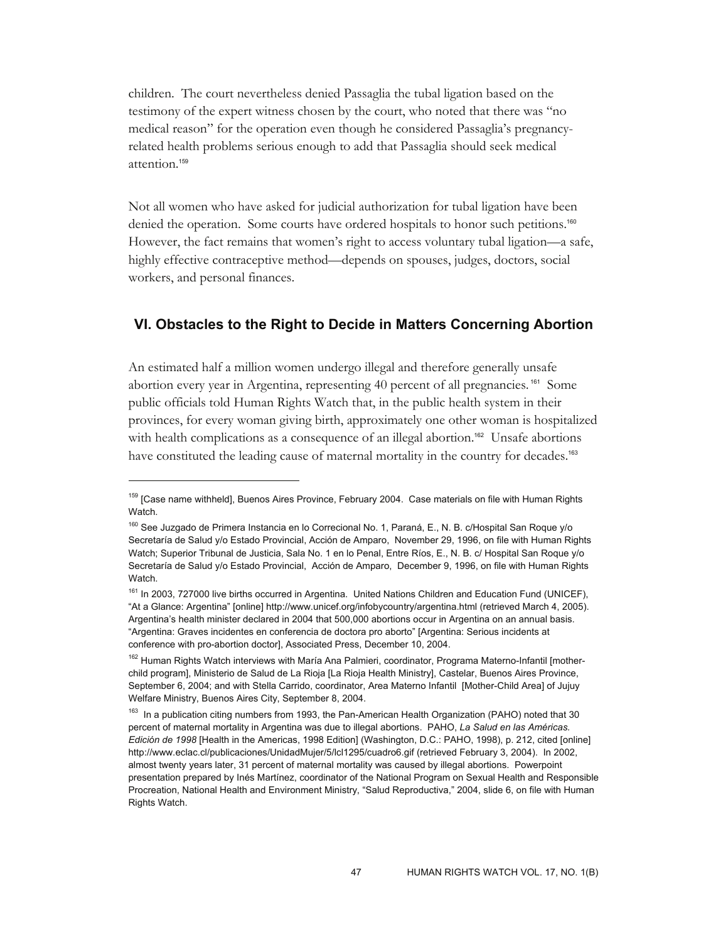children. The court nevertheless denied Passaglia the tubal ligation based on the testimony of the expert witness chosen by the court, who noted that there was "no medical reason" for the operation even though he considered Passaglia's pregnancyrelated health problems serious enough to add that Passaglia should seek medical attention.<sup>159</sup>

Not all women who have asked for judicial authorization for tubal ligation have been denied the operation. Some courts have ordered hospitals to honor such petitions.<sup>160</sup> However, the fact remains that women's right to access voluntary tubal ligation—a safe, highly effective contraceptive method—depends on spouses, judges, doctors, social workers, and personal finances.

### **VI. Obstacles to the Right to Decide in Matters Concerning Abortion**

An estimated half a million women undergo illegal and therefore generally unsafe abortion every year in Argentina, representing 40 percent of all pregnancies. 161 Some public officials told Human Rights Watch that, in the public health system in their provinces, for every woman giving birth, approximately one other woman is hospitalized with health complications as a consequence of an illegal abortion.<sup>162</sup> Unsafe abortions have constituted the leading cause of maternal mortality in the country for decades.<sup>163</sup>

<sup>&</sup>lt;sup>159</sup> [Case name withheld], Buenos Aires Province, February 2004. Case materials on file with Human Rights Watch.

<sup>&</sup>lt;sup>160</sup> See Juzgado de Primera Instancia en lo Correcional No. 1, Paraná, E., N. B. c/Hospital San Roque y/o Secretaría de Salud y/o Estado Provincial, Acción de Amparo, November 29, 1996, on file with Human Rights Watch; Superior Tribunal de Justicia, Sala No. 1 en lo Penal, Entre Ríos, E., N. B. c/ Hospital San Roque y/o Secretaría de Salud y/o Estado Provincial, Acción de Amparo, December 9, 1996, on file with Human Rights Watch.

<sup>&</sup>lt;sup>161</sup> In 2003, 727000 live births occurred in Argentina. United Nations Children and Education Fund (UNICEF), "At a Glance: Argentina" [online] http://www.unicef.org/infobycountry/argentina.html (retrieved March 4, 2005). Argentina's health minister declared in 2004 that 500,000 abortions occur in Argentina on an annual basis. "Argentina: Graves incidentes en conferencia de doctora pro aborto" [Argentina: Serious incidents at conference with pro-abortion doctor], Associated Press, December 10, 2004.

<sup>&</sup>lt;sup>162</sup> Human Rights Watch interviews with María Ana Palmieri, coordinator, Programa Materno-Infantil [motherchild program], Ministerio de Salud de La Rioja [La Rioja Health Ministry], Castelar, Buenos Aires Province, September 6, 2004; and with Stella Carrido, coordinator, Area Materno Infantil [Mother-Child Area] of Jujuy Welfare Ministry, Buenos Aires City, September 8, 2004.

<sup>&</sup>lt;sup>163</sup> In a publication citing numbers from 1993, the Pan-American Health Organization (PAHO) noted that 30 percent of maternal mortality in Argentina was due to illegal abortions. PAHO, *La Salud en las Américas. Edición de 1998* [Health in the Americas, 1998 Edition] (Washington, D.C.: PAHO, 1998), p. 212, cited [online] http://www.eclac.cl/publicaciones/UnidadMujer/5/lcl1295/cuadro6.gif (retrieved February 3, 2004). In 2002, almost twenty years later, 31 percent of maternal mortality was caused by illegal abortions. Powerpoint presentation prepared by Inés Martínez, coordinator of the National Program on Sexual Health and Responsible Procreation, National Health and Environment Ministry, "Salud Reproductiva," 2004, slide 6, on file with Human Rights Watch.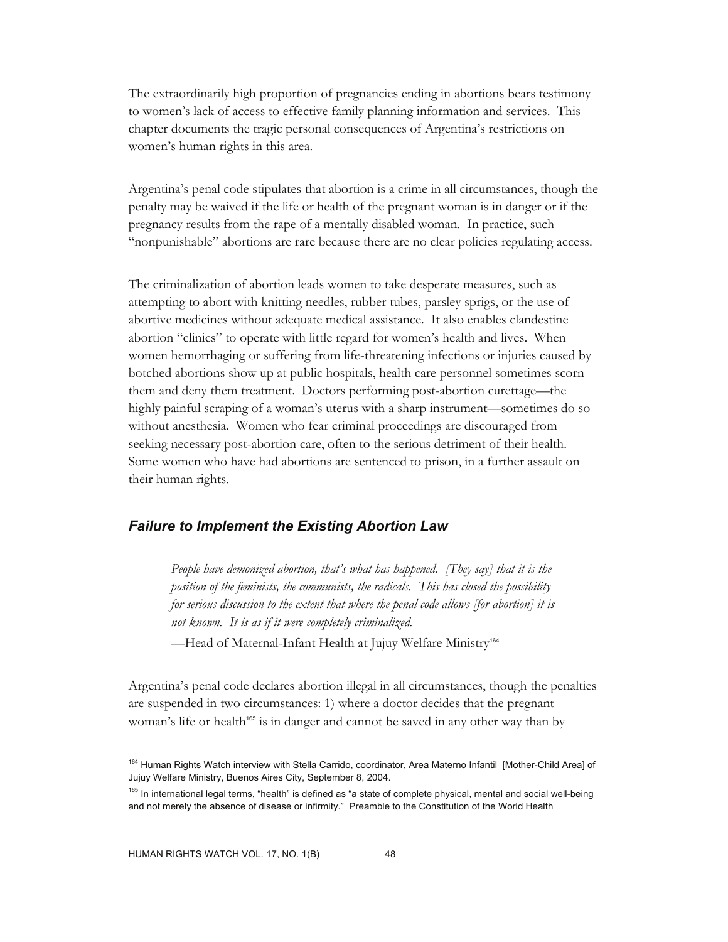The extraordinarily high proportion of pregnancies ending in abortions bears testimony to women's lack of access to effective family planning information and services. This chapter documents the tragic personal consequences of Argentina's restrictions on women's human rights in this area.

Argentina's penal code stipulates that abortion is a crime in all circumstances, though the penalty may be waived if the life or health of the pregnant woman is in danger or if the pregnancy results from the rape of a mentally disabled woman. In practice, such "nonpunishable" abortions are rare because there are no clear policies regulating access.

The criminalization of abortion leads women to take desperate measures, such as attempting to abort with knitting needles, rubber tubes, parsley sprigs, or the use of abortive medicines without adequate medical assistance. It also enables clandestine abortion "clinics" to operate with little regard for women's health and lives. When women hemorrhaging or suffering from life-threatening infections or injuries caused by botched abortions show up at public hospitals, health care personnel sometimes scorn them and deny them treatment. Doctors performing post-abortion curettage—the highly painful scraping of a woman's uterus with a sharp instrument—sometimes do so without anesthesia. Women who fear criminal proceedings are discouraged from seeking necessary post-abortion care, often to the serious detriment of their health. Some women who have had abortions are sentenced to prison, in a further assault on their human rights.

#### *Failure to Implement the Existing Abortion Law*

*People have demonized abortion, that's what has happened. [They say] that it is the position of the feminists, the communists, the radicals. This has closed the possibility for serious discussion to the extent that where the penal code allows [for abortion] it is not known. It is as if it were completely criminalized.* 

-Head of Maternal-Infant Health at Jujuy Welfare Ministry<sup>164</sup>

Argentina's penal code declares abortion illegal in all circumstances, though the penalties are suspended in two circumstances: 1) where a doctor decides that the pregnant woman's life or health<sup>165</sup> is in danger and cannot be saved in any other way than by

<sup>164</sup> Human Rights Watch interview with Stella Carrido, coordinator, Area Materno Infantil [Mother-Child Area] of Jujuy Welfare Ministry, Buenos Aires City, September 8, 2004.

<sup>&</sup>lt;sup>165</sup> In international legal terms, "health" is defined as "a state of complete physical, mental and social well-being and not merely the absence of disease or infirmity." Preamble to the Constitution of the World Health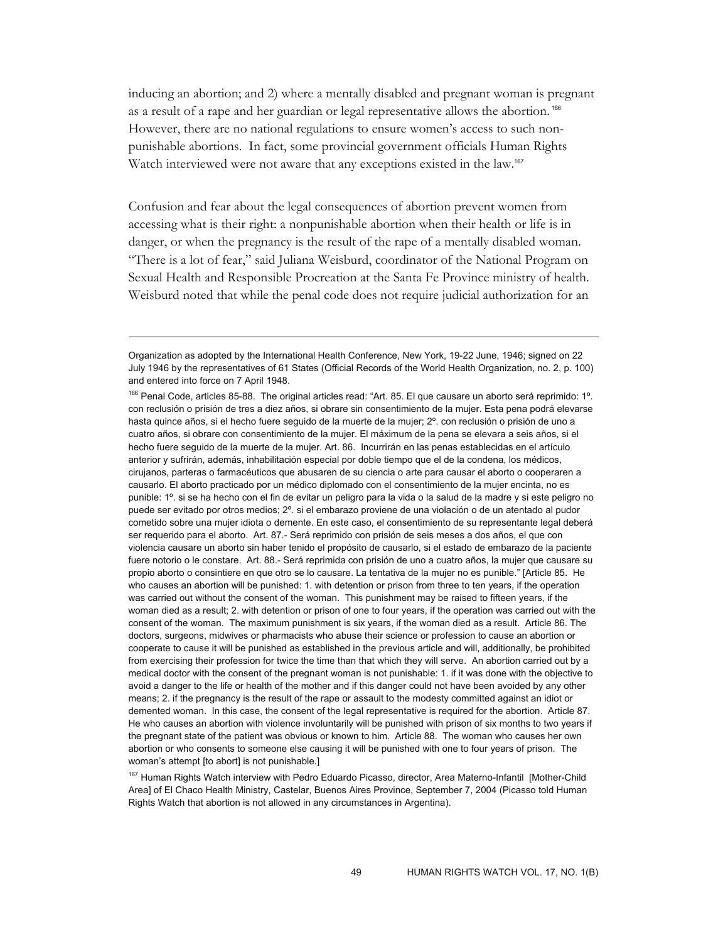inducing an abortion; and 2) where a mentally disabled and pregnant woman is pregnant as a result of a rape and her guardian or legal representative allows the abortion.<sup>166</sup> However, there are no national regulations to ensure women's access to such nonpunishable abortions. In fact, some provincial government officials Human Rights Watch interviewed were not aware that any exceptions existed in the law.<sup>167</sup>

Confusion and fear about the legal consequences of abortion prevent women from accessing what is their right: a nonpunishable abortion when their health or life is in danger, or when the pregnancy is the result of the rape of a mentally disabled woman. "There is a lot of fear," said Juliana Weisburd, coordinator of the National Program on Sexual Health and Responsible Procreation at the Santa Fe Province ministry of health. Weisburd noted that while the penal code does not require judicial authorization for an

 $\overline{a}$ 

<sup>167</sup> Human Rights Watch interview with Pedro Eduardo Picasso, director, Area Materno-Infantil [Mother-Child Area] of El Chaco Health Ministry, Castelar, Buenos Aires Province, September 7, 2004 (Picasso told Human Rights Watch that abortion is not allowed in any circumstances in Argentina).

Organization as adopted by the International Health Conference, New York, 19-22 June, 1946; signed on 22 July 1946 by the representatives of 61 States (Official Records of the World Health Organization, no. 2, p. 100) and entered into force on 7 April 1948.

<sup>166</sup> Penal Code, articles 85-88. The original articles read: "Art. 85. El que causare un aborto será reprimido: 1º. con reclusión o prisión de tres a diez años, si obrare sin consentimiento de la mujer. Esta pena podrá elevarse hasta quince años, si el hecho fuere seguido de la muerte de la mujer; 2º. con reclusión o prisión de uno a cuatro años, si obrare con consentimiento de la mujer. El máximum de la pena se elevara a seis años, si el hecho fuere seguido de la muerte de la mujer. Art. 86. Incurrirán en las penas establecidas en el artículo anterior y sufrirán, además, inhabilitación especial por doble tiempo que el de la condena, los médicos, cirujanos, parteras o farmacéuticos que abusaren de su ciencia o arte para causar el aborto o cooperaren a causarlo. El aborto practicado por un médico diplomado con el consentimiento de la mujer encinta, no es punible: 1º. si se ha hecho con el fin de evitar un peligro para la vida o la salud de la madre y si este peligro no puede ser evitado por otros medios; 2º. si el embarazo proviene de una violación o de un atentado al pudor cometido sobre una mujer idiota o demente. En este caso, el consentimiento de su representante legal deberá ser requerido para el aborto. Art. 87.- Será reprimido con prisión de seis meses a dos años, el que con violencia causare un aborto sin haber tenido el propósito de causarlo, si el estado de embarazo de la paciente fuere notorio o le constare. Art. 88.- Será reprimida con prisión de uno a cuatro años, la mujer que causare su propio aborto o consintiere en que otro se lo causare. La tentativa de la mujer no es punible." [Article 85. He who causes an abortion will be punished: 1. with detention or prison from three to ten years, if the operation was carried out without the consent of the woman. This punishment may be raised to fifteen years, if the woman died as a result; 2. with detention or prison of one to four years, if the operation was carried out with the consent of the woman. The maximum punishment is six years, if the woman died as a result. Article 86. The doctors, surgeons, midwives or pharmacists who abuse their science or profession to cause an abortion or cooperate to cause it will be punished as established in the previous article and will, additionally, be prohibited from exercising their profession for twice the time than that which they will serve. An abortion carried out by a medical doctor with the consent of the pregnant woman is not punishable: 1. if it was done with the objective to avoid a danger to the life or health of the mother and if this danger could not have been avoided by any other means; 2. if the pregnancy is the result of the rape or assault to the modesty committed against an idiot or demented woman. In this case, the consent of the legal representative is required for the abortion. Article 87. He who causes an abortion with violence involuntarily will be punished with prison of six months to two years if the pregnant state of the patient was obvious or known to him. Article 88. The woman who causes her own abortion or who consents to someone else causing it will be punished with one to four years of prison. The woman's attempt [to abort] is not punishable.]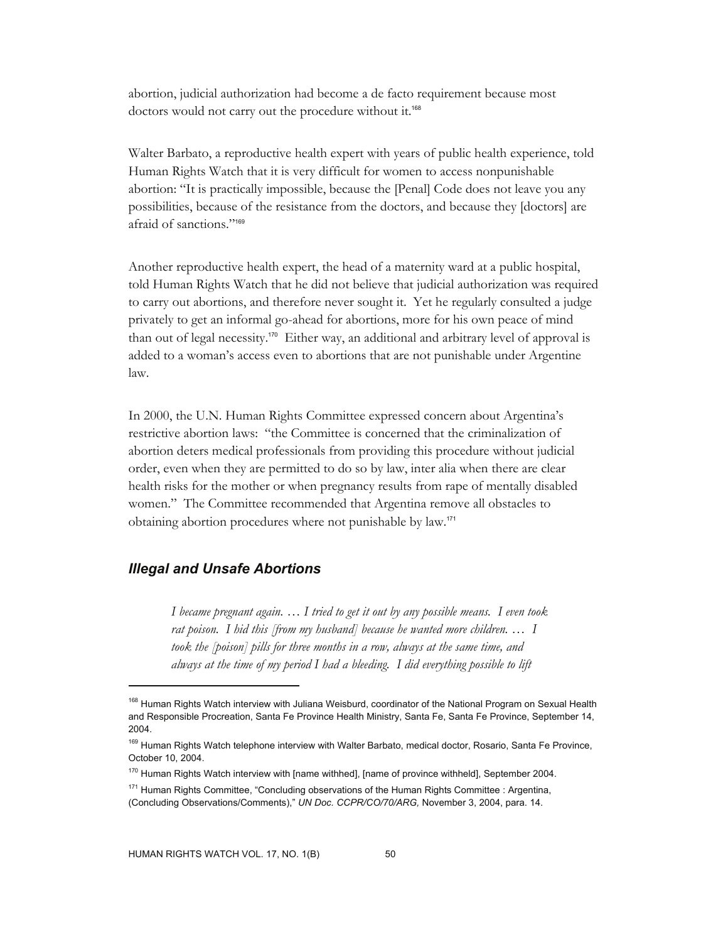abortion, judicial authorization had become a de facto requirement because most doctors would not carry out the procedure without it.<sup>168</sup>

Walter Barbato, a reproductive health expert with years of public health experience, told Human Rights Watch that it is very difficult for women to access nonpunishable abortion: "It is practically impossible, because the [Penal] Code does not leave you any possibilities, because of the resistance from the doctors, and because they [doctors] are afraid of sanctions."<sup>169</sup>

Another reproductive health expert, the head of a maternity ward at a public hospital, told Human Rights Watch that he did not believe that judicial authorization was required to carry out abortions, and therefore never sought it. Yet he regularly consulted a judge privately to get an informal go-ahead for abortions, more for his own peace of mind than out of legal necessity.170 Either way, an additional and arbitrary level of approval is added to a woman's access even to abortions that are not punishable under Argentine law.

In 2000, the U.N. Human Rights Committee expressed concern about Argentina's restrictive abortion laws: "the Committee is concerned that the criminalization of abortion deters medical professionals from providing this procedure without judicial order, even when they are permitted to do so by law, inter alia when there are clear health risks for the mother or when pregnancy results from rape of mentally disabled women." The Committee recommended that Argentina remove all obstacles to obtaining abortion procedures where not punishable by law.<sup>171</sup>

## *Illegal and Unsafe Abortions*

 $\overline{a}$ 

*I became pregnant again. … I tried to get it out by any possible means. I even took rat poison. I hid this [from my husband] because he wanted more children. … I took the [poison] pills for three months in a row, always at the same time, and always at the time of my period I had a bleeding. I did everything possible to lift* 

<sup>&</sup>lt;sup>168</sup> Human Rights Watch interview with Juliana Weisburd, coordinator of the National Program on Sexual Health and Responsible Procreation, Santa Fe Province Health Ministry, Santa Fe, Santa Fe Province, September 14, 2004.

<sup>&</sup>lt;sup>169</sup> Human Rights Watch telephone interview with Walter Barbato, medical doctor, Rosario, Santa Fe Province, October 10, 2004.

 $170$  Human Rights Watch interview with [name withhed], [name of province withheld], September 2004.

<sup>&</sup>lt;sup>171</sup> Human Rights Committee, "Concluding observations of the Human Rights Committee : Argentina, (Concluding Observations/Comments)," *UN Doc. CCPR/CO/70/ARG,* November 3, 2004, para. 14.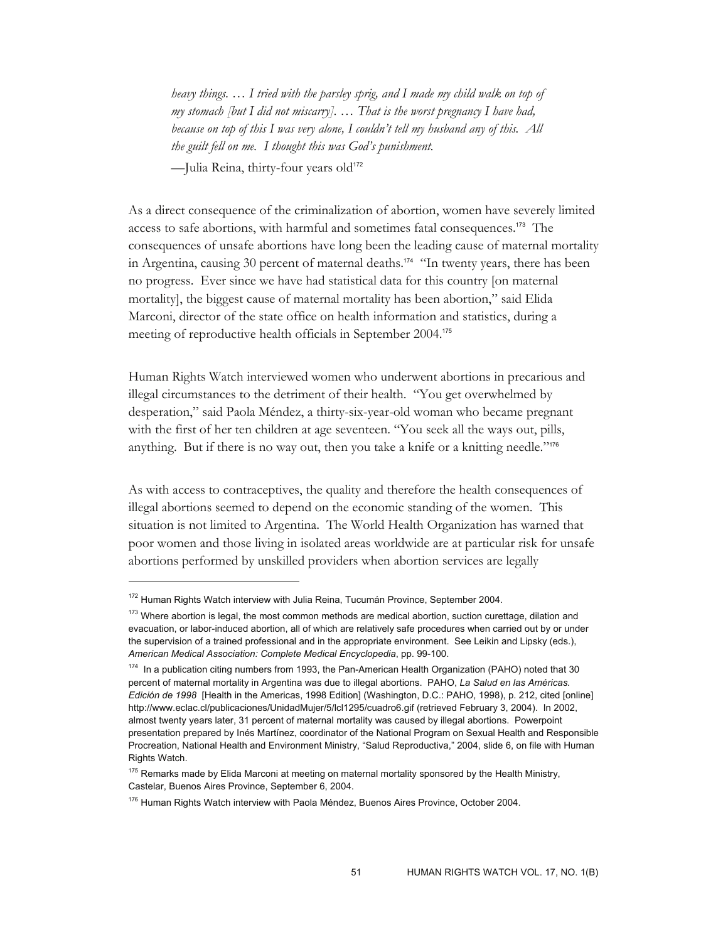*heavy things. … I tried with the parsley sprig, and I made my child walk on top of my stomach [but I did not miscarry]. … That is the worst pregnancy I have had, because on top of this I was very alone, I couldn't tell my husband any of this. All the guilt fell on me. I thought this was God's punishment.* —Julia Reina, thirty-four years old<sup>172</sup>

As a direct consequence of the criminalization of abortion, women have severely limited access to safe abortions, with harmful and sometimes fatal consequences.173 The consequences of unsafe abortions have long been the leading cause of maternal mortality in Argentina, causing 30 percent of maternal deaths.<sup>174</sup> "In twenty years, there has been no progress. Ever since we have had statistical data for this country [on maternal mortality], the biggest cause of maternal mortality has been abortion," said Elida Marconi, director of the state office on health information and statistics, during a meeting of reproductive health officials in September 2004.<sup>175</sup>

Human Rights Watch interviewed women who underwent abortions in precarious and illegal circumstances to the detriment of their health. "You get overwhelmed by desperation," said Paola Méndez, a thirty-six-year-old woman who became pregnant with the first of her ten children at age seventeen. "You seek all the ways out, pills, anything. But if there is no way out, then you take a knife or a knitting needle."<sup>176</sup>

As with access to contraceptives, the quality and therefore the health consequences of illegal abortions seemed to depend on the economic standing of the women. This situation is not limited to Argentina. The World Health Organization has warned that poor women and those living in isolated areas worldwide are at particular risk for unsafe abortions performed by unskilled providers when abortion services are legally

<sup>172</sup> Human Rights Watch interview with Julia Reina, Tucumán Province, September 2004.

<sup>&</sup>lt;sup>173</sup> Where abortion is legal, the most common methods are medical abortion, suction curettage, dilation and evacuation, or labor-induced abortion, all of which are relatively safe procedures when carried out by or under the supervision of a trained professional and in the appropriate environment. See Leikin and Lipsky (eds.), *American Medical Association: Complete Medical Encyclopedia*, pp. 99-100.

<sup>&</sup>lt;sup>174</sup> In a publication citing numbers from 1993, the Pan-American Health Organization (PAHO) noted that 30 percent of maternal mortality in Argentina was due to illegal abortions. PAHO, *La Salud en las Américas. Edición de 1998* [Health in the Americas, 1998 Edition] (Washington, D.C.: PAHO, 1998), p. 212, cited [online] http://www.eclac.cl/publicaciones/UnidadMujer/5/lcl1295/cuadro6.gif (retrieved February 3, 2004). In 2002, almost twenty years later, 31 percent of maternal mortality was caused by illegal abortions. Powerpoint presentation prepared by Inés Martínez, coordinator of the National Program on Sexual Health and Responsible Procreation, National Health and Environment Ministry, "Salud Reproductiva," 2004, slide 6, on file with Human Rights Watch.

 $175$  Remarks made by Elida Marconi at meeting on maternal mortality sponsored by the Health Ministry, Castelar, Buenos Aires Province, September 6, 2004.

<sup>&</sup>lt;sup>176</sup> Human Rights Watch interview with Paola Méndez, Buenos Aires Province, October 2004.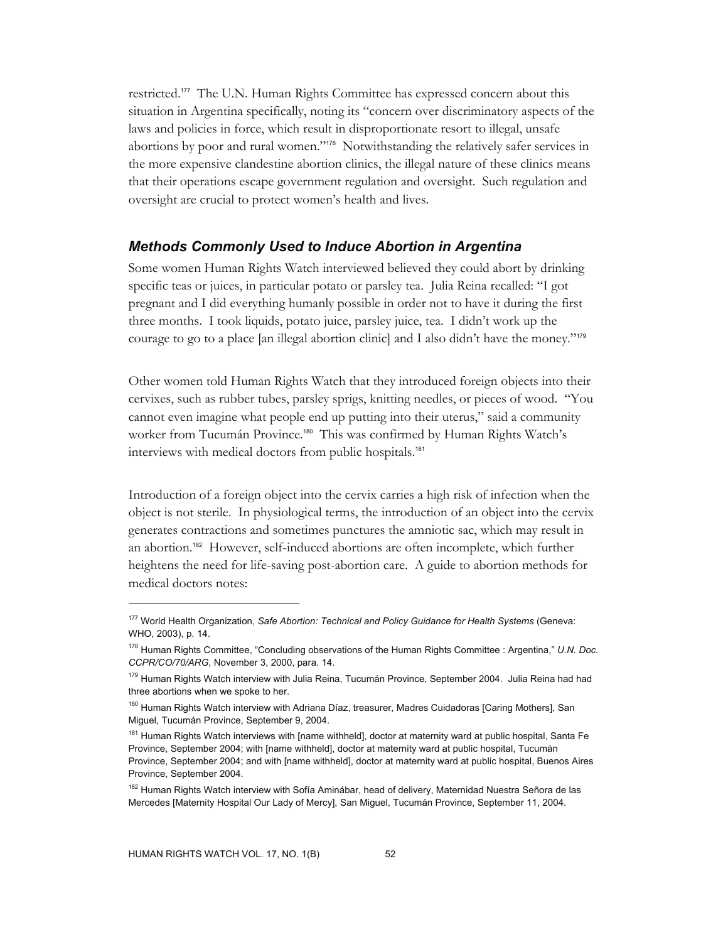restricted.177 The U.N. Human Rights Committee has expressed concern about this situation in Argentina specifically, noting its "concern over discriminatory aspects of the laws and policies in force, which result in disproportionate resort to illegal, unsafe abortions by poor and rural women."178 Notwithstanding the relatively safer services in the more expensive clandestine abortion clinics, the illegal nature of these clinics means that their operations escape government regulation and oversight. Such regulation and oversight are crucial to protect women's health and lives.

#### *Methods Commonly Used to Induce Abortion in Argentina*

Some women Human Rights Watch interviewed believed they could abort by drinking specific teas or juices, in particular potato or parsley tea. Julia Reina recalled: "I got pregnant and I did everything humanly possible in order not to have it during the first three months. I took liquids, potato juice, parsley juice, tea. I didn't work up the courage to go to a place [an illegal abortion clinic] and I also didn't have the money."<sup>179</sup>

Other women told Human Rights Watch that they introduced foreign objects into their cervixes, such as rubber tubes, parsley sprigs, knitting needles, or pieces of wood. "You cannot even imagine what people end up putting into their uterus," said a community worker from Tucumán Province.<sup>180</sup> This was confirmed by Human Rights Watch's interviews with medical doctors from public hospitals.<sup>181</sup>

Introduction of a foreign object into the cervix carries a high risk of infection when the object is not sterile. In physiological terms, the introduction of an object into the cervix generates contractions and sometimes punctures the amniotic sac, which may result in an abortion.182 However, self-induced abortions are often incomplete, which further heightens the need for life-saving post-abortion care. A guide to abortion methods for medical doctors notes:

<sup>177</sup> World Health Organization, *Safe Abortion: Technical and Policy Guidance for Health Systems* (Geneva: WHO, 2003), p. 14.

<sup>178</sup> Human Rights Committee, "Concluding observations of the Human Rights Committee : Argentina," *U.N. Doc. CCPR/CO/70/ARG*, November 3, 2000, para. 14.

<sup>&</sup>lt;sup>179</sup> Human Rights Watch interview with Julia Reina, Tucumán Province, September 2004. Julia Reina had had three abortions when we spoke to her.

<sup>&</sup>lt;sup>180</sup> Human Rights Watch interview with Adriana Díaz, treasurer, Madres Cuidadoras [Caring Mothers], San Miguel, Tucumán Province, September 9, 2004.

<sup>&</sup>lt;sup>181</sup> Human Rights Watch interviews with [name withheld], doctor at maternity ward at public hospital, Santa Fe Province, September 2004; with [name withheld], doctor at maternity ward at public hospital, Tucumán Province, September 2004; and with [name withheld], doctor at maternity ward at public hospital, Buenos Aires Province, September 2004.

<sup>&</sup>lt;sup>182</sup> Human Rights Watch interview with Sofía Aminábar, head of delivery, Maternidad Nuestra Señora de las Mercedes [Maternity Hospital Our Lady of Mercy], San Miguel, Tucumán Province, September 11, 2004.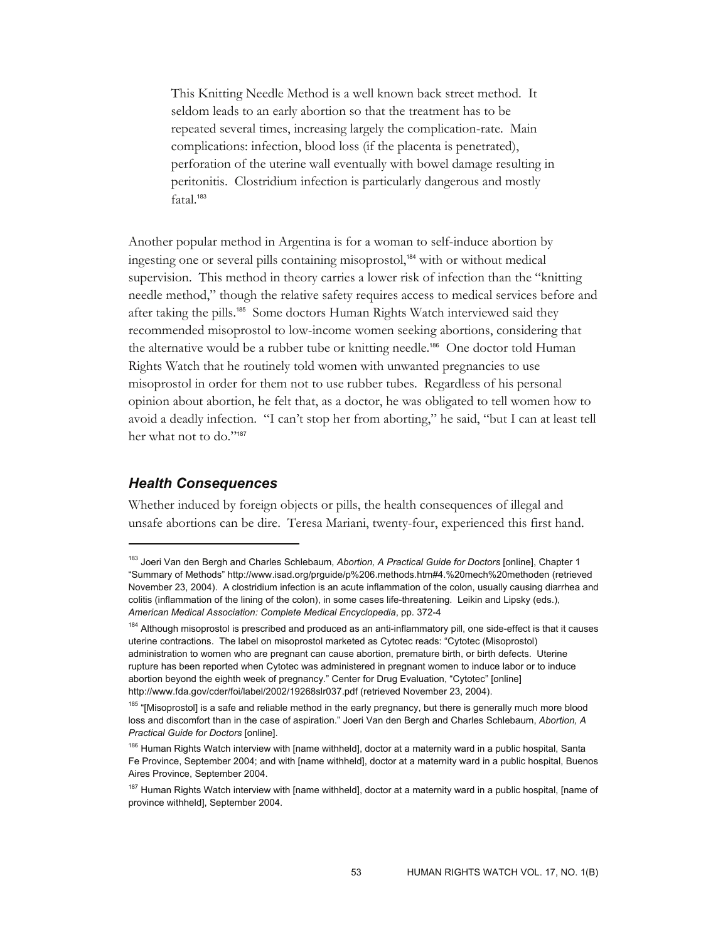This Knitting Needle Method is a well known back street method. It seldom leads to an early abortion so that the treatment has to be repeated several times, increasing largely the complication-rate. Main complications: infection, blood loss (if the placenta is penetrated), perforation of the uterine wall eventually with bowel damage resulting in peritonitis. Clostridium infection is particularly dangerous and mostly fatal.<sup>183</sup>

Another popular method in Argentina is for a woman to self-induce abortion by ingesting one or several pills containing misoprostol,<sup>184</sup> with or without medical supervision. This method in theory carries a lower risk of infection than the "knitting needle method," though the relative safety requires access to medical services before and after taking the pills.185 Some doctors Human Rights Watch interviewed said they recommended misoprostol to low-income women seeking abortions, considering that the alternative would be a rubber tube or knitting needle.186 One doctor told Human Rights Watch that he routinely told women with unwanted pregnancies to use misoprostol in order for them not to use rubber tubes. Regardless of his personal opinion about abortion, he felt that, as a doctor, he was obligated to tell women how to avoid a deadly infection. "I can't stop her from aborting," he said, "but I can at least tell her what not to do."<sup>187</sup>

## *Health Consequences*

 $\overline{a}$ 

Whether induced by foreign objects or pills, the health consequences of illegal and unsafe abortions can be dire. Teresa Mariani, twenty-four, experienced this first hand.

<sup>183</sup> Joeri Van den Bergh and Charles Schlebaum, *Abortion, A Practical Guide for Doctors* [online], Chapter 1 "Summary of Methods" http://www.isad.org/prguide/p%206.methods.htm#4.%20mech%20methoden (retrieved November 23, 2004). A clostridium infection is an acute inflammation of the colon, usually causing diarrhea and colitis (inflammation of the lining of the colon), in some cases life-threatening. Leikin and Lipsky (eds.), *American Medical Association: Complete Medical Encyclopedia*, pp. 372-4

<sup>&</sup>lt;sup>184</sup> Although misoprostol is prescribed and produced as an anti-inflammatory pill, one side-effect is that it causes uterine contractions. The label on misoprostol marketed as Cytotec reads: "Cytotec (Misoprostol) administration to women who are pregnant can cause abortion, premature birth, or birth defects. Uterine rupture has been reported when Cytotec was administered in pregnant women to induce labor or to induce abortion beyond the eighth week of pregnancy." Center for Drug Evaluation, "Cytotec" [online] http://www.fda.gov/cder/foi/label/2002/19268slr037.pdf (retrieved November 23, 2004).

<sup>&</sup>lt;sup>185</sup> "[Misoprostol] is a safe and reliable method in the early pregnancy, but there is generally much more blood loss and discomfort than in the case of aspiration." Joeri Van den Bergh and Charles Schlebaum, *Abortion, A Practical Guide for Doctors* [online].

<sup>&</sup>lt;sup>186</sup> Human Rights Watch interview with [name withheld], doctor at a maternity ward in a public hospital, Santa Fe Province, September 2004; and with [name withheld], doctor at a maternity ward in a public hospital, Buenos Aires Province, September 2004.

<sup>&</sup>lt;sup>187</sup> Human Rights Watch interview with [name withheld], doctor at a maternity ward in a public hospital, [name of province withheld], September 2004.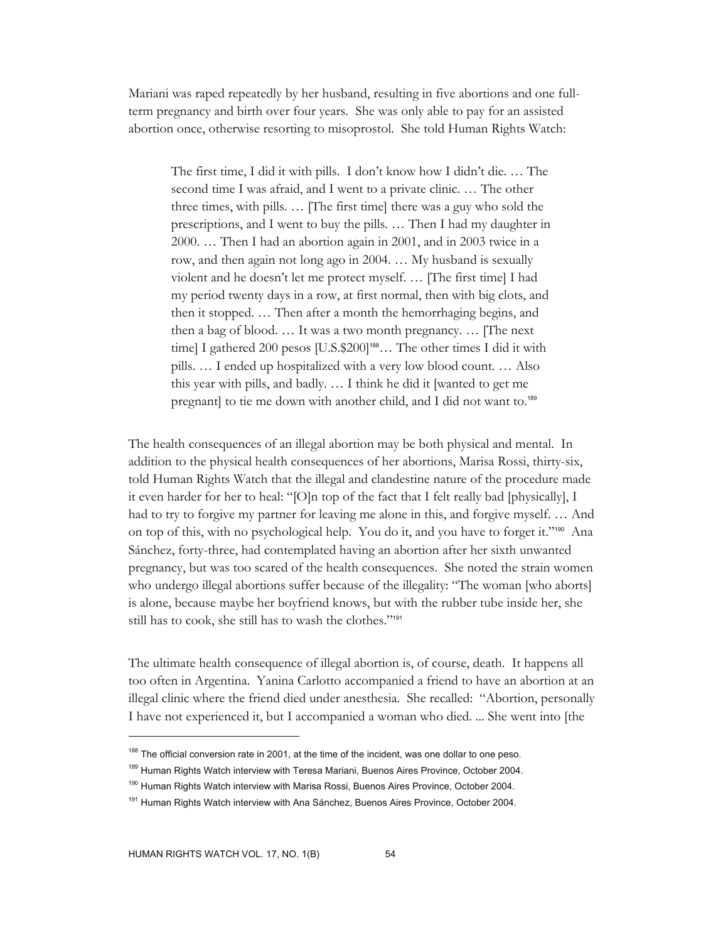Mariani was raped repeatedly by her husband, resulting in five abortions and one fullterm pregnancy and birth over four years. She was only able to pay for an assisted abortion once, otherwise resorting to misoprostol. She told Human Rights Watch:

The first time, I did it with pills. I don't know how I didn't die. … The second time I was afraid, and I went to a private clinic. … The other three times, with pills. … [The first time] there was a guy who sold the prescriptions, and I went to buy the pills. … Then I had my daughter in 2000. … Then I had an abortion again in 2001, and in 2003 twice in a row, and then again not long ago in 2004. … My husband is sexually violent and he doesn't let me protect myself. … [The first time] I had my period twenty days in a row, at first normal, then with big clots, and then it stopped. … Then after a month the hemorrhaging begins, and then a bag of blood. … It was a two month pregnancy. … [The next time] I gathered 200 pesos [U.S.\$200]<sup>188</sup>... The other times I did it with pills. … I ended up hospitalized with a very low blood count. … Also this year with pills, and badly. … I think he did it [wanted to get me pregnant] to tie me down with another child, and I did not want to.<sup>189</sup>

The health consequences of an illegal abortion may be both physical and mental. In addition to the physical health consequences of her abortions, Marisa Rossi, thirty-six, told Human Rights Watch that the illegal and clandestine nature of the procedure made it even harder for her to heal: "[O]n top of the fact that I felt really bad [physically], I had to try to forgive my partner for leaving me alone in this, and forgive myself. … And on top of this, with no psychological help. You do it, and you have to forget it."190 Ana Sánchez, forty-three, had contemplated having an abortion after her sixth unwanted pregnancy, but was too scared of the health consequences. She noted the strain women who undergo illegal abortions suffer because of the illegality: "The woman [who aborts] is alone, because maybe her boyfriend knows, but with the rubber tube inside her, she still has to cook, she still has to wash the clothes."<sup>191</sup>

The ultimate health consequence of illegal abortion is, of course, death. It happens all too often in Argentina. Yanina Carlotto accompanied a friend to have an abortion at an illegal clinic where the friend died under anesthesia. She recalled: "Abortion, personally I have not experienced it, but I accompanied a woman who died. ... She went into [the

<sup>&</sup>lt;sup>188</sup> The official conversion rate in 2001, at the time of the incident, was one dollar to one peso.

<sup>&</sup>lt;sup>189</sup> Human Rights Watch interview with Teresa Mariani, Buenos Aires Province, October 2004.

<sup>&</sup>lt;sup>190</sup> Human Rights Watch interview with Marisa Rossi, Buenos Aires Province, October 2004.

<sup>&</sup>lt;sup>191</sup> Human Rights Watch interview with Ana Sánchez, Buenos Aires Province, October 2004.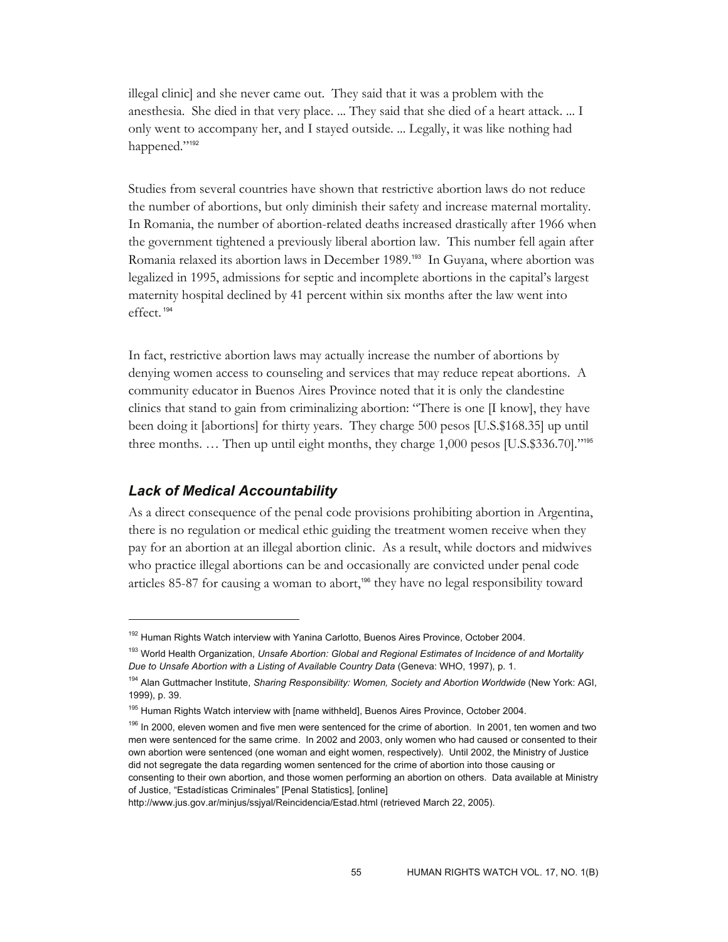illegal clinic] and she never came out. They said that it was a problem with the anesthesia. She died in that very place. ... They said that she died of a heart attack. ... I only went to accompany her, and I stayed outside. ... Legally, it was like nothing had happened."<sup>192</sup>

Studies from several countries have shown that restrictive abortion laws do not reduce the number of abortions, but only diminish their safety and increase maternal mortality. In Romania, the number of abortion-related deaths increased drastically after 1966 when the government tightened a previously liberal abortion law. This number fell again after Romania relaxed its abortion laws in December 1989.193 In Guyana, where abortion was legalized in 1995, admissions for septic and incomplete abortions in the capital's largest maternity hospital declined by 41 percent within six months after the law went into effect.<sup>194</sup>

In fact, restrictive abortion laws may actually increase the number of abortions by denying women access to counseling and services that may reduce repeat abortions. A community educator in Buenos Aires Province noted that it is only the clandestine clinics that stand to gain from criminalizing abortion: "There is one [I know], they have been doing it [abortions] for thirty years. They charge 500 pesos [U.S.\$168.35] up until three months. … Then up until eight months, they charge 1,000 pesos [U.S.\$336.70]."<sup>195</sup>

### *Lack of Medical Accountability*

 $\overline{a}$ 

As a direct consequence of the penal code provisions prohibiting abortion in Argentina, there is no regulation or medical ethic guiding the treatment women receive when they pay for an abortion at an illegal abortion clinic. As a result, while doctors and midwives who practice illegal abortions can be and occasionally are convicted under penal code articles 85-87 for causing a woman to abort,<sup>196</sup> they have no legal responsibility toward

<sup>&</sup>lt;sup>192</sup> Human Rights Watch interview with Yanina Carlotto, Buenos Aires Province, October 2004.

<sup>193</sup> World Health Organization, *Unsafe Abortion: Global and Regional Estimates of Incidence of and Mortality Due to Unsafe Abortion with a Listing of Available Country Data* (Geneva: WHO, 1997), p. 1.

<sup>194</sup> Alan Guttmacher Institute, *Sharing Responsibility: Women, Society and Abortion Worldwide* (New York: AGI, 1999), p. 39.

<sup>&</sup>lt;sup>195</sup> Human Rights Watch interview with [name withheld], Buenos Aires Province, October 2004.

<sup>&</sup>lt;sup>196</sup> In 2000, eleven women and five men were sentenced for the crime of abortion. In 2001, ten women and two men were sentenced for the same crime. In 2002 and 2003, only women who had caused or consented to their own abortion were sentenced (one woman and eight women, respectively). Until 2002, the Ministry of Justice did not segregate the data regarding women sentenced for the crime of abortion into those causing or consenting to their own abortion, and those women performing an abortion on others. Data available at Ministry of Justice, "Estadísticas Criminales" [Penal Statistics], [online]

http://www.jus.gov.ar/minjus/ssjyal/Reincidencia/Estad.html (retrieved March 22, 2005).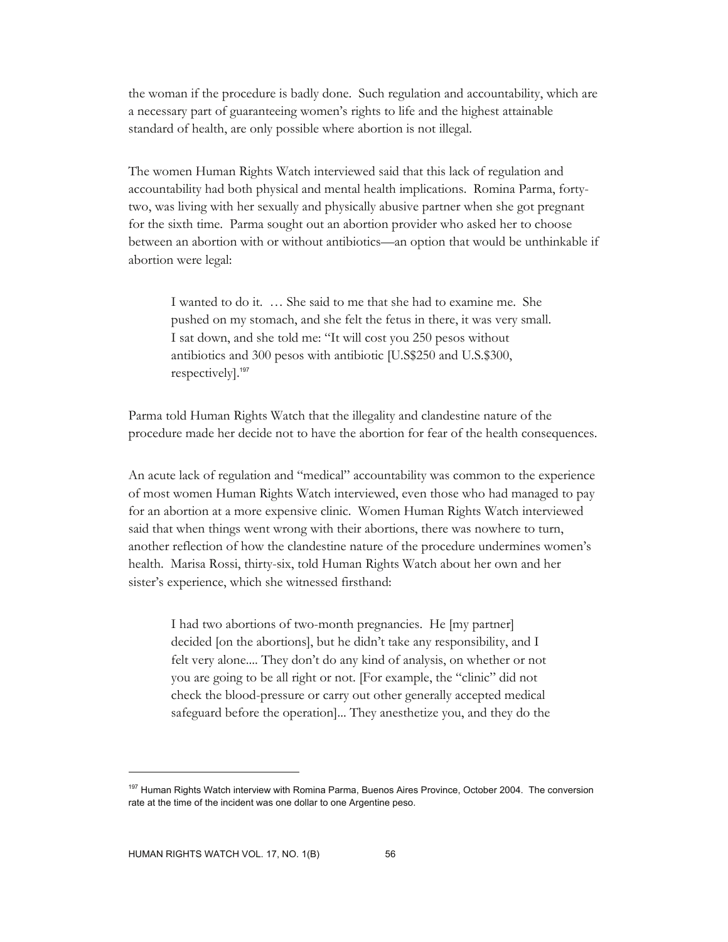the woman if the procedure is badly done. Such regulation and accountability, which are a necessary part of guaranteeing women's rights to life and the highest attainable standard of health, are only possible where abortion is not illegal.

The women Human Rights Watch interviewed said that this lack of regulation and accountability had both physical and mental health implications. Romina Parma, fortytwo, was living with her sexually and physically abusive partner when she got pregnant for the sixth time. Parma sought out an abortion provider who asked her to choose between an abortion with or without antibiotics—an option that would be unthinkable if abortion were legal:

I wanted to do it. … She said to me that she had to examine me. She pushed on my stomach, and she felt the fetus in there, it was very small. I sat down, and she told me: "It will cost you 250 pesos without antibiotics and 300 pesos with antibiotic [U.S\$250 and U.S.\$300, respectively].<sup>197</sup>

Parma told Human Rights Watch that the illegality and clandestine nature of the procedure made her decide not to have the abortion for fear of the health consequences.

An acute lack of regulation and "medical" accountability was common to the experience of most women Human Rights Watch interviewed, even those who had managed to pay for an abortion at a more expensive clinic. Women Human Rights Watch interviewed said that when things went wrong with their abortions, there was nowhere to turn, another reflection of how the clandestine nature of the procedure undermines women's health. Marisa Rossi, thirty-six, told Human Rights Watch about her own and her sister's experience, which she witnessed firsthand:

I had two abortions of two-month pregnancies. He [my partner] decided [on the abortions], but he didn't take any responsibility, and I felt very alone.... They don't do any kind of analysis, on whether or not you are going to be all right or not. [For example, the "clinic" did not check the blood-pressure or carry out other generally accepted medical safeguard before the operation]... They anesthetize you, and they do the

<sup>&</sup>lt;sup>197</sup> Human Rights Watch interview with Romina Parma, Buenos Aires Province, October 2004. The conversion rate at the time of the incident was one dollar to one Argentine peso.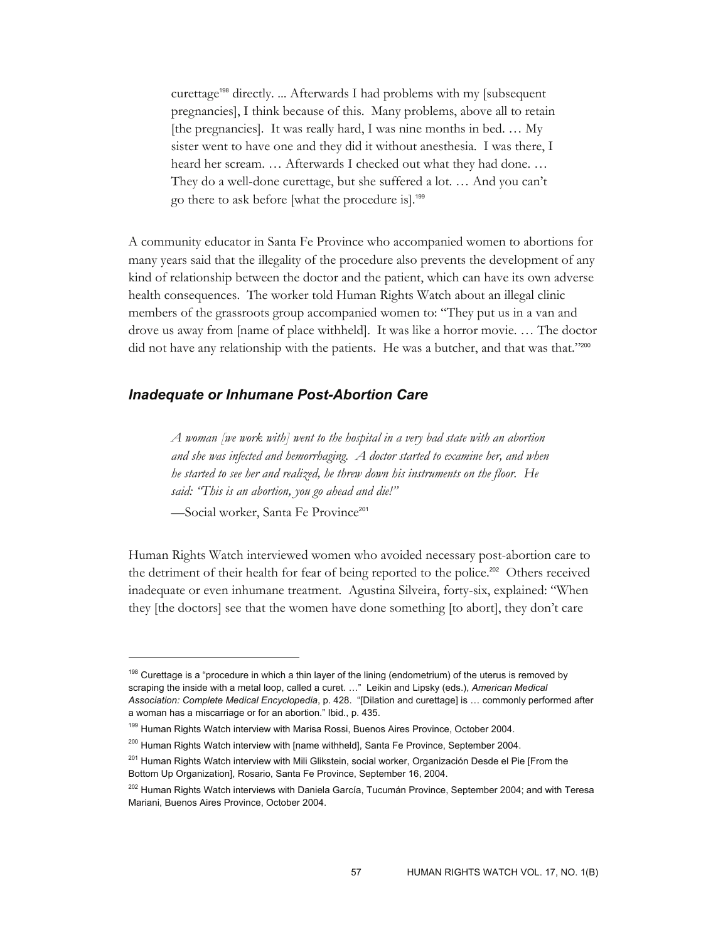curettage198 directly. ... Afterwards I had problems with my [subsequent pregnancies], I think because of this. Many problems, above all to retain [the pregnancies]. It was really hard, I was nine months in bed. … My sister went to have one and they did it without anesthesia. I was there, I heard her scream. … Afterwards I checked out what they had done. … They do a well-done curettage, but she suffered a lot. … And you can't go there to ask before [what the procedure is].<sup>199</sup>

A community educator in Santa Fe Province who accompanied women to abortions for many years said that the illegality of the procedure also prevents the development of any kind of relationship between the doctor and the patient, which can have its own adverse health consequences. The worker told Human Rights Watch about an illegal clinic members of the grassroots group accompanied women to: "They put us in a van and drove us away from [name of place withheld]. It was like a horror movie. … The doctor did not have any relationship with the patients. He was a butcher, and that was that."200

#### *Inadequate or Inhumane Post-Abortion Care*

*A woman [we work with] went to the hospital in a very bad state with an abortion and she was infected and hemorrhaging. A doctor started to examine her, and when he started to see her and realized, he threw down his instruments on the floor. He said: "This is an abortion, you go ahead and die!"* 

-Social worker, Santa Fe Province<sup>201</sup>

 $\overline{a}$ 

Human Rights Watch interviewed women who avoided necessary post-abortion care to the detriment of their health for fear of being reported to the police.<sup>202</sup> Others received inadequate or even inhumane treatment. Agustina Silveira, forty-six, explained: "When they [the doctors] see that the women have done something [to abort], they don't care

<sup>&</sup>lt;sup>198</sup> Curettage is a "procedure in which a thin layer of the lining (endometrium) of the uterus is removed by scraping the inside with a metal loop, called a curet. …" Leikin and Lipsky (eds.), *American Medical Association: Complete Medical Encyclopedia*, p. 428. "[Dilation and curettage] is … commonly performed after a woman has a miscarriage or for an abortion." Ibid., p. 435.

<sup>&</sup>lt;sup>199</sup> Human Rights Watch interview with Marisa Rossi, Buenos Aires Province, October 2004.

<sup>&</sup>lt;sup>200</sup> Human Rights Watch interview with [name withheld], Santa Fe Province, September 2004.

<sup>201</sup> Human Rights Watch interview with Mili Glikstein, social worker, Organización Desde el Pie [From the Bottom Up Organization], Rosario, Santa Fe Province, September 16, 2004.

<sup>&</sup>lt;sup>202</sup> Human Rights Watch interviews with Daniela García, Tucumán Province, September 2004; and with Teresa Mariani, Buenos Aires Province, October 2004.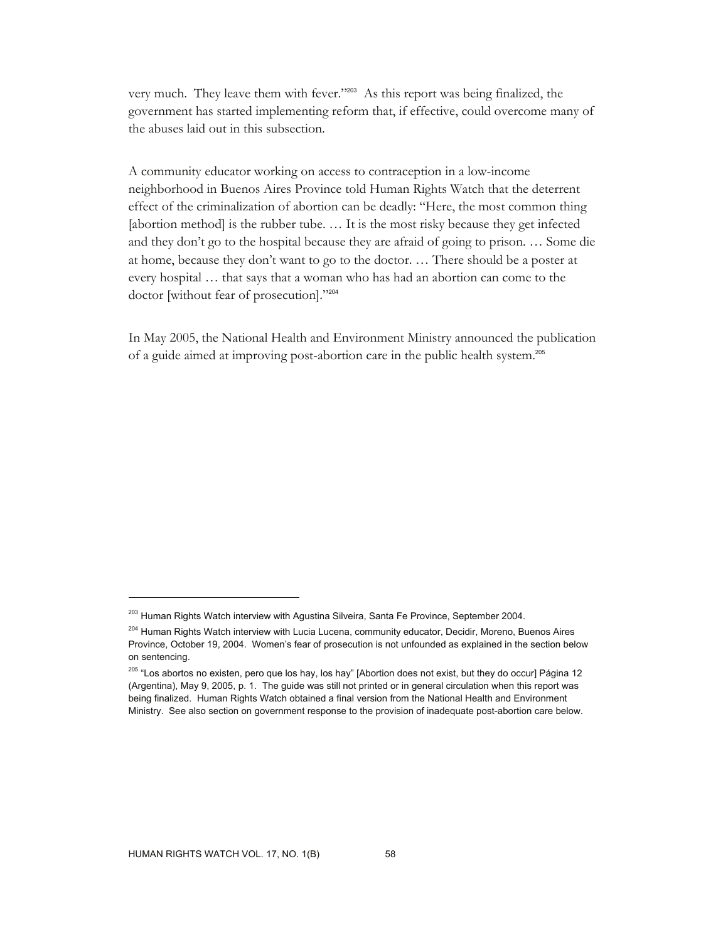very much. They leave them with fever."203 As this report was being finalized, the government has started implementing reform that, if effective, could overcome many of the abuses laid out in this subsection.

A community educator working on access to contraception in a low-income neighborhood in Buenos Aires Province told Human Rights Watch that the deterrent effect of the criminalization of abortion can be deadly: "Here, the most common thing [abortion method] is the rubber tube. ... It is the most risky because they get infected and they don't go to the hospital because they are afraid of going to prison. … Some die at home, because they don't want to go to the doctor. … There should be a poster at every hospital … that says that a woman who has had an abortion can come to the doctor [without fear of prosecution]."<sup>204</sup>

In May 2005, the National Health and Environment Ministry announced the publication of a guide aimed at improving post-abortion care in the public health system.<sup>205</sup>

<sup>&</sup>lt;sup>203</sup> Human Rights Watch interview with Agustina Silveira, Santa Fe Province, September 2004.

<sup>&</sup>lt;sup>204</sup> Human Rights Watch interview with Lucia Lucena, community educator, Decidir, Moreno, Buenos Aires Province, October 19, 2004. Women's fear of prosecution is not unfounded as explained in the section below on sentencing.

<sup>&</sup>lt;sup>205</sup> "Los abortos no existen, pero que los hay, los hay" [Abortion does not exist, but they do occur] Página 12 (Argentina), May 9, 2005, p. 1. The guide was still not printed or in general circulation when this report was being finalized. Human Rights Watch obtained a final version from the National Health and Environment Ministry. See also section on government response to the provision of inadequate post-abortion care below.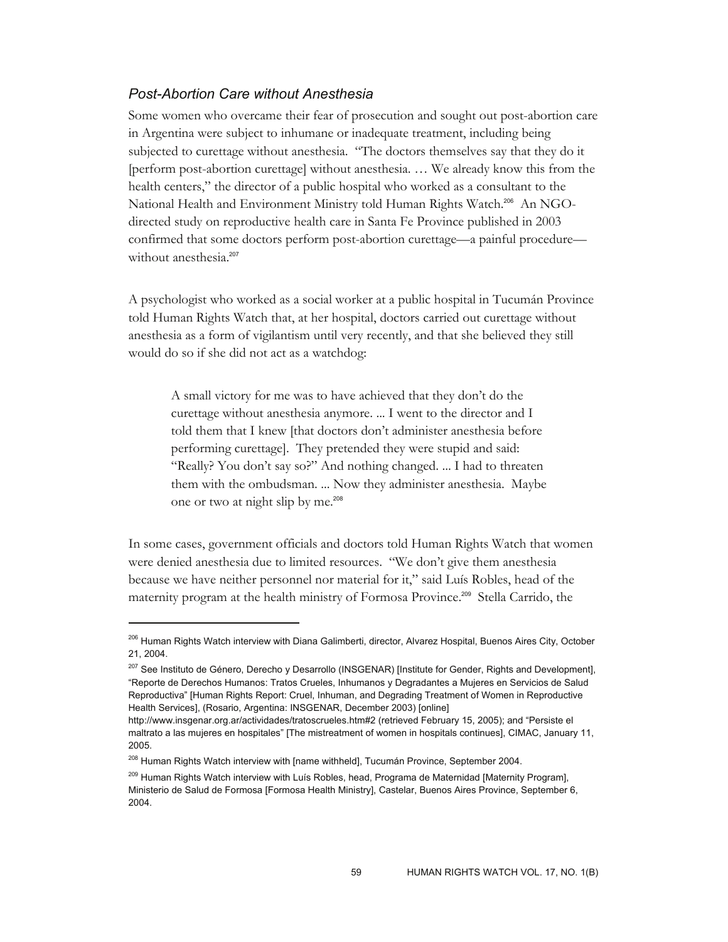## *Post-Abortion Care without Anesthesia*

Some women who overcame their fear of prosecution and sought out post-abortion care in Argentina were subject to inhumane or inadequate treatment, including being subjected to curettage without anesthesia. "The doctors themselves say that they do it [perform post-abortion curettage] without anesthesia. … We already know this from the health centers," the director of a public hospital who worked as a consultant to the National Health and Environment Ministry told Human Rights Watch.206 An NGOdirected study on reproductive health care in Santa Fe Province published in 2003 confirmed that some doctors perform post-abortion curettage—a painful procedure without anesthesia.<sup>207</sup>

A psychologist who worked as a social worker at a public hospital in Tucumán Province told Human Rights Watch that, at her hospital, doctors carried out curettage without anesthesia as a form of vigilantism until very recently, and that she believed they still would do so if she did not act as a watchdog:

A small victory for me was to have achieved that they don't do the curettage without anesthesia anymore. ... I went to the director and I told them that I knew [that doctors don't administer anesthesia before performing curettage]. They pretended they were stupid and said: "Really? You don't say so?" And nothing changed. ... I had to threaten them with the ombudsman. ... Now they administer anesthesia. Maybe one or two at night slip by me.<sup>208</sup>

In some cases, government officials and doctors told Human Rights Watch that women were denied anesthesia due to limited resources. "We don't give them anesthesia because we have neither personnel nor material for it," said Luís Robles, head of the maternity program at the health ministry of Formosa Province.209 Stella Carrido, the

<sup>&</sup>lt;sup>206</sup> Human Rights Watch interview with Diana Galimberti, director, Alvarez Hospital, Buenos Aires City, October 21, 2004.

<sup>&</sup>lt;sup>207</sup> See Instituto de Género, Derecho y Desarrollo (INSGENAR) [Institute for Gender, Rights and Development], "Reporte de Derechos Humanos: Tratos Crueles, Inhumanos y Degradantes a Mujeres en Servicios de Salud Reproductiva" [Human Rights Report: Cruel, Inhuman, and Degrading Treatment of Women in Reproductive Health Services], (Rosario, Argentina: INSGENAR, December 2003) [online]

http://www.insgenar.org.ar/actividades/tratoscrueles.htm#2 (retrieved February 15, 2005); and "Persiste el maltrato a las mujeres en hospitales" [The mistreatment of women in hospitals continues], CIMAC, January 11, 2005.

<sup>&</sup>lt;sup>208</sup> Human Rights Watch interview with [name withheld], Tucumán Province, September 2004.

<sup>&</sup>lt;sup>209</sup> Human Rights Watch interview with Luís Robles, head, Programa de Maternidad [Maternity Program], Ministerio de Salud de Formosa [Formosa Health Ministry], Castelar, Buenos Aires Province, September 6, 2004.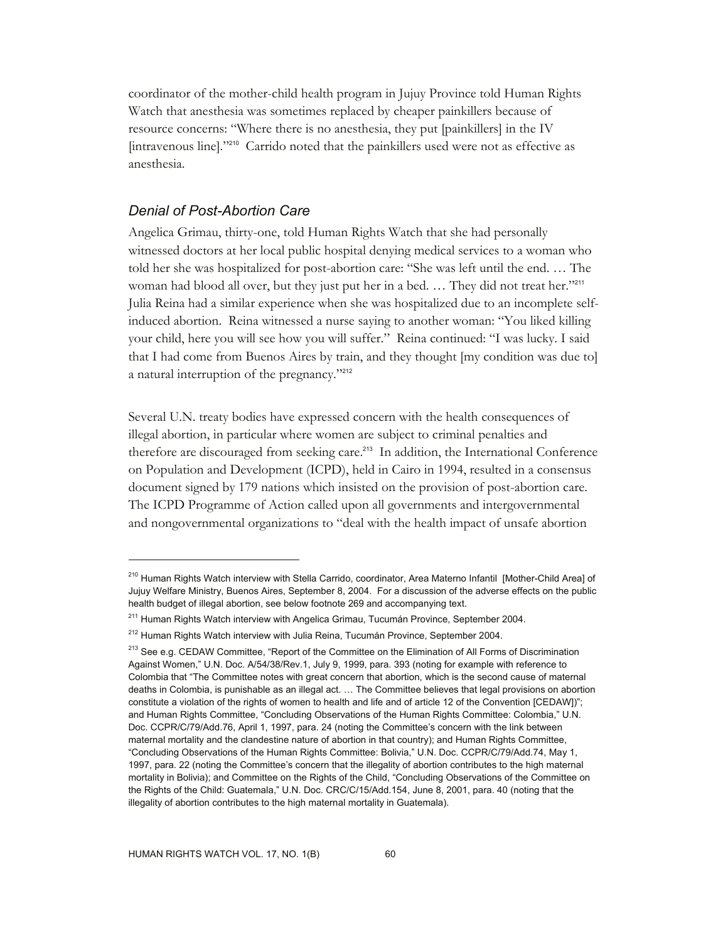coordinator of the mother-child health program in Jujuy Province told Human Rights Watch that anesthesia was sometimes replaced by cheaper painkillers because of resource concerns: "Where there is no anesthesia, they put [painkillers] in the IV [intravenous line]."210 Carrido noted that the painkillers used were not as effective as anesthesia.

#### *Denial of Post-Abortion Care*

Angelica Grimau, thirty-one, told Human Rights Watch that she had personally witnessed doctors at her local public hospital denying medical services to a woman who told her she was hospitalized for post-abortion care: "She was left until the end. … The woman had blood all over, but they just put her in a bed. ... They did not treat her."211 Julia Reina had a similar experience when she was hospitalized due to an incomplete selfinduced abortion. Reina witnessed a nurse saying to another woman: "You liked killing your child, here you will see how you will suffer." Reina continued: "I was lucky. I said that I had come from Buenos Aires by train, and they thought [my condition was due to] a natural interruption of the pregnancy."<sup>212</sup>

Several U.N. treaty bodies have expressed concern with the health consequences of illegal abortion, in particular where women are subject to criminal penalties and therefore are discouraged from seeking care.<sup>213</sup> In addition, the International Conference on Population and Development (ICPD), held in Cairo in 1994, resulted in a consensus document signed by 179 nations which insisted on the provision of post-abortion care. The ICPD Programme of Action called upon all governments and intergovernmental and nongovernmental organizations to "deal with the health impact of unsafe abortion

<sup>&</sup>lt;sup>210</sup> Human Rights Watch interview with Stella Carrido, coordinator, Area Materno Infantil [Mother-Child Area] of Jujuy Welfare Ministry, Buenos Aires, September 8, 2004. For a discussion of the adverse effects on the public health budget of illegal abortion, see below footnote 269 and accompanying text.

<sup>&</sup>lt;sup>211</sup> Human Rights Watch interview with Angelica Grimau, Tucumán Province, September 2004.

<sup>&</sup>lt;sup>212</sup> Human Rights Watch interview with Julia Reina, Tucumán Province, September 2004.

<sup>&</sup>lt;sup>213</sup> See e.g. CEDAW Committee, "Report of the Committee on the Elimination of All Forms of Discrimination Against Women," U.N. Doc. A/54/38/Rev.1, July 9, 1999, para. 393 (noting for example with reference to Colombia that "The Committee notes with great concern that abortion, which is the second cause of maternal deaths in Colombia, is punishable as an illegal act. … The Committee believes that legal provisions on abortion constitute a violation of the rights of women to health and life and of article 12 of the Convention [CEDAW])"; and Human Rights Committee, "Concluding Observations of the Human Rights Committee: Colombia," U.N. Doc. CCPR/C/79/Add.76, April 1, 1997, para. 24 (noting the Committee's concern with the link between maternal mortality and the clandestine nature of abortion in that country); and Human Rights Committee, "Concluding Observations of the Human Rights Committee: Bolivia," U.N. Doc. CCPR/C/79/Add.74, May 1, 1997, para. 22 (noting the Committee's concern that the illegality of abortion contributes to the high maternal mortality in Bolivia); and Committee on the Rights of the Child, "Concluding Observations of the Committee on the Rights of the Child: Guatemala," U.N. Doc. CRC/C/15/Add.154, June 8, 2001, para. 40 (noting that the illegality of abortion contributes to the high maternal mortality in Guatemala).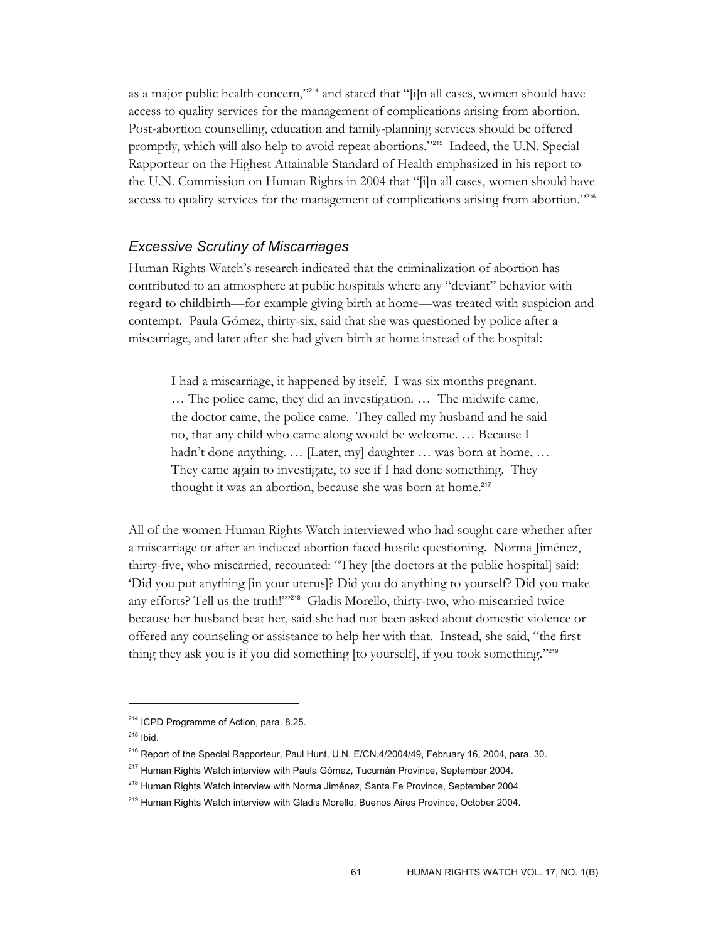as a major public health concern,"<sup>214</sup> and stated that "[i]n all cases, women should have access to quality services for the management of complications arising from abortion. Post-abortion counselling, education and family-planning services should be offered promptly, which will also help to avoid repeat abortions."215 Indeed, the U.N. Special Rapporteur on the Highest Attainable Standard of Health emphasized in his report to the U.N. Commission on Human Rights in 2004 that "[i]n all cases, women should have access to quality services for the management of complications arising from abortion."<sup>216</sup>

#### *Excessive Scrutiny of Miscarriages*

Human Rights Watch's research indicated that the criminalization of abortion has contributed to an atmosphere at public hospitals where any "deviant" behavior with regard to childbirth—for example giving birth at home—was treated with suspicion and contempt. Paula Gómez, thirty-six, said that she was questioned by police after a miscarriage, and later after she had given birth at home instead of the hospital:

I had a miscarriage, it happened by itself. I was six months pregnant. … The police came, they did an investigation. … The midwife came, the doctor came, the police came. They called my husband and he said no, that any child who came along would be welcome. … Because I hadn't done anything. ... [Later, my] daughter ... was born at home. ... They came again to investigate, to see if I had done something. They thought it was an abortion, because she was born at home.<sup>217</sup>

All of the women Human Rights Watch interviewed who had sought care whether after a miscarriage or after an induced abortion faced hostile questioning. Norma Jiménez, thirty-five, who miscarried, recounted: "They [the doctors at the public hospital] said: 'Did you put anything [in your uterus]? Did you do anything to yourself? Did you make any efforts? Tell us the truth!'"218 Gladis Morello, thirty-two, who miscarried twice because her husband beat her, said she had not been asked about domestic violence or offered any counseling or assistance to help her with that. Instead, she said, "the first thing they ask you is if you did something [to yourself], if you took something."<sup>219</sup>

<sup>&</sup>lt;sup>214</sup> ICPD Programme of Action, para. 8.25.

 $215$  Ibid.

<sup>&</sup>lt;sup>216</sup> Report of the Special Rapporteur, Paul Hunt, U.N. E/CN.4/2004/49, February 16, 2004, para. 30.

<sup>&</sup>lt;sup>217</sup> Human Rights Watch interview with Paula Gómez, Tucumán Province, September 2004.

<sup>&</sup>lt;sup>218</sup> Human Rights Watch interview with Norma Jiménez, Santa Fe Province, September 2004.

<sup>&</sup>lt;sup>219</sup> Human Rights Watch interview with Gladis Morello, Buenos Aires Province, October 2004.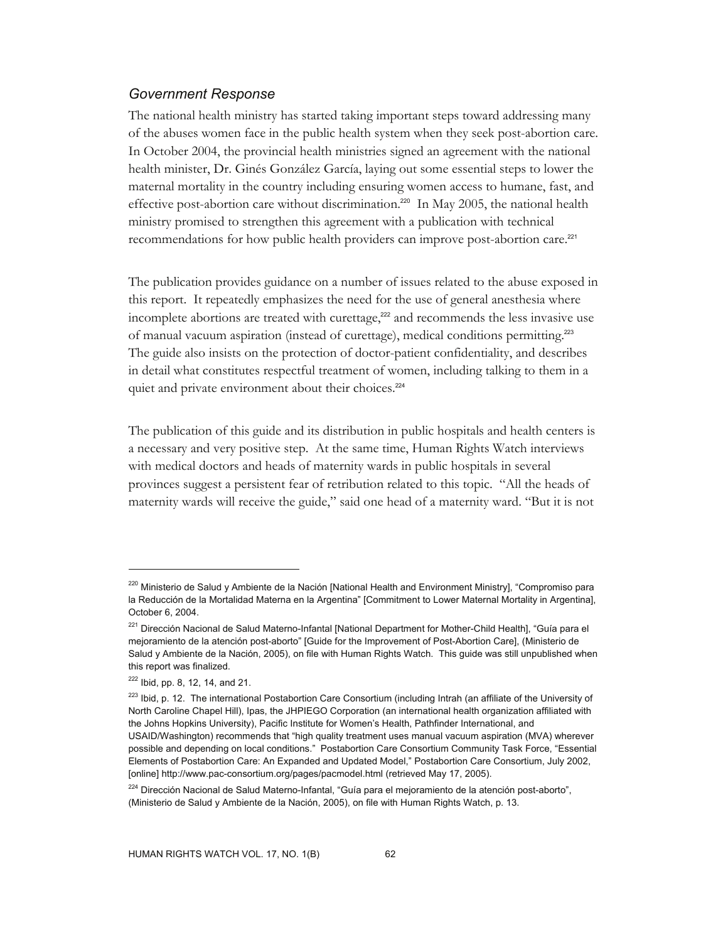### *Government Response*

The national health ministry has started taking important steps toward addressing many of the abuses women face in the public health system when they seek post-abortion care. In October 2004, the provincial health ministries signed an agreement with the national health minister, Dr. Ginés González García, laying out some essential steps to lower the maternal mortality in the country including ensuring women access to humane, fast, and effective post-abortion care without discrimination.<sup>220</sup> In May 2005, the national health ministry promised to strengthen this agreement with a publication with technical recommendations for how public health providers can improve post-abortion care.<sup>221</sup>

The publication provides guidance on a number of issues related to the abuse exposed in this report. It repeatedly emphasizes the need for the use of general anesthesia where incomplete abortions are treated with curettage,<sup>222</sup> and recommends the less invasive use of manual vacuum aspiration (instead of curettage), medical conditions permitting.<sup>223</sup> The guide also insists on the protection of doctor-patient confidentiality, and describes in detail what constitutes respectful treatment of women, including talking to them in a quiet and private environment about their choices.<sup>224</sup>

The publication of this guide and its distribution in public hospitals and health centers is a necessary and very positive step. At the same time, Human Rights Watch interviews with medical doctors and heads of maternity wards in public hospitals in several provinces suggest a persistent fear of retribution related to this topic. "All the heads of maternity wards will receive the guide," said one head of a maternity ward. "But it is not

<sup>&</sup>lt;sup>220</sup> Ministerio de Salud y Ambiente de la Nación [National Health and Environment Ministry], "Compromiso para la Reducción de la Mortalidad Materna en la Argentina" [Commitment to Lower Maternal Mortality in Argentina], October 6, 2004.

<sup>&</sup>lt;sup>221</sup> Dirección Nacional de Salud Materno-Infantal [National Department for Mother-Child Health], "Guía para el mejoramiento de la atención post-aborto" [Guide for the Improvement of Post-Abortion Care], (Ministerio de Salud y Ambiente de la Nación, 2005), on file with Human Rights Watch. This guide was still unpublished when this report was finalized.

 $222$  Ibid, pp. 8, 12, 14, and 21.

<sup>&</sup>lt;sup>223</sup> Ibid, p. 12. The international Postabortion Care Consortium (including Intrah (an affiliate of the University of North Caroline Chapel Hill), Ipas, the JHPIEGO Corporation (an international health organization affiliated with the Johns Hopkins University), Pacific Institute for Women's Health, Pathfinder International, and USAID/Washington) recommends that "high quality treatment uses manual vacuum aspiration (MVA) wherever possible and depending on local conditions." Postabortion Care Consortium Community Task Force, "Essential Elements of Postabortion Care: An Expanded and Updated Model," Postabortion Care Consortium, July 2002, [online] http://www.pac-consortium.org/pages/pacmodel.html (retrieved May 17, 2005).

<sup>&</sup>lt;sup>224</sup> Dirección Nacional de Salud Materno-Infantal, "Guía para el mejoramiento de la atención post-aborto", (Ministerio de Salud y Ambiente de la Nación, 2005), on file with Human Rights Watch, p. 13.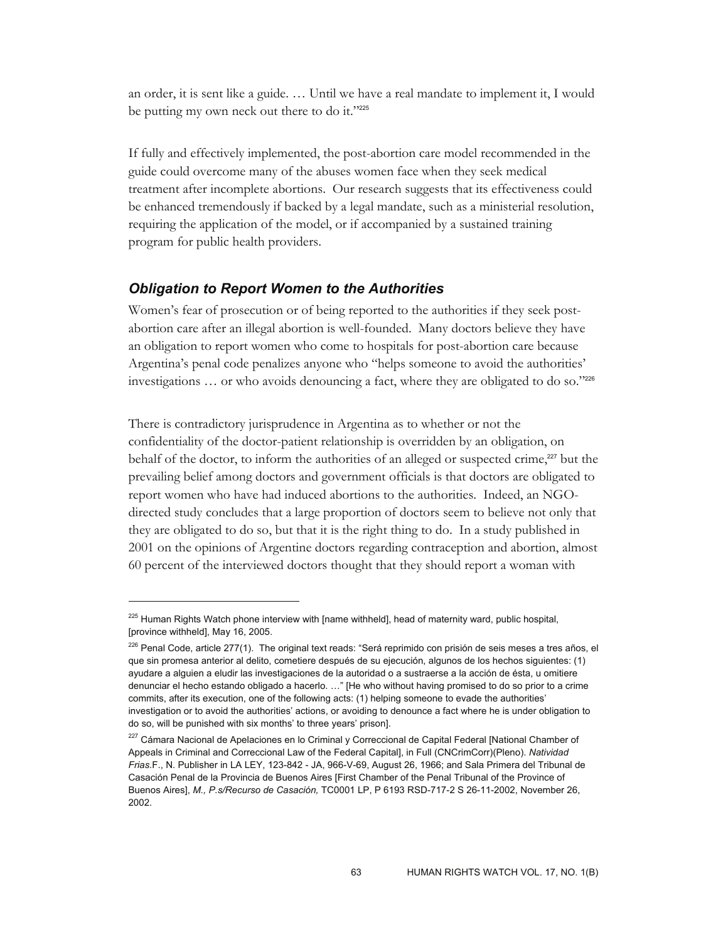an order, it is sent like a guide. … Until we have a real mandate to implement it, I would be putting my own neck out there to do it."225

If fully and effectively implemented, the post-abortion care model recommended in the guide could overcome many of the abuses women face when they seek medical treatment after incomplete abortions. Our research suggests that its effectiveness could be enhanced tremendously if backed by a legal mandate, such as a ministerial resolution, requiring the application of the model, or if accompanied by a sustained training program for public health providers.

#### *Obligation to Report Women to the Authorities*

-

Women's fear of prosecution or of being reported to the authorities if they seek postabortion care after an illegal abortion is well-founded. Many doctors believe they have an obligation to report women who come to hospitals for post-abortion care because Argentina's penal code penalizes anyone who "helps someone to avoid the authorities' investigations … or who avoids denouncing a fact, where they are obligated to do so."<sup>226</sup>

There is contradictory jurisprudence in Argentina as to whether or not the confidentiality of the doctor-patient relationship is overridden by an obligation, on behalf of the doctor, to inform the authorities of an alleged or suspected crime, $2^{27}$  but the prevailing belief among doctors and government officials is that doctors are obligated to report women who have had induced abortions to the authorities. Indeed, an NGOdirected study concludes that a large proportion of doctors seem to believe not only that they are obligated to do so, but that it is the right thing to do. In a study published in 2001 on the opinions of Argentine doctors regarding contraception and abortion, almost 60 percent of the interviewed doctors thought that they should report a woman with

<sup>&</sup>lt;sup>225</sup> Human Rights Watch phone interview with [name withheld], head of maternity ward, public hospital, [province withheld], May 16, 2005.

<sup>&</sup>lt;sup>226</sup> Penal Code, article 277(1). The original text reads: "Será reprimido con prisión de seis meses a tres años, el que sin promesa anterior al delito, cometiere después de su ejecución, algunos de los hechos siguientes: (1) ayudare a alguien a eludir las investigaciones de la autoridad o a sustraerse a la acción de ésta, u omitiere denunciar el hecho estando obligado a hacerlo. …" [He who without having promised to do so prior to a crime commits, after its execution, one of the following acts: (1) helping someone to evade the authorities' investigation or to avoid the authorities' actions, or avoiding to denounce a fact where he is under obligation to do so, will be punished with six months' to three years' prison].

<sup>&</sup>lt;sup>227</sup> Cámara Nacional de Apelaciones en lo Criminal y Correccional de Capital Federal [National Chamber of Appeals in Criminal and Correccional Law of the Federal Capital], in Full (CNCrimCorr)(Pleno). *Natividad Frias*.F., N. Publisher in LA LEY, 123-842 - JA, 966-V-69, August 26, 1966; and Sala Primera del Tribunal de Casación Penal de la Provincia de Buenos Aires [First Chamber of the Penal Tribunal of the Province of Buenos Aires], *M., P.s/Recurso de Casación,* TC0001 LP, P 6193 RSD-717-2 S 26-11-2002, November 26, 2002.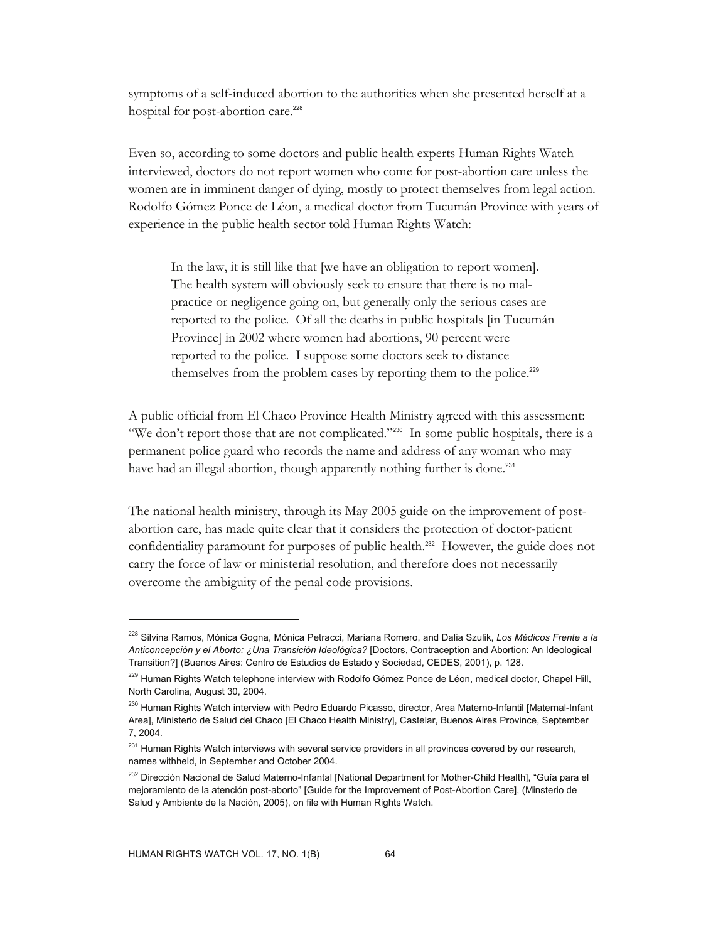symptoms of a self-induced abortion to the authorities when she presented herself at a hospital for post-abortion care.<sup>228</sup>

Even so, according to some doctors and public health experts Human Rights Watch interviewed, doctors do not report women who come for post-abortion care unless the women are in imminent danger of dying, mostly to protect themselves from legal action. Rodolfo Gómez Ponce de Léon, a medical doctor from Tucumán Province with years of experience in the public health sector told Human Rights Watch:

In the law, it is still like that [we have an obligation to report women]. The health system will obviously seek to ensure that there is no malpractice or negligence going on, but generally only the serious cases are reported to the police. Of all the deaths in public hospitals [in Tucumán Province] in 2002 where women had abortions, 90 percent were reported to the police. I suppose some doctors seek to distance themselves from the problem cases by reporting them to the police.<sup>229</sup>

A public official from El Chaco Province Health Ministry agreed with this assessment: "We don't report those that are not complicated."<sup>2230</sup> In some public hospitals, there is a permanent police guard who records the name and address of any woman who may have had an illegal abortion, though apparently nothing further is done.<sup>231</sup>

The national health ministry, through its May 2005 guide on the improvement of postabortion care, has made quite clear that it considers the protection of doctor-patient confidentiality paramount for purposes of public health.232 However, the guide does not carry the force of law or ministerial resolution, and therefore does not necessarily overcome the ambiguity of the penal code provisions.

<sup>228</sup> Silvina Ramos, Mónica Gogna, Mónica Petracci, Mariana Romero, and Dalia Szulik, *Los Médicos Frente a la Anticoncepción y el Aborto: ¿Una Transición Ideológica?* [Doctors, Contraception and Abortion: An Ideological Transition?] (Buenos Aires: Centro de Estudios de Estado y Sociedad, CEDES, 2001), p. 128.

<sup>&</sup>lt;sup>229</sup> Human Rights Watch telephone interview with Rodolfo Gómez Ponce de Léon, medical doctor, Chapel Hill, North Carolina, August 30, 2004.

<sup>230</sup> Human Rights Watch interview with Pedro Eduardo Picasso, director, Area Materno-Infantil [Maternal-Infant Area], Ministerio de Salud del Chaco [El Chaco Health Ministry], Castelar, Buenos Aires Province, September 7, 2004.

<sup>&</sup>lt;sup>231</sup> Human Rights Watch interviews with several service providers in all provinces covered by our research, names withheld, in September and October 2004.

<sup>&</sup>lt;sup>232</sup> Dirección Nacional de Salud Materno-Infantal [National Department for Mother-Child Health], "Guía para el mejoramiento de la atención post-aborto" [Guide for the Improvement of Post-Abortion Care], (Minsterio de Salud y Ambiente de la Nación, 2005), on file with Human Rights Watch.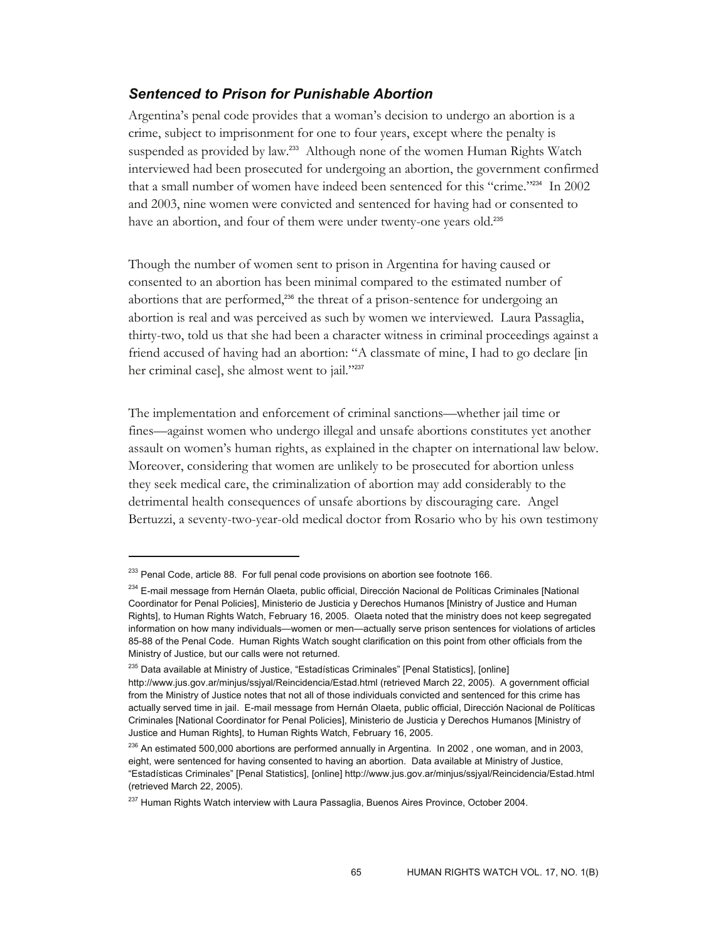## *Sentenced to Prison for Punishable Abortion*

Argentina's penal code provides that a woman's decision to undergo an abortion is a crime, subject to imprisonment for one to four years, except where the penalty is suspended as provided by law.<sup>233</sup> Although none of the women Human Rights Watch interviewed had been prosecuted for undergoing an abortion, the government confirmed that a small number of women have indeed been sentenced for this "crime."234 In 2002 and 2003, nine women were convicted and sentenced for having had or consented to have an abortion, and four of them were under twenty-one years old.<sup>235</sup>

Though the number of women sent to prison in Argentina for having caused or consented to an abortion has been minimal compared to the estimated number of abortions that are performed,<sup>236</sup> the threat of a prison-sentence for undergoing an abortion is real and was perceived as such by women we interviewed. Laura Passaglia, thirty-two, told us that she had been a character witness in criminal proceedings against a friend accused of having had an abortion: "A classmate of mine, I had to go declare [in her criminal case], she almost went to jail."237

The implementation and enforcement of criminal sanctions—whether jail time or fines—against women who undergo illegal and unsafe abortions constitutes yet another assault on women's human rights, as explained in the chapter on international law below. Moreover, considering that women are unlikely to be prosecuted for abortion unless they seek medical care, the criminalization of abortion may add considerably to the detrimental health consequences of unsafe abortions by discouraging care. Angel Bertuzzi, a seventy-two-year-old medical doctor from Rosario who by his own testimony

<sup>&</sup>lt;sup>233</sup> Penal Code, article 88. For full penal code provisions on abortion see footnote 166.

<sup>&</sup>lt;sup>234</sup> E-mail message from Hernán Olaeta, public official, Dirección Nacional de Políticas Criminales [National Coordinator for Penal Policies], Ministerio de Justicia y Derechos Humanos [Ministry of Justice and Human Rights], to Human Rights Watch, February 16, 2005. Olaeta noted that the ministry does not keep segregated information on how many individuals—women or men—actually serve prison sentences for violations of articles 85-88 of the Penal Code. Human Rights Watch sought clarification on this point from other officials from the Ministry of Justice, but our calls were not returned.

<sup>&</sup>lt;sup>235</sup> Data available at Ministry of Justice, "Estadísticas Criminales" [Penal Statistics], [online] http://www.jus.gov.ar/minjus/ssjyal/Reincidencia/Estad.html (retrieved March 22, 2005). A government official from the Ministry of Justice notes that not all of those individuals convicted and sentenced for this crime has actually served time in jail. E-mail message from Hernán Olaeta, public official, Dirección Nacional de Políticas Criminales [National Coordinator for Penal Policies], Ministerio de Justicia y Derechos Humanos [Ministry of Justice and Human Rights], to Human Rights Watch, February 16, 2005.

 $^{236}$  An estimated 500,000 abortions are performed annually in Argentina. In 2002, one woman, and in 2003, eight, were sentenced for having consented to having an abortion. Data available at Ministry of Justice, "Estadísticas Criminales" [Penal Statistics], [online] http://www.jus.gov.ar/minjus/ssjyal/Reincidencia/Estad.html (retrieved March 22, 2005).

<sup>&</sup>lt;sup>237</sup> Human Rights Watch interview with Laura Passaglia, Buenos Aires Province, October 2004.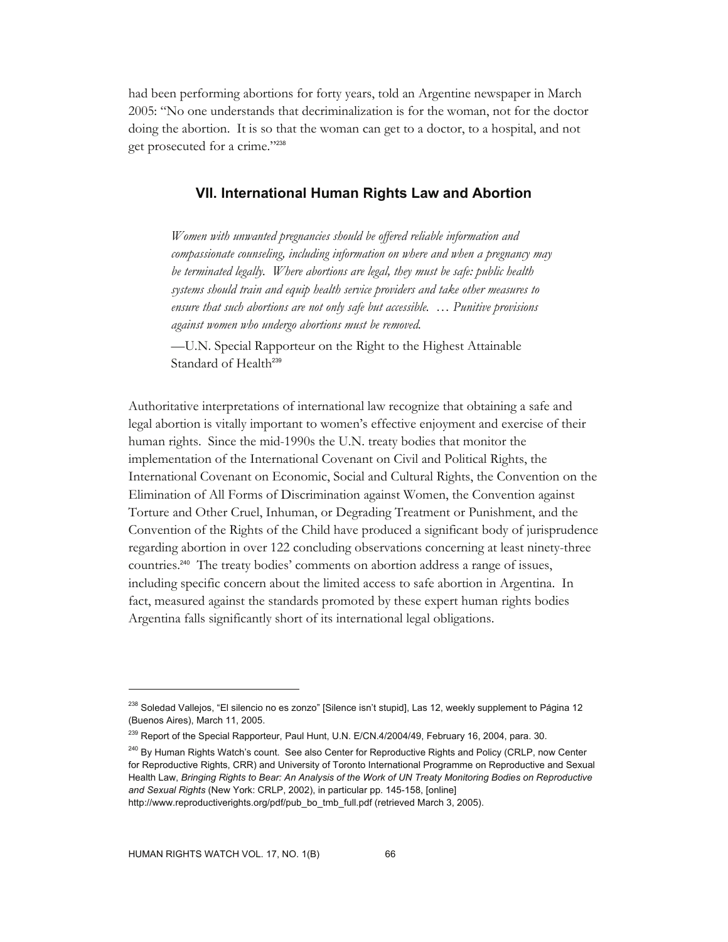had been performing abortions for forty years, told an Argentine newspaper in March 2005: "No one understands that decriminalization is for the woman, not for the doctor doing the abortion. It is so that the woman can get to a doctor, to a hospital, and not get prosecuted for a crime."<sup>238</sup>

#### **VII. International Human Rights Law and Abortion**

*Women with unwanted pregnancies should be offered reliable information and compassionate counseling, including information on where and when a pregnancy may be terminated legally. Where abortions are legal, they must be safe: public health systems should train and equip health service providers and take other measures to ensure that such abortions are not only safe but accessible. … Punitive provisions against women who undergo abortions must be removed.* 

—U.N. Special Rapporteur on the Right to the Highest Attainable Standard of Health<sup>239</sup>

Authoritative interpretations of international law recognize that obtaining a safe and legal abortion is vitally important to women's effective enjoyment and exercise of their human rights. Since the mid-1990s the U.N. treaty bodies that monitor the implementation of the International Covenant on Civil and Political Rights, the International Covenant on Economic, Social and Cultural Rights, the Convention on the Elimination of All Forms of Discrimination against Women, the Convention against Torture and Other Cruel, Inhuman, or Degrading Treatment or Punishment, and the Convention of the Rights of the Child have produced a significant body of jurisprudence regarding abortion in over 122 concluding observations concerning at least ninety-three countries.240 The treaty bodies' comments on abortion address a range of issues, including specific concern about the limited access to safe abortion in Argentina. In fact, measured against the standards promoted by these expert human rights bodies Argentina falls significantly short of its international legal obligations.

<sup>&</sup>lt;sup>238</sup> Soledad Vallejos, "El silencio no es zonzo" [Silence isn't stupid], Las 12, weekly supplement to Página 12 (Buenos Aires), March 11, 2005.

<sup>&</sup>lt;sup>239</sup> Report of the Special Rapporteur, Paul Hunt, U.N. E/CN.4/2004/49, February 16, 2004, para. 30.

<sup>&</sup>lt;sup>240</sup> By Human Rights Watch's count. See also Center for Reproductive Rights and Policy (CRLP, now Center for Reproductive Rights, CRR) and University of Toronto International Programme on Reproductive and Sexual Health Law, *Bringing Rights to Bear: An Analysis of the Work of UN Treaty Monitoring Bodies on Reproductive and Sexual Rights* (New York: CRLP, 2002), in particular pp. 145-158, [online]

http://www.reproductiverights.org/pdf/pub\_bo\_tmb\_full.pdf (retrieved March 3, 2005).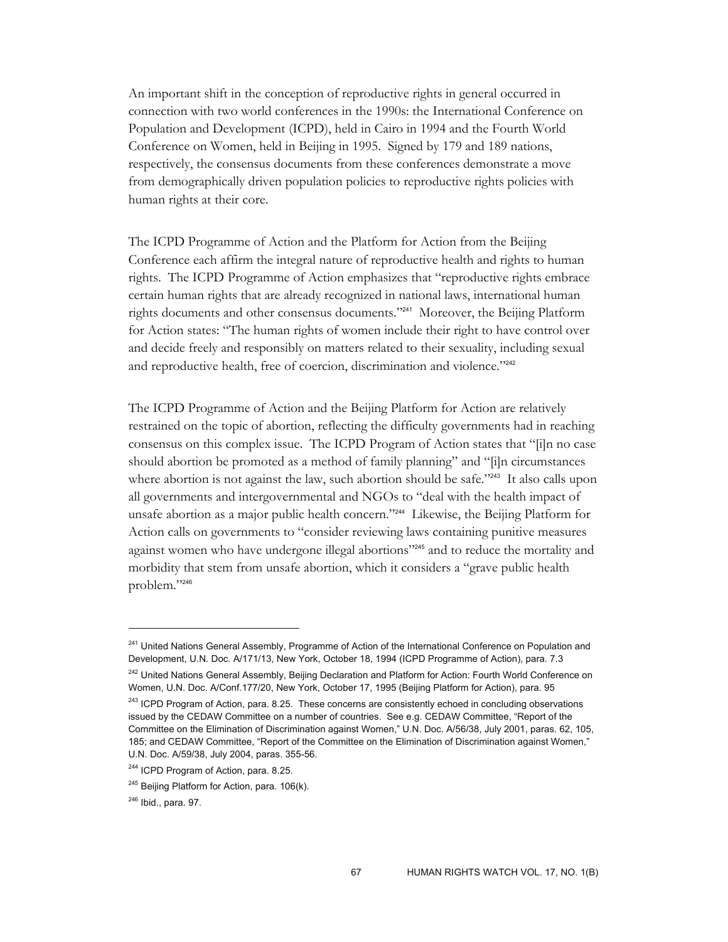An important shift in the conception of reproductive rights in general occurred in connection with two world conferences in the 1990s: the International Conference on Population and Development (ICPD), held in Cairo in 1994 and the Fourth World Conference on Women, held in Beijing in 1995. Signed by 179 and 189 nations, respectively, the consensus documents from these conferences demonstrate a move from demographically driven population policies to reproductive rights policies with human rights at their core.

The ICPD Programme of Action and the Platform for Action from the Beijing Conference each affirm the integral nature of reproductive health and rights to human rights. The ICPD Programme of Action emphasizes that "reproductive rights embrace certain human rights that are already recognized in national laws, international human rights documents and other consensus documents."241 Moreover, the Beijing Platform for Action states: "The human rights of women include their right to have control over and decide freely and responsibly on matters related to their sexuality, including sexual and reproductive health, free of coercion, discrimination and violence."242

The ICPD Programme of Action and the Beijing Platform for Action are relatively restrained on the topic of abortion, reflecting the difficulty governments had in reaching consensus on this complex issue. The ICPD Program of Action states that "[i]n no case should abortion be promoted as a method of family planning" and "[i]n circumstances where abortion is not against the law, such abortion should be safe."<sup>243</sup> It also calls upon all governments and intergovernmental and NGOs to "deal with the health impact of unsafe abortion as a major public health concern."244 Likewise, the Beijing Platform for Action calls on governments to "consider reviewing laws containing punitive measures against women who have undergone illegal abortions"<sup>245</sup> and to reduce the mortality and morbidity that stem from unsafe abortion, which it considers a "grave public health problem."<sup>246</sup>

<sup>&</sup>lt;sup>241</sup> United Nations General Assembly, Programme of Action of the International Conference on Population and Development, U.N. Doc. A/171/13, New York, October 18, 1994 (ICPD Programme of Action), para. 7.3

<sup>&</sup>lt;sup>242</sup> United Nations General Assembly, Beijing Declaration and Platform for Action: Fourth World Conference on Women, U.N. Doc. A/Conf.177/20, New York, October 17, 1995 (Beijing Platform for Action), para. 95

<sup>&</sup>lt;sup>243</sup> ICPD Program of Action, para. 8.25. These concerns are consistently echoed in concluding observations issued by the CEDAW Committee on a number of countries. See e.g. CEDAW Committee, "Report of the Committee on the Elimination of Discrimination against Women," U.N. Doc. A/56/38, July 2001, paras. 62, 105, 185; and CEDAW Committee, "Report of the Committee on the Elimination of Discrimination against Women," U.N. Doc. A/59/38, July 2004, paras. 355-56.

<sup>&</sup>lt;sup>244</sup> ICPD Program of Action, para. 8.25.

<sup>&</sup>lt;sup>245</sup> Beijing Platform for Action, para. 106(k).

<sup>246</sup> Ibid., para. 97.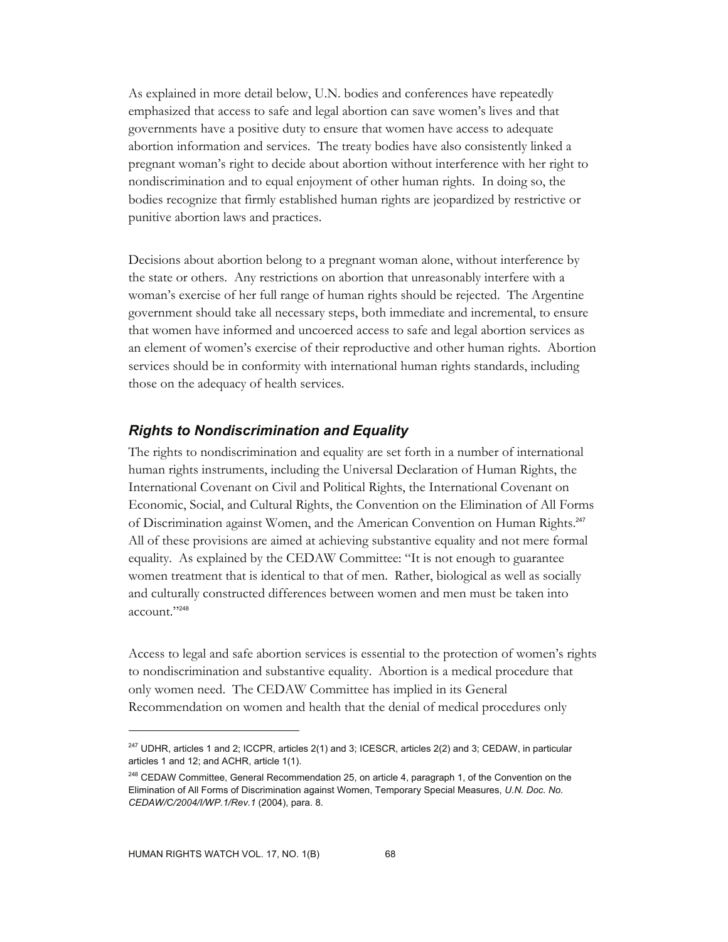As explained in more detail below, U.N. bodies and conferences have repeatedly emphasized that access to safe and legal abortion can save women's lives and that governments have a positive duty to ensure that women have access to adequate abortion information and services. The treaty bodies have also consistently linked a pregnant woman's right to decide about abortion without interference with her right to nondiscrimination and to equal enjoyment of other human rights. In doing so, the bodies recognize that firmly established human rights are jeopardized by restrictive or punitive abortion laws and practices.

Decisions about abortion belong to a pregnant woman alone, without interference by the state or others. Any restrictions on abortion that unreasonably interfere with a woman's exercise of her full range of human rights should be rejected. The Argentine government should take all necessary steps, both immediate and incremental, to ensure that women have informed and uncoerced access to safe and legal abortion services as an element of women's exercise of their reproductive and other human rights. Abortion services should be in conformity with international human rights standards, including those on the adequacy of health services.

## *Rights to Nondiscrimination and Equality*

The rights to nondiscrimination and equality are set forth in a number of international human rights instruments, including the Universal Declaration of Human Rights, the International Covenant on Civil and Political Rights, the International Covenant on Economic, Social, and Cultural Rights, the Convention on the Elimination of All Forms of Discrimination against Women, and the American Convention on Human Rights.<sup>247</sup> All of these provisions are aimed at achieving substantive equality and not mere formal equality. As explained by the CEDAW Committee: "It is not enough to guarantee women treatment that is identical to that of men. Rather, biological as well as socially and culturally constructed differences between women and men must be taken into account."<sup>248</sup>

Access to legal and safe abortion services is essential to the protection of women's rights to nondiscrimination and substantive equality. Abortion is a medical procedure that only women need. The CEDAW Committee has implied in its General Recommendation on women and health that the denial of medical procedures only

 $247$  UDHR, articles 1 and 2; ICCPR, articles 2(1) and 3; ICESCR, articles 2(2) and 3; CEDAW, in particular articles 1 and 12; and ACHR, article 1(1).

<sup>&</sup>lt;sup>248</sup> CEDAW Committee, General Recommendation 25, on article 4, paragraph 1, of the Convention on the Elimination of All Forms of Discrimination against Women, Temporary Special Measures, *U.N. Doc. No. CEDAW/C/2004/I/WP.1/Rev.1* (2004), para. 8.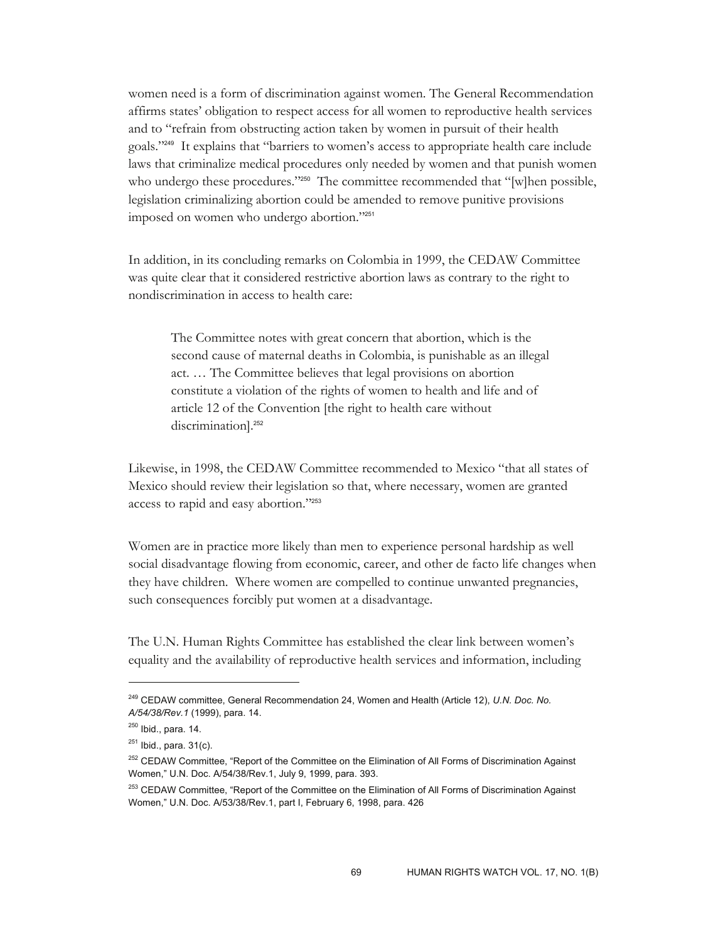women need is a form of discrimination against women. The General Recommendation affirms states' obligation to respect access for all women to reproductive health services and to "refrain from obstructing action taken by women in pursuit of their health goals."249 It explains that "barriers to women's access to appropriate health care include laws that criminalize medical procedures only needed by women and that punish women who undergo these procedures."<sup>250</sup> The committee recommended that "[w]hen possible, legislation criminalizing abortion could be amended to remove punitive provisions imposed on women who undergo abortion."<sup>251</sup>

In addition, in its concluding remarks on Colombia in 1999, the CEDAW Committee was quite clear that it considered restrictive abortion laws as contrary to the right to nondiscrimination in access to health care:

The Committee notes with great concern that abortion, which is the second cause of maternal deaths in Colombia, is punishable as an illegal act. … The Committee believes that legal provisions on abortion constitute a violation of the rights of women to health and life and of article 12 of the Convention [the right to health care without discrimination].<sup>252</sup>

Likewise, in 1998, the CEDAW Committee recommended to Mexico "that all states of Mexico should review their legislation so that, where necessary, women are granted access to rapid and easy abortion."<sup>253</sup>

Women are in practice more likely than men to experience personal hardship as well social disadvantage flowing from economic, career, and other de facto life changes when they have children. Where women are compelled to continue unwanted pregnancies, such consequences forcibly put women at a disadvantage.

The U.N. Human Rights Committee has established the clear link between women's equality and the availability of reproductive health services and information, including

<sup>249</sup> CEDAW committee, General Recommendation 24, Women and Health (Article 12), *U.N. Doc. No. A/54/38/Rev.1* (1999), para. 14.

<sup>250</sup> Ibid., para. 14.

 $^{251}$  Ibid., para. 31(c).

<sup>&</sup>lt;sup>252</sup> CEDAW Committee, "Report of the Committee on the Elimination of All Forms of Discrimination Against Women," U.N. Doc. A/54/38/Rev.1, July 9, 1999, para. 393.

<sup>&</sup>lt;sup>253</sup> CEDAW Committee, "Report of the Committee on the Elimination of All Forms of Discrimination Against Women," U.N. Doc. A/53/38/Rev.1, part I, February 6, 1998, para. 426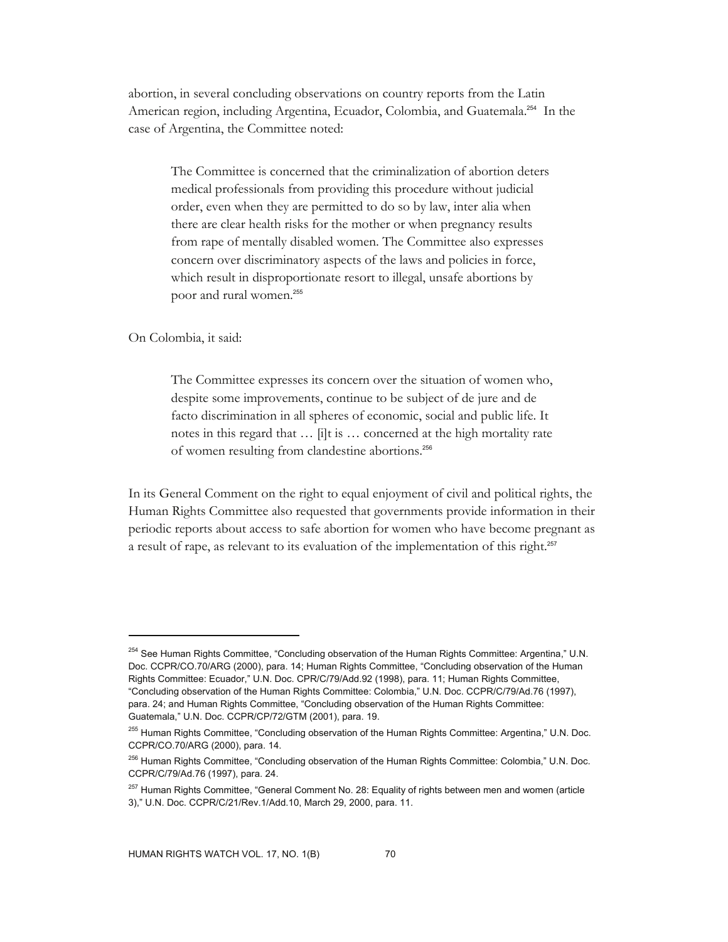abortion, in several concluding observations on country reports from the Latin American region, including Argentina, Ecuador, Colombia, and Guatemala.<sup>254</sup> In the case of Argentina, the Committee noted:

The Committee is concerned that the criminalization of abortion deters medical professionals from providing this procedure without judicial order, even when they are permitted to do so by law, inter alia when there are clear health risks for the mother or when pregnancy results from rape of mentally disabled women. The Committee also expresses concern over discriminatory aspects of the laws and policies in force, which result in disproportionate resort to illegal, unsafe abortions by poor and rural women.<sup>255</sup>

On Colombia, it said:

-

The Committee expresses its concern over the situation of women who, despite some improvements, continue to be subject of de jure and de facto discrimination in all spheres of economic, social and public life. It notes in this regard that … [i]t is … concerned at the high mortality rate of women resulting from clandestine abortions.<sup>256</sup>

In its General Comment on the right to equal enjoyment of civil and political rights, the Human Rights Committee also requested that governments provide information in their periodic reports about access to safe abortion for women who have become pregnant as a result of rape, as relevant to its evaluation of the implementation of this right.<sup>257</sup>

<sup>&</sup>lt;sup>254</sup> See Human Rights Committee, "Concluding observation of the Human Rights Committee: Argentina," U.N. Doc. CCPR/CO.70/ARG (2000), para. 14; Human Rights Committee, "Concluding observation of the Human Rights Committee: Ecuador," U.N. Doc. CPR/C/79/Add.92 (1998), para. 11; Human Rights Committee, "Concluding observation of the Human Rights Committee: Colombia," U.N. Doc. CCPR/C/79/Ad.76 (1997), para. 24; and Human Rights Committee, "Concluding observation of the Human Rights Committee: Guatemala," U.N. Doc. CCPR/CP/72/GTM (2001), para. 19.

<sup>&</sup>lt;sup>255</sup> Human Rights Committee, "Concluding observation of the Human Rights Committee: Argentina," U.N. Doc. CCPR/CO.70/ARG (2000), para. 14.

<sup>&</sup>lt;sup>256</sup> Human Rights Committee, "Concluding observation of the Human Rights Committee: Colombia," U.N. Doc. CCPR/C/79/Ad.76 (1997), para. 24.

<sup>&</sup>lt;sup>257</sup> Human Rights Committee, "General Comment No. 28: Equality of rights between men and women (article 3)," U.N. Doc. CCPR/C/21/Rev.1/Add.10, March 29, 2000, para. 11.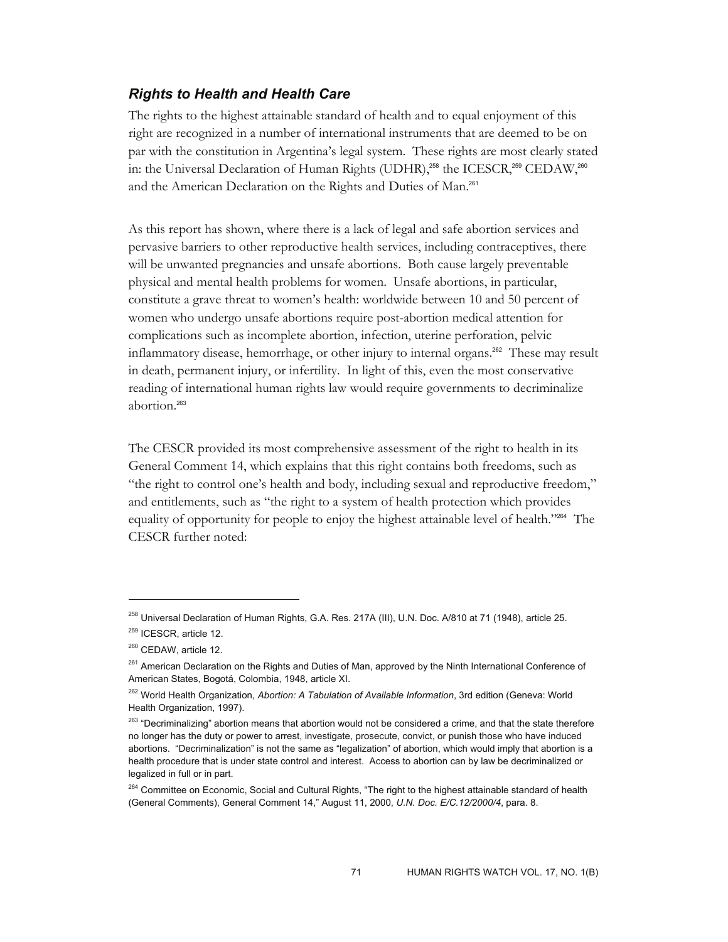## *Rights to Health and Health Care*

The rights to the highest attainable standard of health and to equal enjoyment of this right are recognized in a number of international instruments that are deemed to be on par with the constitution in Argentina's legal system. These rights are most clearly stated in: the Universal Declaration of Human Rights (UDHR),<sup>258</sup> the ICESCR,<sup>259</sup> CEDAW,<sup>260</sup> and the American Declaration on the Rights and Duties of Man.<sup>261</sup>

As this report has shown, where there is a lack of legal and safe abortion services and pervasive barriers to other reproductive health services, including contraceptives, there will be unwanted pregnancies and unsafe abortions. Both cause largely preventable physical and mental health problems for women. Unsafe abortions, in particular, constitute a grave threat to women's health: worldwide between 10 and 50 percent of women who undergo unsafe abortions require post-abortion medical attention for complications such as incomplete abortion, infection, uterine perforation, pelvic inflammatory disease, hemorrhage, or other injury to internal organs.262 These may result in death, permanent injury, or infertility. In light of this, even the most conservative reading of international human rights law would require governments to decriminalize abortion.<sup>263</sup>

The CESCR provided its most comprehensive assessment of the right to health in its General Comment 14, which explains that this right contains both freedoms, such as "the right to control one's health and body, including sexual and reproductive freedom," and entitlements, such as "the right to a system of health protection which provides equality of opportunity for people to enjoy the highest attainable level of health."264 The CESCR further noted:

<sup>&</sup>lt;sup>258</sup> Universal Declaration of Human Rights, G.A. Res. 217A (III), U.N. Doc. A/810 at 71 (1948), article 25. <sup>259</sup> ICESCR, article 12.

<sup>&</sup>lt;sup>260</sup> CEDAW, article 12.

<sup>&</sup>lt;sup>261</sup> American Declaration on the Rights and Duties of Man, approved by the Ninth International Conference of American States, Bogotá, Colombia, 1948, article XI.

<sup>262</sup> World Health Organization, *Abortion: A Tabulation of Available Information*, 3rd edition (Geneva: World Health Organization, 1997).

<sup>&</sup>lt;sup>263</sup> "Decriminalizing" abortion means that abortion would not be considered a crime, and that the state therefore no longer has the duty or power to arrest, investigate, prosecute, convict, or punish those who have induced abortions. "Decriminalization" is not the same as "legalization" of abortion, which would imply that abortion is a health procedure that is under state control and interest. Access to abortion can by law be decriminalized or legalized in full or in part.

<sup>&</sup>lt;sup>264</sup> Committee on Economic, Social and Cultural Rights, "The right to the highest attainable standard of health (General Comments), General Comment 14," August 11, 2000, *U.N. Doc. E/C.12/2000/4*, para. 8.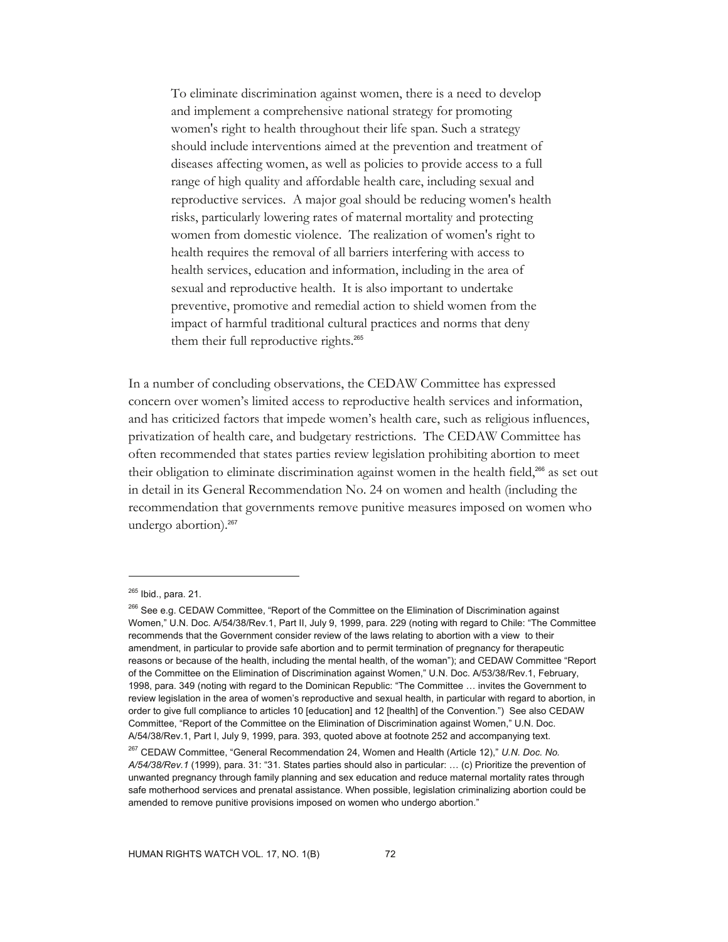To eliminate discrimination against women, there is a need to develop and implement a comprehensive national strategy for promoting women's right to health throughout their life span. Such a strategy should include interventions aimed at the prevention and treatment of diseases affecting women, as well as policies to provide access to a full range of high quality and affordable health care, including sexual and reproductive services. A major goal should be reducing women's health risks, particularly lowering rates of maternal mortality and protecting women from domestic violence. The realization of women's right to health requires the removal of all barriers interfering with access to health services, education and information, including in the area of sexual and reproductive health. It is also important to undertake preventive, promotive and remedial action to shield women from the impact of harmful traditional cultural practices and norms that deny them their full reproductive rights.<sup>265</sup>

In a number of concluding observations, the CEDAW Committee has expressed concern over women's limited access to reproductive health services and information, and has criticized factors that impede women's health care, such as religious influences, privatization of health care, and budgetary restrictions. The CEDAW Committee has often recommended that states parties review legislation prohibiting abortion to meet their obligation to eliminate discrimination against women in the health field,<sup>266</sup> as set out in detail in its General Recommendation No. 24 on women and health (including the recommendation that governments remove punitive measures imposed on women who undergo abortion).<sup>267</sup>

<sup>265</sup> Ibid., para. 21.

<sup>&</sup>lt;sup>266</sup> See e.g. CEDAW Committee, "Report of the Committee on the Elimination of Discrimination against Women," U.N. Doc. A/54/38/Rev.1, Part II, July 9, 1999, para. 229 (noting with regard to Chile: "The Committee recommends that the Government consider review of the laws relating to abortion with a view to their amendment, in particular to provide safe abortion and to permit termination of pregnancy for therapeutic reasons or because of the health, including the mental health, of the woman"); and CEDAW Committee "Report of the Committee on the Elimination of Discrimination against Women," U.N. Doc. A/53/38/Rev.1, February, 1998, para. 349 (noting with regard to the Dominican Republic: "The Committee … invites the Government to review legislation in the area of women's reproductive and sexual health, in particular with regard to abortion, in order to give full compliance to articles 10 [education] and 12 [health] of the Convention.") See also CEDAW Committee, "Report of the Committee on the Elimination of Discrimination against Women," U.N. Doc. A/54/38/Rev.1, Part I, July 9, 1999, para. 393, quoted above at footnote 252 and accompanying text.

<sup>267</sup> CEDAW Committee, "General Recommendation 24, Women and Health (Article 12)," *U.N. Doc. No. A/54/38/Rev.1* (1999), para. 31: "31. States parties should also in particular: … (c) Prioritize the prevention of unwanted pregnancy through family planning and sex education and reduce maternal mortality rates through safe motherhood services and prenatal assistance. When possible, legislation criminalizing abortion could be amended to remove punitive provisions imposed on women who undergo abortion."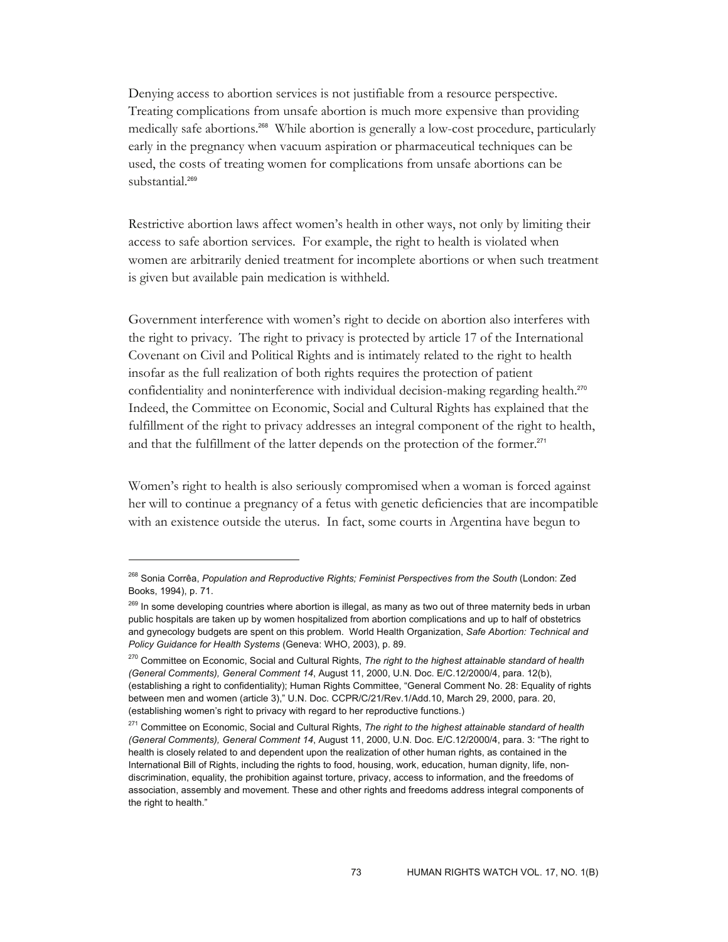Denying access to abortion services is not justifiable from a resource perspective. Treating complications from unsafe abortion is much more expensive than providing medically safe abortions.268 While abortion is generally a low-cost procedure, particularly early in the pregnancy when vacuum aspiration or pharmaceutical techniques can be used, the costs of treating women for complications from unsafe abortions can be substantial.<sup>269</sup>

Restrictive abortion laws affect women's health in other ways, not only by limiting their access to safe abortion services. For example, the right to health is violated when women are arbitrarily denied treatment for incomplete abortions or when such treatment is given but available pain medication is withheld.

Government interference with women's right to decide on abortion also interferes with the right to privacy. The right to privacy is protected by article 17 of the International Covenant on Civil and Political Rights and is intimately related to the right to health insofar as the full realization of both rights requires the protection of patient confidentiality and noninterference with individual decision-making regarding health.<sup>270</sup> Indeed, the Committee on Economic, Social and Cultural Rights has explained that the fulfillment of the right to privacy addresses an integral component of the right to health, and that the fulfillment of the latter depends on the protection of the former.<sup>271</sup>

Women's right to health is also seriously compromised when a woman is forced against her will to continue a pregnancy of a fetus with genetic deficiencies that are incompatible with an existence outside the uterus. In fact, some courts in Argentina have begun to

<sup>268</sup> Sonia Corrêa, *Population and Reproductive Rights; Feminist Perspectives from the South* (London: Zed Books, 1994), p. 71.

<sup>&</sup>lt;sup>269</sup> In some developing countries where abortion is illegal, as many as two out of three maternity beds in urban public hospitals are taken up by women hospitalized from abortion complications and up to half of obstetrics and gynecology budgets are spent on this problem. World Health Organization, *Safe Abortion: Technical and Policy Guidance for Health Systems* (Geneva: WHO, 2003), p. 89.

<sup>270</sup> Committee on Economic, Social and Cultural Rights, *The right to the highest attainable standard of health (General Comments), General Comment 14*, August 11, 2000, U.N. Doc. E/C.12/2000/4, para. 12(b), (establishing a right to confidentiality); Human Rights Committee, "General Comment No. 28: Equality of rights between men and women (article 3)," U.N. Doc. CCPR/C/21/Rev.1/Add.10, March 29, 2000, para. 20, (establishing women's right to privacy with regard to her reproductive functions.)

<sup>271</sup> Committee on Economic, Social and Cultural Rights, *The right to the highest attainable standard of health (General Comments), General Comment 14*, August 11, 2000, U.N. Doc. E/C.12/2000/4, para. 3: "The right to health is closely related to and dependent upon the realization of other human rights, as contained in the International Bill of Rights, including the rights to food, housing, work, education, human dignity, life, nondiscrimination, equality, the prohibition against torture, privacy, access to information, and the freedoms of association, assembly and movement. These and other rights and freedoms address integral components of the right to health."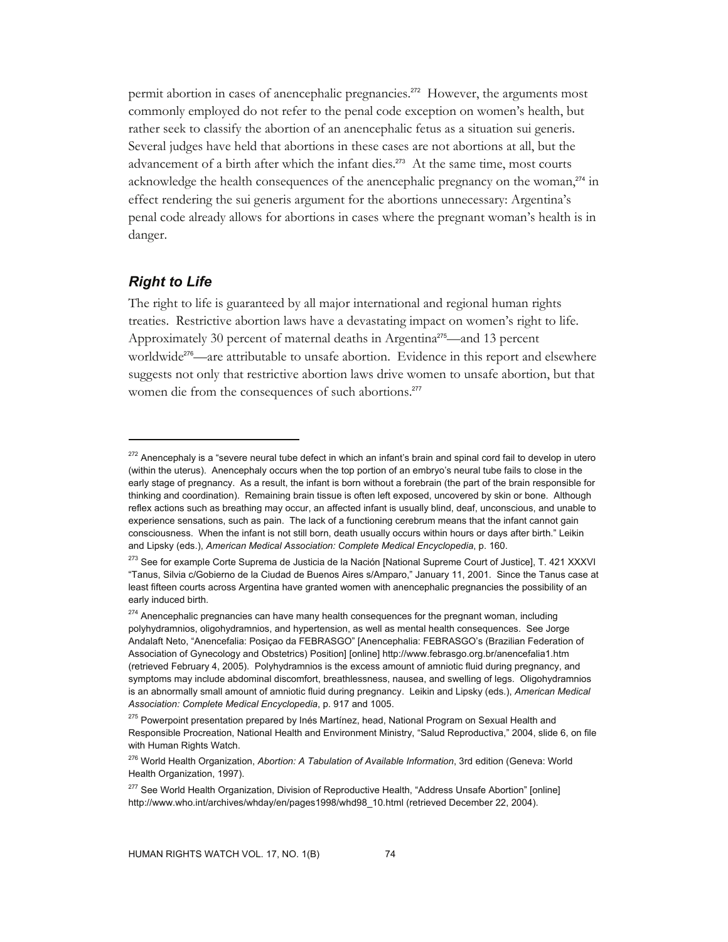permit abortion in cases of anencephalic pregnancies.272 However, the arguments most commonly employed do not refer to the penal code exception on women's health, but rather seek to classify the abortion of an anencephalic fetus as a situation sui generis. Several judges have held that abortions in these cases are not abortions at all, but the advancement of a birth after which the infant dies.<sup>273</sup> At the same time, most courts acknowledge the health consequences of the anencephalic pregnancy on the woman, $^{274}$  in effect rendering the sui generis argument for the abortions unnecessary: Argentina's penal code already allows for abortions in cases where the pregnant woman's health is in danger.

## *Right to Life*

-

The right to life is guaranteed by all major international and regional human rights treaties. Restrictive abortion laws have a devastating impact on women's right to life. Approximately 30 percent of maternal deaths in Argentina<sup>275</sup>—and 13 percent worldwide<sup>276</sup>—are attributable to unsafe abortion. Evidence in this report and elsewhere suggests not only that restrictive abortion laws drive women to unsafe abortion, but that women die from the consequences of such abortions.<sup>277</sup>

<sup>&</sup>lt;sup>272</sup> Anencephaly is a "severe neural tube defect in which an infant's brain and spinal cord fail to develop in utero (within the uterus). Anencephaly occurs when the top portion of an embryo's neural tube fails to close in the early stage of pregnancy. As a result, the infant is born without a forebrain (the part of the brain responsible for thinking and coordination). Remaining brain tissue is often left exposed, uncovered by skin or bone. Although reflex actions such as breathing may occur, an affected infant is usually blind, deaf, unconscious, and unable to experience sensations, such as pain. The lack of a functioning cerebrum means that the infant cannot gain consciousness. When the infant is not still born, death usually occurs within hours or days after birth." Leikin and Lipsky (eds.), *American Medical Association: Complete Medical Encyclopedia*, p. 160.

<sup>&</sup>lt;sup>273</sup> See for example Corte Suprema de Justicia de la Nación [National Supreme Court of Justice], T. 421 XXXVI "Tanus, Silvia c/Gobierno de la Ciudad de Buenos Aires s/Amparo," January 11, 2001. Since the Tanus case at least fifteen courts across Argentina have granted women with anencephalic pregnancies the possibility of an early induced birth.

<sup>&</sup>lt;sup>274</sup> Anencephalic pregnancies can have many health consequences for the pregnant woman, including polyhydramnios, oligohydramnios, and hypertension, as well as mental health consequences. See Jorge Andalaft Neto, "Anencefalia: Posiçao da FEBRASGO" [Anencephalia: FEBRASGO's (Brazilian Federation of Association of Gynecology and Obstetrics) Position] [online] http://www.febrasgo.org.br/anencefalia1.htm (retrieved February 4, 2005). Polyhydramnios is the excess amount of amniotic fluid during pregnancy, and symptoms may include abdominal discomfort, breathlessness, nausea, and swelling of legs. Oligohydramnios is an abnormally small amount of amniotic fluid during pregnancy. Leikin and Lipsky (eds.), *American Medical Association: Complete Medical Encyclopedia*, p. 917 and 1005.

<sup>&</sup>lt;sup>275</sup> Powerpoint presentation prepared by Inés Martínez, head, National Program on Sexual Health and Responsible Procreation, National Health and Environment Ministry, "Salud Reproductiva," 2004, slide 6, on file with Human Rights Watch.

<sup>276</sup> World Health Organization, *Abortion: A Tabulation of Available Information*, 3rd edition (Geneva: World Health Organization, 1997).

<sup>&</sup>lt;sup>277</sup> See World Health Organization, Division of Reproductive Health, "Address Unsafe Abortion" [online] http://www.who.int/archives/whday/en/pages1998/whd98\_10.html (retrieved December 22, 2004).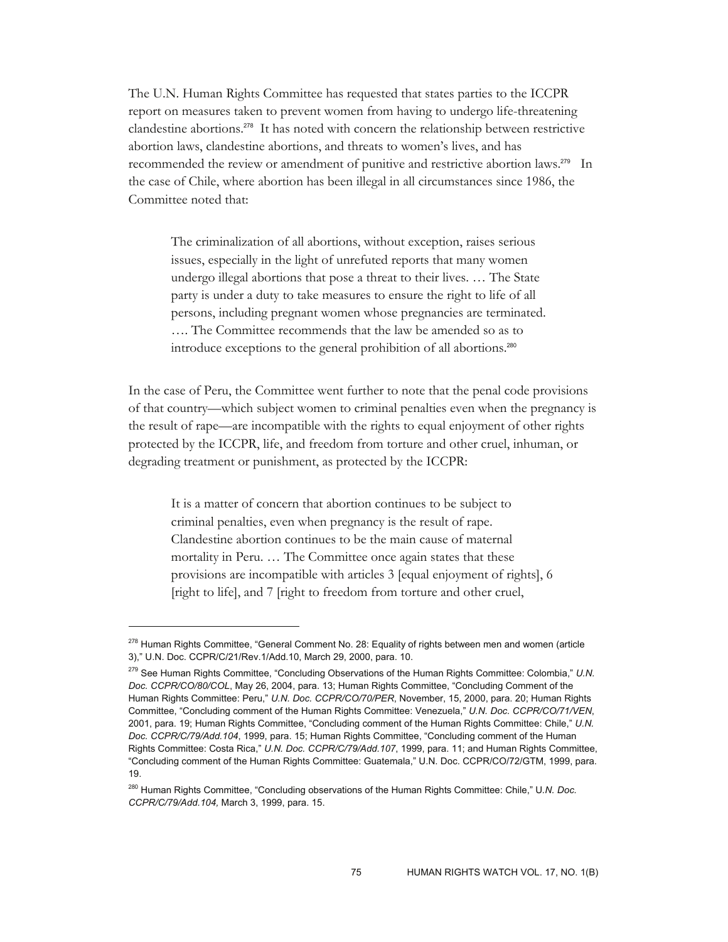The U.N. Human Rights Committee has requested that states parties to the ICCPR report on measures taken to prevent women from having to undergo life-threatening clandestine abortions.278 It has noted with concern the relationship between restrictive abortion laws, clandestine abortions, and threats to women's lives, and has recommended the review or amendment of punitive and restrictive abortion laws.<sup>279</sup> In the case of Chile, where abortion has been illegal in all circumstances since 1986, the Committee noted that:

The criminalization of all abortions, without exception, raises serious issues, especially in the light of unrefuted reports that many women undergo illegal abortions that pose a threat to their lives. … The State party is under a duty to take measures to ensure the right to life of all persons, including pregnant women whose pregnancies are terminated. …. The Committee recommends that the law be amended so as to introduce exceptions to the general prohibition of all abortions.<sup>280</sup>

In the case of Peru, the Committee went further to note that the penal code provisions of that country—which subject women to criminal penalties even when the pregnancy is the result of rape—are incompatible with the rights to equal enjoyment of other rights protected by the ICCPR, life, and freedom from torture and other cruel, inhuman, or degrading treatment or punishment, as protected by the ICCPR:

It is a matter of concern that abortion continues to be subject to criminal penalties, even when pregnancy is the result of rape. Clandestine abortion continues to be the main cause of maternal mortality in Peru. … The Committee once again states that these provisions are incompatible with articles 3 [equal enjoyment of rights], 6 [right to life], and 7 [right to freedom from torture and other cruel,

<sup>&</sup>lt;sup>278</sup> Human Rights Committee, "General Comment No. 28: Equality of rights between men and women (article 3)," U.N. Doc. CCPR/C/21/Rev.1/Add.10, March 29, 2000, para. 10.

<sup>279</sup> See Human Rights Committee, "Concluding Observations of the Human Rights Committee: Colombia," *U.N. Doc. CCPR/CO/80/COL*, May 26, 2004, para. 13; Human Rights Committee, "Concluding Comment of the Human Rights Committee: Peru," *U.N. Doc. CCPR/CO/70/PER*, November, 15, 2000, para. 20; Human Rights Committee, "Concluding comment of the Human Rights Committee: Venezuela," *U.N. Doc. CCPR/CO/71/VEN*, 2001, para. 19; Human Rights Committee, "Concluding comment of the Human Rights Committee: Chile," *U.N. Doc. CCPR/C/79/Add.104*, 1999, para. 15; Human Rights Committee, "Concluding comment of the Human Rights Committee: Costa Rica," *U.N. Doc. CCPR/C/79/Add.107*, 1999, para. 11; and Human Rights Committee, "Concluding comment of the Human Rights Committee: Guatemala," U.N. Doc. CCPR/CO/72/GTM, 1999, para. 19.

<sup>280</sup> Human Rights Committee, "Concluding observations of the Human Rights Committee: Chile," U*.N. Doc. CCPR/C/79/Add.104,* March 3, 1999, para. 15.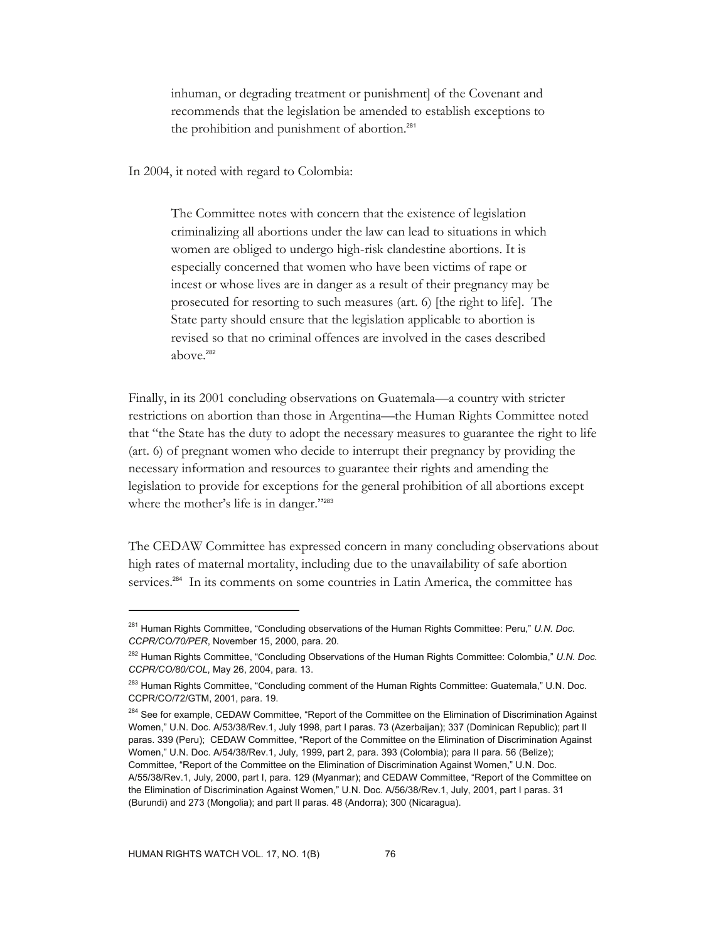inhuman, or degrading treatment or punishment] of the Covenant and recommends that the legislation be amended to establish exceptions to the prohibition and punishment of abortion.<sup>281</sup>

In 2004, it noted with regard to Colombia:

The Committee notes with concern that the existence of legislation criminalizing all abortions under the law can lead to situations in which women are obliged to undergo high-risk clandestine abortions. It is especially concerned that women who have been victims of rape or incest or whose lives are in danger as a result of their pregnancy may be prosecuted for resorting to such measures (art. 6) [the right to life]. The State party should ensure that the legislation applicable to abortion is revised so that no criminal offences are involved in the cases described above.<sup>282</sup>

Finally, in its 2001 concluding observations on Guatemala—a country with stricter restrictions on abortion than those in Argentina—the Human Rights Committee noted that "the State has the duty to adopt the necessary measures to guarantee the right to life (art. 6) of pregnant women who decide to interrupt their pregnancy by providing the necessary information and resources to guarantee their rights and amending the legislation to provide for exceptions for the general prohibition of all abortions except where the mother's life is in danger."283

The CEDAW Committee has expressed concern in many concluding observations about high rates of maternal mortality, including due to the unavailability of safe abortion services.<sup>284</sup> In its comments on some countries in Latin America, the committee has

<sup>281</sup> Human Rights Committee, "Concluding observations of the Human Rights Committee: Peru," *U.N. Doc. CCPR/CO/70/PER*, November 15, 2000, para. 20.

<sup>282</sup> Human Rights Committee, "Concluding Observations of the Human Rights Committee: Colombia," *U.N. Doc. CCPR/CO/80/COL*, May 26, 2004, para. 13.

<sup>&</sup>lt;sup>283</sup> Human Rights Committee, "Concluding comment of the Human Rights Committee: Guatemala," U.N. Doc. CCPR/CO/72/GTM, 2001, para. 19.

<sup>&</sup>lt;sup>284</sup> See for example, CEDAW Committee, "Report of the Committee on the Elimination of Discrimination Against Women," U.N. Doc. A/53/38/Rev.1, July 1998, part I paras. 73 (Azerbaijan); 337 (Dominican Republic); part II paras. 339 (Peru); CEDAW Committee, "Report of the Committee on the Elimination of Discrimination Against Women," U.N. Doc. A/54/38/Rev.1, July, 1999, part 2, para. 393 (Colombia); para II para. 56 (Belize); Committee, "Report of the Committee on the Elimination of Discrimination Against Women," U.N. Doc. A/55/38/Rev.1, July, 2000, part I, para. 129 (Myanmar); and CEDAW Committee, "Report of the Committee on the Elimination of Discrimination Against Women," U.N. Doc. A/56/38/Rev.1, July, 2001, part I paras. 31 (Burundi) and 273 (Mongolia); and part II paras. 48 (Andorra); 300 (Nicaragua).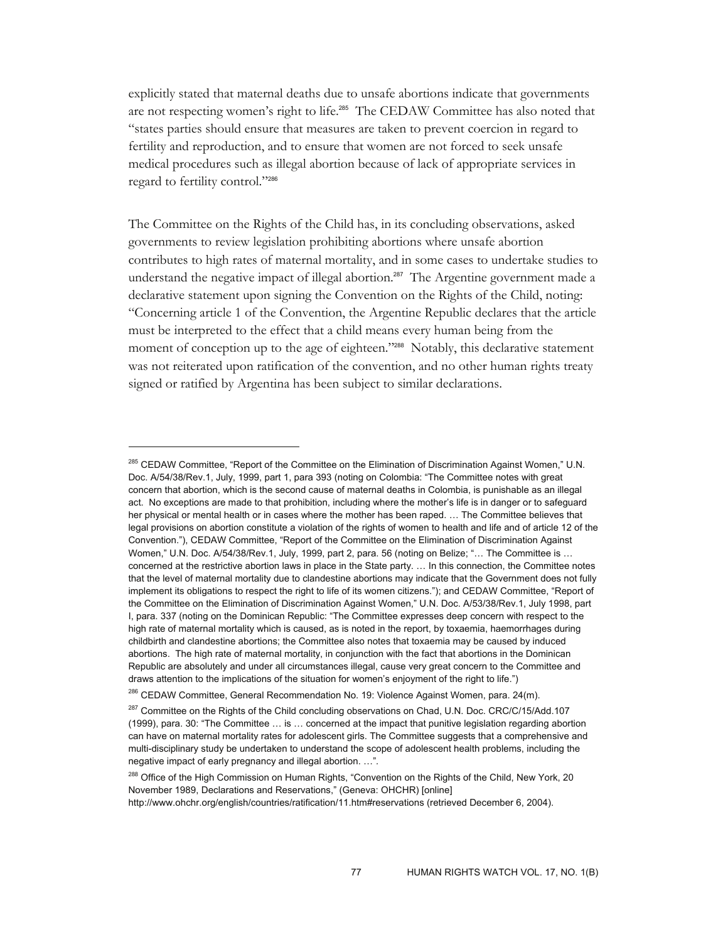explicitly stated that maternal deaths due to unsafe abortions indicate that governments are not respecting women's right to life.<sup>285</sup> The CEDAW Committee has also noted that "states parties should ensure that measures are taken to prevent coercion in regard to fertility and reproduction, and to ensure that women are not forced to seek unsafe medical procedures such as illegal abortion because of lack of appropriate services in regard to fertility control."<sup>286</sup>

The Committee on the Rights of the Child has, in its concluding observations, asked governments to review legislation prohibiting abortions where unsafe abortion contributes to high rates of maternal mortality, and in some cases to undertake studies to understand the negative impact of illegal abortion.<sup>287</sup> The Argentine government made a declarative statement upon signing the Convention on the Rights of the Child, noting: "Concerning article 1 of the Convention, the Argentine Republic declares that the article must be interpreted to the effect that a child means every human being from the moment of conception up to the age of eighteen."<sup>288</sup> Notably, this declarative statement was not reiterated upon ratification of the convention, and no other human rights treaty signed or ratified by Argentina has been subject to similar declarations.

<sup>&</sup>lt;sup>285</sup> CEDAW Committee, "Report of the Committee on the Elimination of Discrimination Against Women," U.N. Doc. A/54/38/Rev.1, July, 1999, part 1, para 393 (noting on Colombia: "The Committee notes with great concern that abortion, which is the second cause of maternal deaths in Colombia, is punishable as an illegal act. No exceptions are made to that prohibition, including where the mother's life is in danger or to safeguard her physical or mental health or in cases where the mother has been raped. … The Committee believes that legal provisions on abortion constitute a violation of the rights of women to health and life and of article 12 of the Convention."), CEDAW Committee, "Report of the Committee on the Elimination of Discrimination Against Women," U.N. Doc. A/54/38/Rev.1, July, 1999, part 2, para. 56 (noting on Belize; "… The Committee is … concerned at the restrictive abortion laws in place in the State party. … In this connection, the Committee notes that the level of maternal mortality due to clandestine abortions may indicate that the Government does not fully implement its obligations to respect the right to life of its women citizens."); and CEDAW Committee, "Report of the Committee on the Elimination of Discrimination Against Women," U.N. Doc. A/53/38/Rev.1, July 1998, part I, para. 337 (noting on the Dominican Republic: "The Committee expresses deep concern with respect to the high rate of maternal mortality which is caused, as is noted in the report, by toxaemia, haemorrhages during childbirth and clandestine abortions; the Committee also notes that toxaemia may be caused by induced abortions. The high rate of maternal mortality, in conjunction with the fact that abortions in the Dominican Republic are absolutely and under all circumstances illegal, cause very great concern to the Committee and draws attention to the implications of the situation for women's enjoyment of the right to life.")

<sup>&</sup>lt;sup>286</sup> CEDAW Committee, General Recommendation No. 19: Violence Against Women, para. 24(m).

<sup>&</sup>lt;sup>287</sup> Committee on the Rights of the Child concluding observations on Chad, U.N. Doc. CRC/C/15/Add.107 (1999), para. 30: "The Committee … is … concerned at the impact that punitive legislation regarding abortion can have on maternal mortality rates for adolescent girls. The Committee suggests that a comprehensive and multi-disciplinary study be undertaken to understand the scope of adolescent health problems, including the negative impact of early pregnancy and illegal abortion. …"*.*

<sup>&</sup>lt;sup>288</sup> Office of the High Commission on Human Rights, "Convention on the Rights of the Child, New York, 20 November 1989, Declarations and Reservations," (Geneva: OHCHR) [online] http://www.ohchr.org/english/countries/ratification/11.htm#reservations (retrieved December 6, 2004).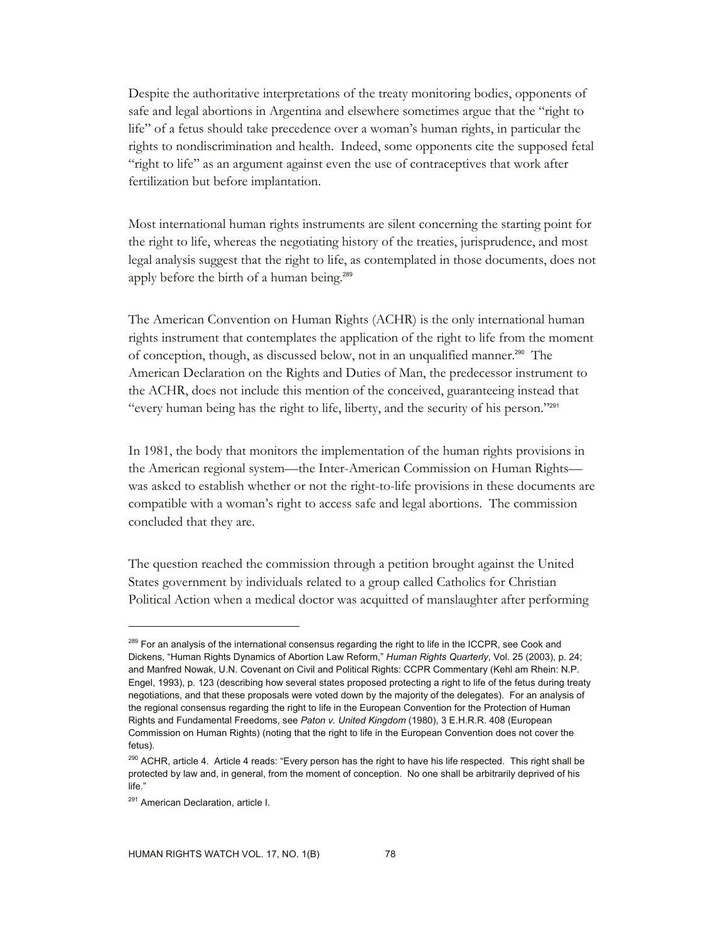Despite the authoritative interpretations of the treaty monitoring bodies, opponents of safe and legal abortions in Argentina and elsewhere sometimes argue that the "right to life" of a fetus should take precedence over a woman's human rights, in particular the rights to nondiscrimination and health. Indeed, some opponents cite the supposed fetal "right to life" as an argument against even the use of contraceptives that work after fertilization but before implantation.

Most international human rights instruments are silent concerning the starting point for the right to life, whereas the negotiating history of the treaties, jurisprudence, and most legal analysis suggest that the right to life, as contemplated in those documents, does not apply before the birth of a human being.<sup>289</sup>

The American Convention on Human Rights (ACHR) is the only international human rights instrument that contemplates the application of the right to life from the moment of conception, though, as discussed below, not in an unqualified manner.<sup>290</sup> The American Declaration on the Rights and Duties of Man, the predecessor instrument to the ACHR, does not include this mention of the conceived, guaranteeing instead that "every human being has the right to life, liberty, and the security of his person."<sup>291</sup>

In 1981, the body that monitors the implementation of the human rights provisions in the American regional system—the Inter-American Commission on Human Rights was asked to establish whether or not the right-to-life provisions in these documents are compatible with a woman's right to access safe and legal abortions. The commission concluded that they are.

The question reached the commission through a petition brought against the United States government by individuals related to a group called Catholics for Christian Political Action when a medical doctor was acquitted of manslaughter after performing

<sup>&</sup>lt;sup>289</sup> For an analysis of the international consensus regarding the right to life in the ICCPR, see Cook and Dickens, "Human Rights Dynamics of Abortion Law Reform," *Human Rights Quarterly*, Vol. 25 (2003), p. 24; and Manfred Nowak, U.N. Covenant on Civil and Political Rights: CCPR Commentary (Kehl am Rhein: N.P. Engel, 1993), p. 123 (describing how several states proposed protecting a right to life of the fetus during treaty negotiations, and that these proposals were voted down by the majority of the delegates). For an analysis of the regional consensus regarding the right to life in the European Convention for the Protection of Human Rights and Fundamental Freedoms, see *Paton v. United Kingdom* (1980), 3 E.H.R.R. 408 (European Commission on Human Rights) (noting that the right to life in the European Convention does not cover the fetus).

<sup>&</sup>lt;sup>290</sup> ACHR, article 4. Article 4 reads: "Every person has the right to have his life respected. This right shall be protected by law and, in general, from the moment of conception. No one shall be arbitrarily deprived of his life."

<sup>&</sup>lt;sup>291</sup> American Declaration, article I.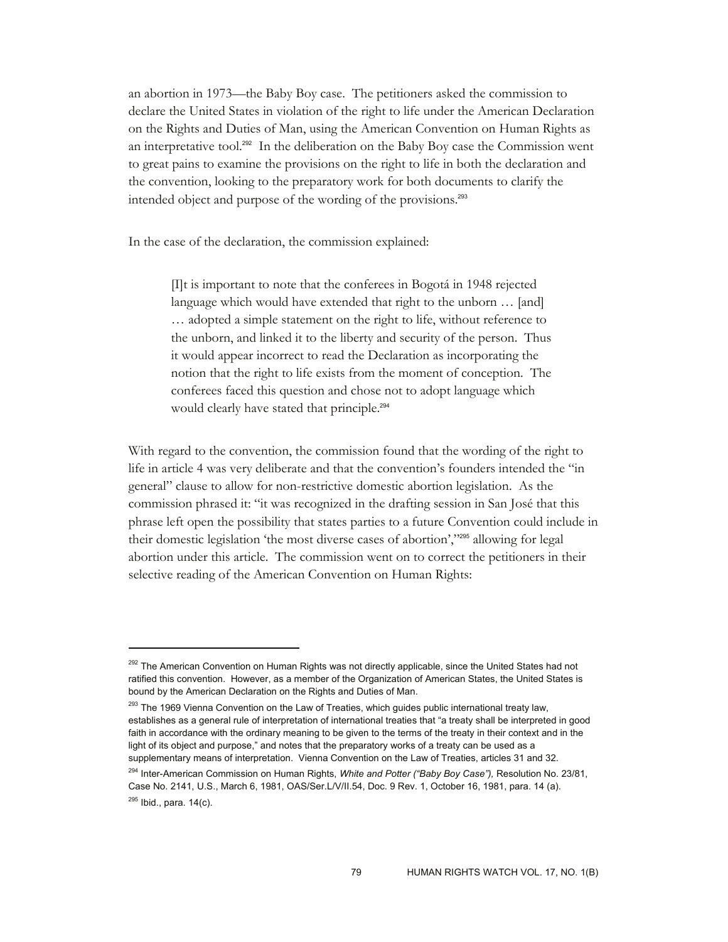an abortion in 1973—the Baby Boy case. The petitioners asked the commission to declare the United States in violation of the right to life under the American Declaration on the Rights and Duties of Man, using the American Convention on Human Rights as an interpretative tool.292 In the deliberation on the Baby Boy case the Commission went to great pains to examine the provisions on the right to life in both the declaration and the convention, looking to the preparatory work for both documents to clarify the intended object and purpose of the wording of the provisions.<sup>293</sup>

In the case of the declaration, the commission explained:

-

[I]t is important to note that the conferees in Bogotá in 1948 rejected language which would have extended that right to the unborn ... [and] … adopted a simple statement on the right to life, without reference to the unborn, and linked it to the liberty and security of the person. Thus it would appear incorrect to read the Declaration as incorporating the notion that the right to life exists from the moment of conception. The conferees faced this question and chose not to adopt language which would clearly have stated that principle.<sup>294</sup>

With regard to the convention, the commission found that the wording of the right to life in article 4 was very deliberate and that the convention's founders intended the "in general" clause to allow for non-restrictive domestic abortion legislation. As the commission phrased it: "it was recognized in the drafting session in San José that this phrase left open the possibility that states parties to a future Convention could include in their domestic legislation 'the most diverse cases of abortion',"295 allowing for legal abortion under this article. The commission went on to correct the petitioners in their selective reading of the American Convention on Human Rights:

<sup>&</sup>lt;sup>292</sup> The American Convention on Human Rights was not directly applicable, since the United States had not ratified this convention. However, as a member of the Organization of American States, the United States is bound by the American Declaration on the Rights and Duties of Man.

<sup>&</sup>lt;sup>293</sup> The 1969 Vienna Convention on the Law of Treaties, which guides public international treaty law, establishes as a general rule of interpretation of international treaties that "a treaty shall be interpreted in good faith in accordance with the ordinary meaning to be given to the terms of the treaty in their context and in the light of its object and purpose," and notes that the preparatory works of a treaty can be used as a supplementary means of interpretation. Vienna Convention on the Law of Treaties, articles 31 and 32.

<sup>294</sup> Inter-American Commission on Human Rights, *White and Potter ("Baby Boy Case"),* Resolution No. 23/81, Case No. 2141, U.S., March 6, 1981, OAS/Ser.L/V/II.54, Doc. 9 Rev. 1, October 16, 1981, para. 14 (a).  $^{295}$  Ibid., para. 14(c).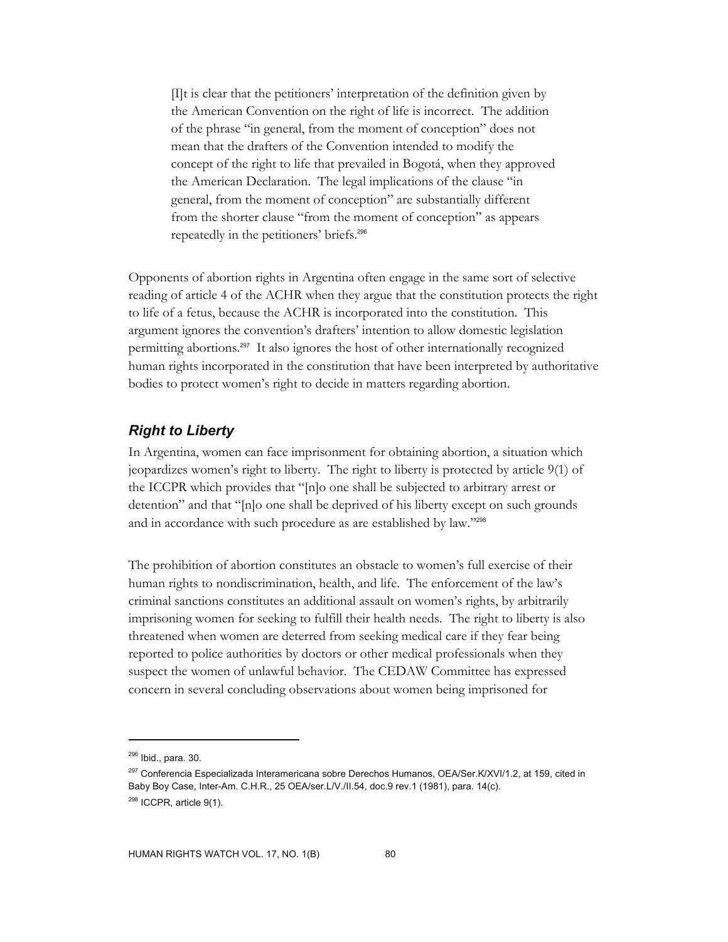[I]t is clear that the petitioners' interpretation of the definition given by the American Convention on the right of life is incorrect. The addition of the phrase "in general, from the moment of conception" does not mean that the drafters of the Convention intended to modify the concept of the right to life that prevailed in Bogotá, when they approved the American Declaration. The legal implications of the clause "in general, from the moment of conception" are substantially different from the shorter clause "from the moment of conception" as appears repeatedly in the petitioners' briefs.<sup>296</sup>

Opponents of abortion rights in Argentina often engage in the same sort of selective reading of article 4 of the ACHR when they argue that the constitution protects the right to life of a fetus, because the ACHR is incorporated into the constitution. This argument ignores the convention's drafters' intention to allow domestic legislation permitting abortions.297 It also ignores the host of other internationally recognized human rights incorporated in the constitution that have been interpreted by authoritative bodies to protect women's right to decide in matters regarding abortion.

## *Right to Liberty*

In Argentina, women can face imprisonment for obtaining abortion, a situation which jeopardizes women's right to liberty. The right to liberty is protected by article 9(1) of the ICCPR which provides that "[n]o one shall be subjected to arbitrary arrest or detention" and that "[n]o one shall be deprived of his liberty except on such grounds and in accordance with such procedure as are established by law."298

The prohibition of abortion constitutes an obstacle to women's full exercise of their human rights to nondiscrimination, health, and life. The enforcement of the law's criminal sanctions constitutes an additional assault on women's rights, by arbitrarily imprisoning women for seeking to fulfill their health needs. The right to liberty is also threatened when women are deterred from seeking medical care if they fear being reported to police authorities by doctors or other medical professionals when they suspect the women of unlawful behavior. The CEDAW Committee has expressed concern in several concluding observations about women being imprisoned for

 $296$  Ibid., para. 30.

<sup>&</sup>lt;sup>297</sup> Conferencia Especializada Interamericana sobre Derechos Humanos, OEA/Ser.K/XVI/1.2, at 159, cited in Baby Boy Case, Inter-Am. C.H.R., 25 OEA/ser.L/V./II.54, doc.9 rev.1 (1981), para. 14(c).  $298$  ICCPR, article  $9(1)$ .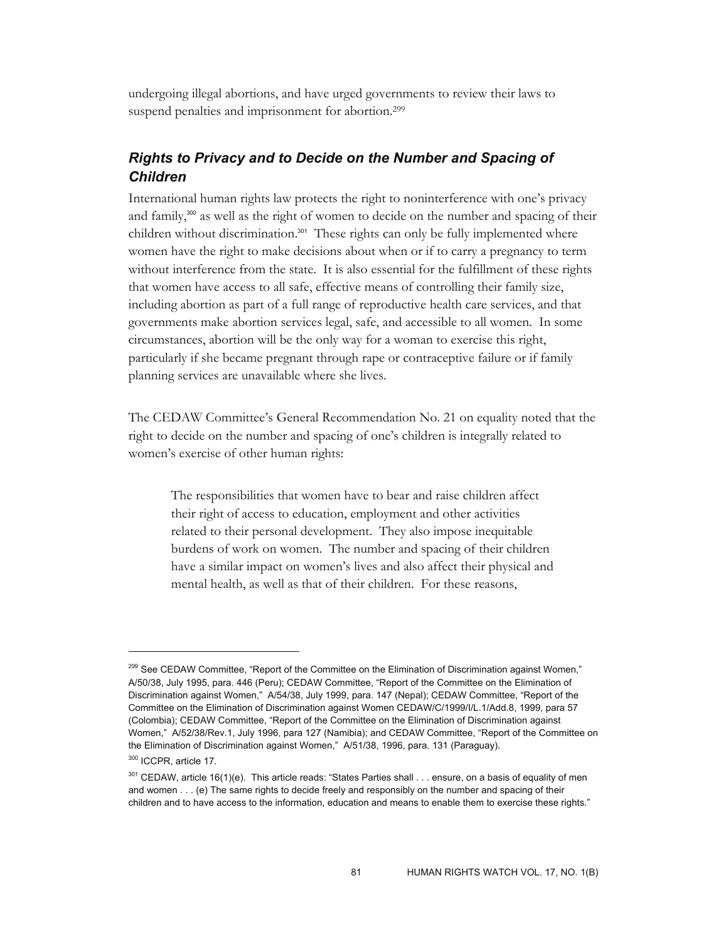undergoing illegal abortions, and have urged governments to review their laws to suspend penalties and imprisonment for abortion.<sup>299</sup>

# *Rights to Privacy and to Decide on the Number and Spacing of Children*

International human rights law protects the right to noninterference with one's privacy and family,<sup>300</sup> as well as the right of women to decide on the number and spacing of their children without discrimination.<sup>301</sup> These rights can only be fully implemented where women have the right to make decisions about when or if to carry a pregnancy to term without interference from the state. It is also essential for the fulfillment of these rights that women have access to all safe, effective means of controlling their family size, including abortion as part of a full range of reproductive health care services, and that governments make abortion services legal, safe, and accessible to all women. In some circumstances, abortion will be the only way for a woman to exercise this right, particularly if she became pregnant through rape or contraceptive failure or if family planning services are unavailable where she lives.

The CEDAW Committee's General Recommendation No. 21 on equality noted that the right to decide on the number and spacing of one's children is integrally related to women's exercise of other human rights:

The responsibilities that women have to bear and raise children affect their right of access to education, employment and other activities related to their personal development. They also impose inequitable burdens of work on women. The number and spacing of their children have a similar impact on women's lives and also affect their physical and mental health, as well as that of their children. For these reasons,

<sup>&</sup>lt;sup>299</sup> See CEDAW Committee, "Report of the Committee on the Elimination of Discrimination against Women," A/50/38, July 1995, para. 446 (Peru); CEDAW Committee, "Report of the Committee on the Elimination of Discrimination against Women," A/54/38, July 1999, para. 147 (Nepal); CEDAW Committee, "Report of the Committee on the Elimination of Discrimination against Women CEDAW/C/1999/I/L.1/Add.8, 1999, para 57 (Colombia); CEDAW Committee, "Report of the Committee on the Elimination of Discrimination against Women," A/52/38/Rev.1, July 1996, para 127 (Namibia); and CEDAW Committee, "Report of the Committee on the Elimination of Discrimination against Women," A/51/38, 1996, para. 131 (Paraguay).

<sup>300</sup> ICCPR, article 17.

 $301$  CEDAW, article 16(1)(e). This article reads: "States Parties shall  $\dots$  ensure, on a basis of equality of men and women . . . (e) The same rights to decide freely and responsibly on the number and spacing of their children and to have access to the information, education and means to enable them to exercise these rights."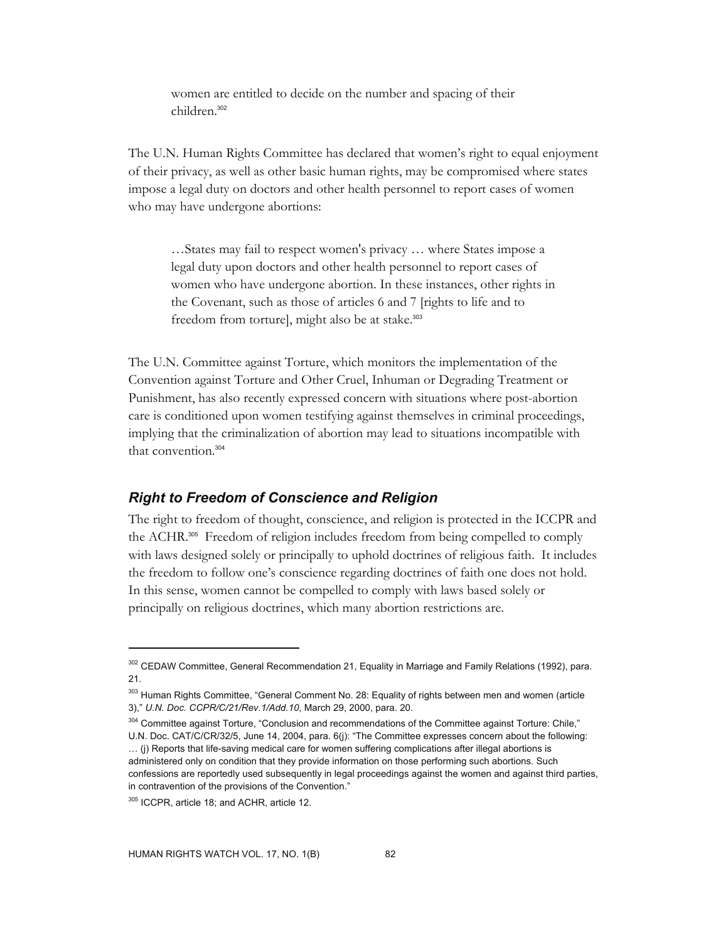women are entitled to decide on the number and spacing of their children.<sup>302</sup>

The U.N. Human Rights Committee has declared that women's right to equal enjoyment of their privacy, as well as other basic human rights, may be compromised where states impose a legal duty on doctors and other health personnel to report cases of women who may have undergone abortions:

…States may fail to respect women's privacy … where States impose a legal duty upon doctors and other health personnel to report cases of women who have undergone abortion. In these instances, other rights in the Covenant, such as those of articles 6 and 7 [rights to life and to freedom from torture], might also be at stake.<sup>303</sup>

The U.N. Committee against Torture, which monitors the implementation of the Convention against Torture and Other Cruel, Inhuman or Degrading Treatment or Punishment, has also recently expressed concern with situations where post-abortion care is conditioned upon women testifying against themselves in criminal proceedings, implying that the criminalization of abortion may lead to situations incompatible with that convention.<sup>304</sup>

### *Right to Freedom of Conscience and Religion*

The right to freedom of thought, conscience, and religion is protected in the ICCPR and the ACHR.305 Freedom of religion includes freedom from being compelled to comply with laws designed solely or principally to uphold doctrines of religious faith. It includes the freedom to follow one's conscience regarding doctrines of faith one does not hold. In this sense, women cannot be compelled to comply with laws based solely or principally on religious doctrines, which many abortion restrictions are.

304 Committee against Torture, "Conclusion and recommendations of the Committee against Torture: Chile," U.N. Doc. CAT/C/CR/32/5, June 14, 2004, para. 6(j): "The Committee expresses concern about the following: … (j) Reports that life-saving medical care for women suffering complications after illegal abortions is administered only on condition that they provide information on those performing such abortions. Such confessions are reportedly used subsequently in legal proceedings against the women and against third parties,

in contravention of the provisions of the Convention."

<sup>302</sup> CEDAW Committee, General Recommendation 21, Equality in Marriage and Family Relations (1992), para. 21.

<sup>&</sup>lt;sup>303</sup> Human Rights Committee, "General Comment No. 28: Equality of rights between men and women (article 3)," *U.N. Doc. CCPR/C/21/Rev.1/Add.10*, March 29, 2000, para. 20.

<sup>&</sup>lt;sup>305</sup> ICCPR, article 18; and ACHR, article 12.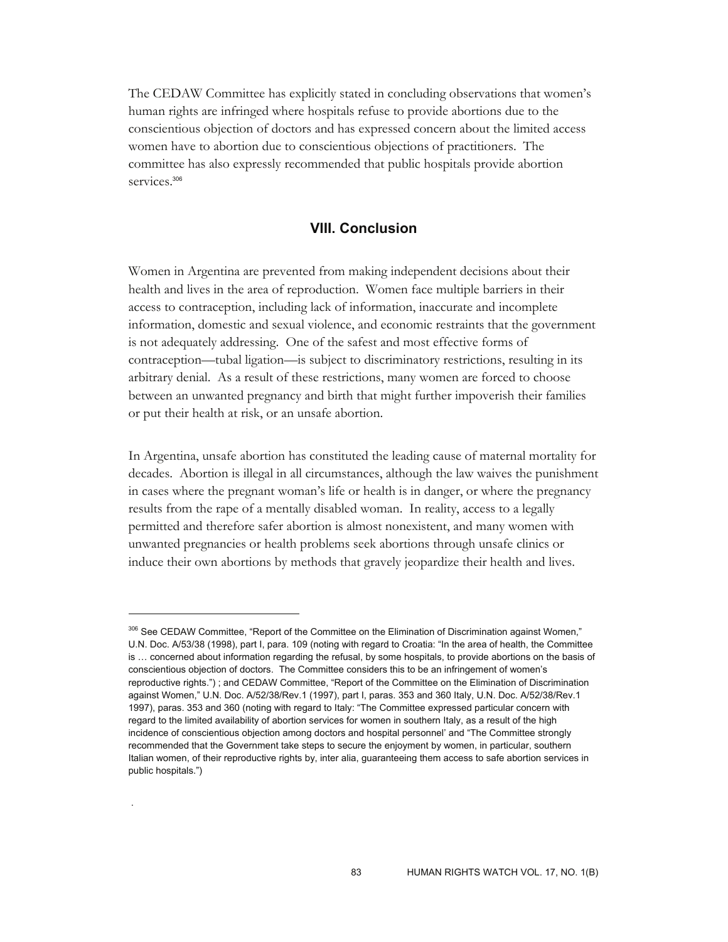The CEDAW Committee has explicitly stated in concluding observations that women's human rights are infringed where hospitals refuse to provide abortions due to the conscientious objection of doctors and has expressed concern about the limited access women have to abortion due to conscientious objections of practitioners. The committee has also expressly recommended that public hospitals provide abortion services.<sup>306</sup>

### **VIII. Conclusion**

Women in Argentina are prevented from making independent decisions about their health and lives in the area of reproduction. Women face multiple barriers in their access to contraception, including lack of information, inaccurate and incomplete information, domestic and sexual violence, and economic restraints that the government is not adequately addressing. One of the safest and most effective forms of contraception—tubal ligation—is subject to discriminatory restrictions, resulting in its arbitrary denial. As a result of these restrictions, many women are forced to choose between an unwanted pregnancy and birth that might further impoverish their families or put their health at risk, or an unsafe abortion.

In Argentina, unsafe abortion has constituted the leading cause of maternal mortality for decades. Abortion is illegal in all circumstances, although the law waives the punishment in cases where the pregnant woman's life or health is in danger, or where the pregnancy results from the rape of a mentally disabled woman. In reality, access to a legally permitted and therefore safer abortion is almost nonexistent, and many women with unwanted pregnancies or health problems seek abortions through unsafe clinics or induce their own abortions by methods that gravely jeopardize their health and lives.

 $\overline{a}$ 

.

<sup>&</sup>lt;sup>306</sup> See CEDAW Committee, "Report of the Committee on the Elimination of Discrimination against Women." U.N. Doc. A/53/38 (1998), part I, para. 109 (noting with regard to Croatia: "In the area of health, the Committee is … concerned about information regarding the refusal, by some hospitals, to provide abortions on the basis of conscientious objection of doctors. The Committee considers this to be an infringement of women's reproductive rights.") ; and CEDAW Committee, "Report of the Committee on the Elimination of Discrimination against Women," U.N. Doc. A/52/38/Rev.1 (1997), part I, paras. 353 and 360 Italy, U.N. Doc. A/52/38/Rev.1 1997), paras. 353 and 360 (noting with regard to Italy: "The Committee expressed particular concern with regard to the limited availability of abortion services for women in southern Italy, as a result of the high incidence of conscientious objection among doctors and hospital personnel' and "The Committee strongly recommended that the Government take steps to secure the enjoyment by women, in particular, southern Italian women, of their reproductive rights by, inter alia, guaranteeing them access to safe abortion services in public hospitals.")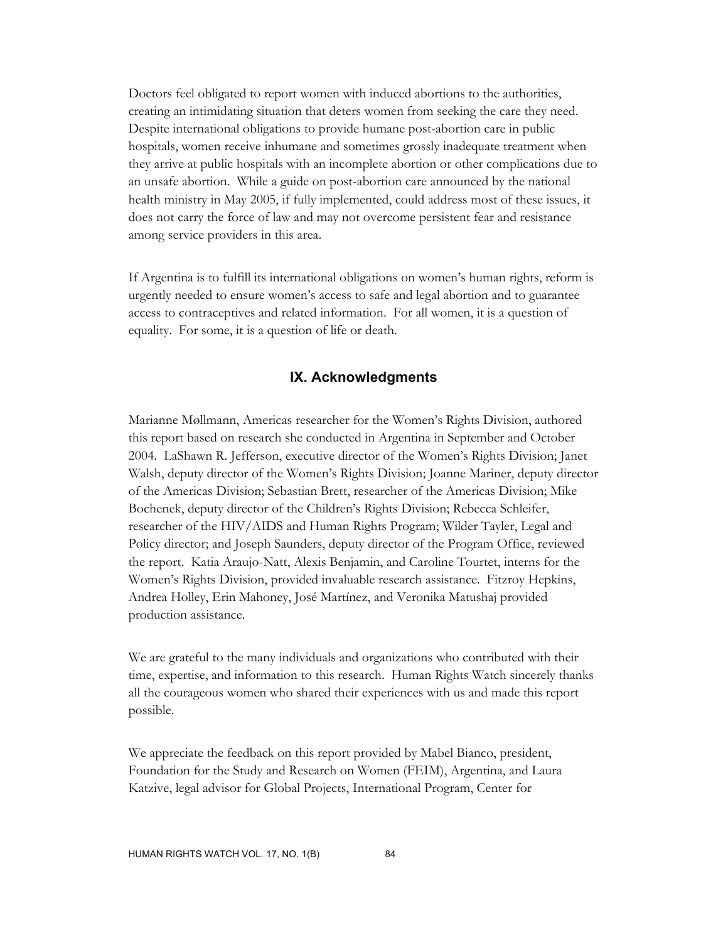Doctors feel obligated to report women with induced abortions to the authorities, creating an intimidating situation that deters women from seeking the care they need. Despite international obligations to provide humane post-abortion care in public hospitals, women receive inhumane and sometimes grossly inadequate treatment when they arrive at public hospitals with an incomplete abortion or other complications due to an unsafe abortion. While a guide on post-abortion care announced by the national health ministry in May 2005, if fully implemented, could address most of these issues, it does not carry the force of law and may not overcome persistent fear and resistance among service providers in this area.

If Argentina is to fulfill its international obligations on women's human rights, reform is urgently needed to ensure women's access to safe and legal abortion and to guarantee access to contraceptives and related information. For all women, it is a question of equality. For some, it is a question of life or death.

#### **IX. Acknowledgments**

Marianne Møllmann, Americas researcher for the Women's Rights Division, authored this report based on research she conducted in Argentina in September and October 2004. LaShawn R. Jefferson, executive director of the Women's Rights Division; Janet Walsh, deputy director of the Women's Rights Division; Joanne Mariner, deputy director of the Americas Division; Sebastian Brett, researcher of the Americas Division; Mike Bochenek, deputy director of the Children's Rights Division; Rebecca Schleifer, researcher of the HIV/AIDS and Human Rights Program; Wilder Tayler, Legal and Policy director; and Joseph Saunders, deputy director of the Program Office, reviewed the report. Katia Araujo-Natt, Alexis Benjamin, and Caroline Tourtet, interns for the Women's Rights Division, provided invaluable research assistance. Fitzroy Hepkins, Andrea Holley, Erin Mahoney, José Martínez, and Veronika Matushaj provided production assistance.

We are grateful to the many individuals and organizations who contributed with their time, expertise, and information to this research. Human Rights Watch sincerely thanks all the courageous women who shared their experiences with us and made this report possible.

We appreciate the feedback on this report provided by Mabel Bianco, president, Foundation for the Study and Research on Women (FEIM), Argentina, and Laura Katzive, legal advisor for Global Projects, International Program, Center for